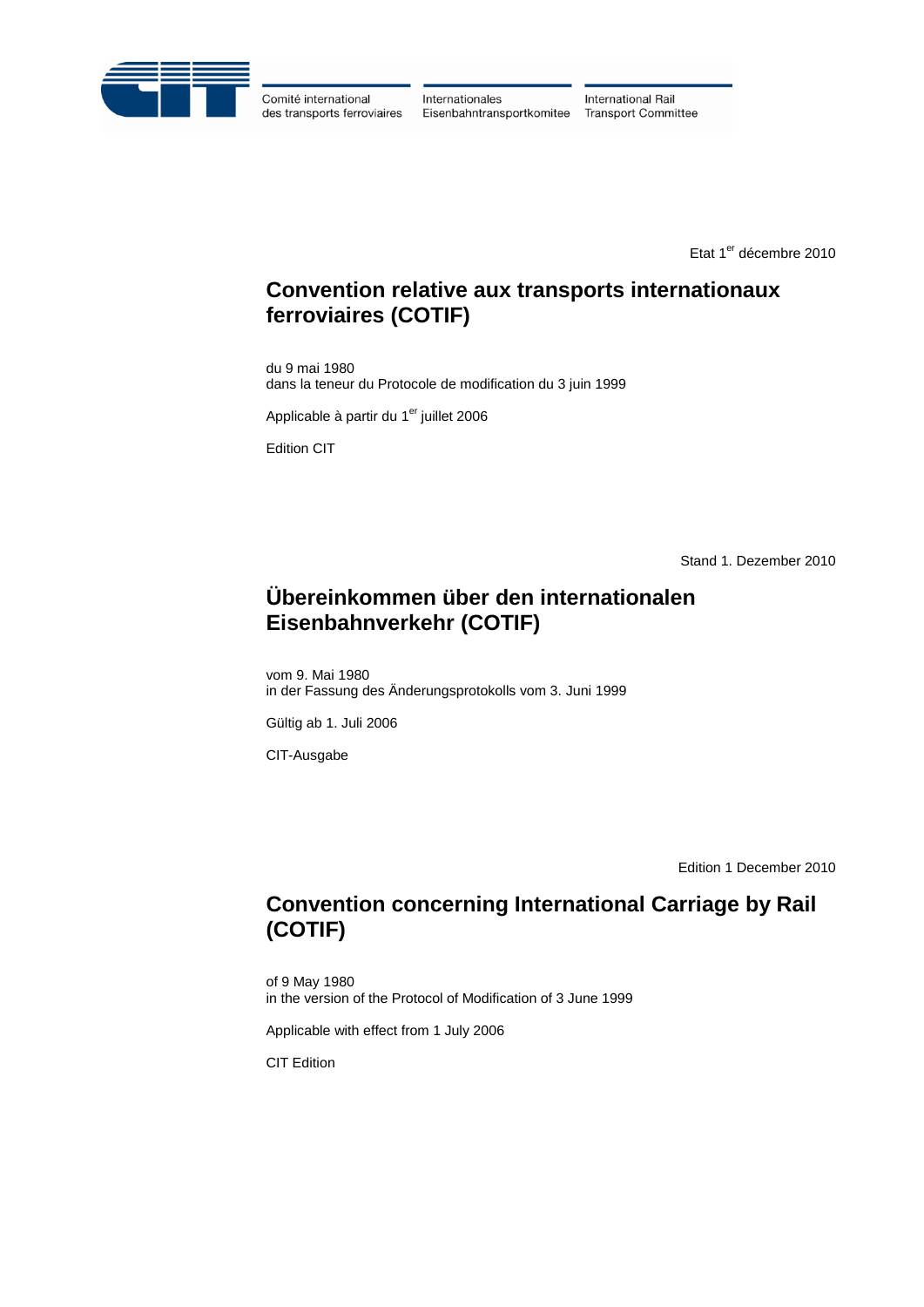

Comité international des transports ferroviaires Internationales Eisenbahntransportkomitee

International Rail **Transport Committee** 

Etat 1<sup>er</sup> décembre 2010

# **Convention relative aux transports internationaux ferroviaires (COTIF)**

du 9 mai 1980 dans la teneur du Protocole de modification du 3 juin 1999

Applicable à partir du 1<sup>er</sup> juillet 2006

Edition CIT

Stand 1. Dezember 2010

# **Übereinkommen über den internationalen Eisenbahnverkehr (COTIF)**

vom 9. Mai 1980 in der Fassung des Änderungsprotokolls vom 3. Juni 1999

Gültig ab 1. Juli 2006

CIT-Ausgabe

Edition 1 December 2010

# **Convention concerning International Carriage by Rail (COTIF)**

of 9 May 1980 in the version of the Protocol of Modification of 3 June 1999

Applicable with effect from 1 July 2006

CIT Edition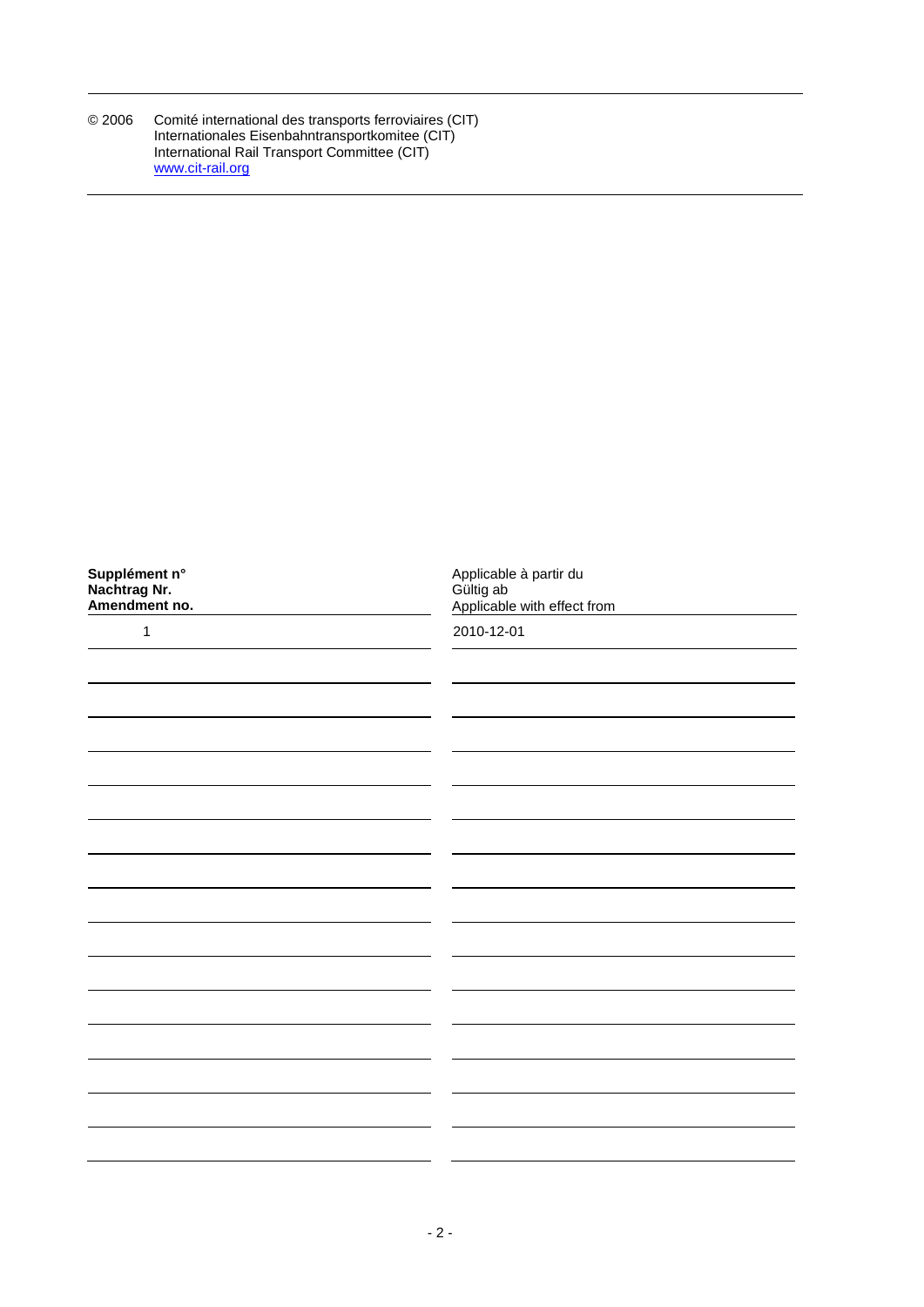| @2006 | Comité international des transports ferroviaires (CIT) |
|-------|--------------------------------------------------------|
|       | Internationales Eisenbahntransportkomitee (CIT)        |
|       | International Rail Transport Committee (CIT)           |
|       | www.cit-rail.org                                       |

| Supplément n°<br>Nachtrag Nr.<br>Amendment no. | Applicable à partir du<br>Gültig ab<br>Applicable with effect from |
|------------------------------------------------|--------------------------------------------------------------------|
| $\mathbf{1}$                                   | 2010-12-01                                                         |
|                                                |                                                                    |
|                                                |                                                                    |
|                                                |                                                                    |
|                                                |                                                                    |
|                                                |                                                                    |
|                                                |                                                                    |
|                                                |                                                                    |
|                                                |                                                                    |
|                                                |                                                                    |
|                                                |                                                                    |
|                                                |                                                                    |
|                                                |                                                                    |
|                                                |                                                                    |
|                                                |                                                                    |
|                                                |                                                                    |
|                                                |                                                                    |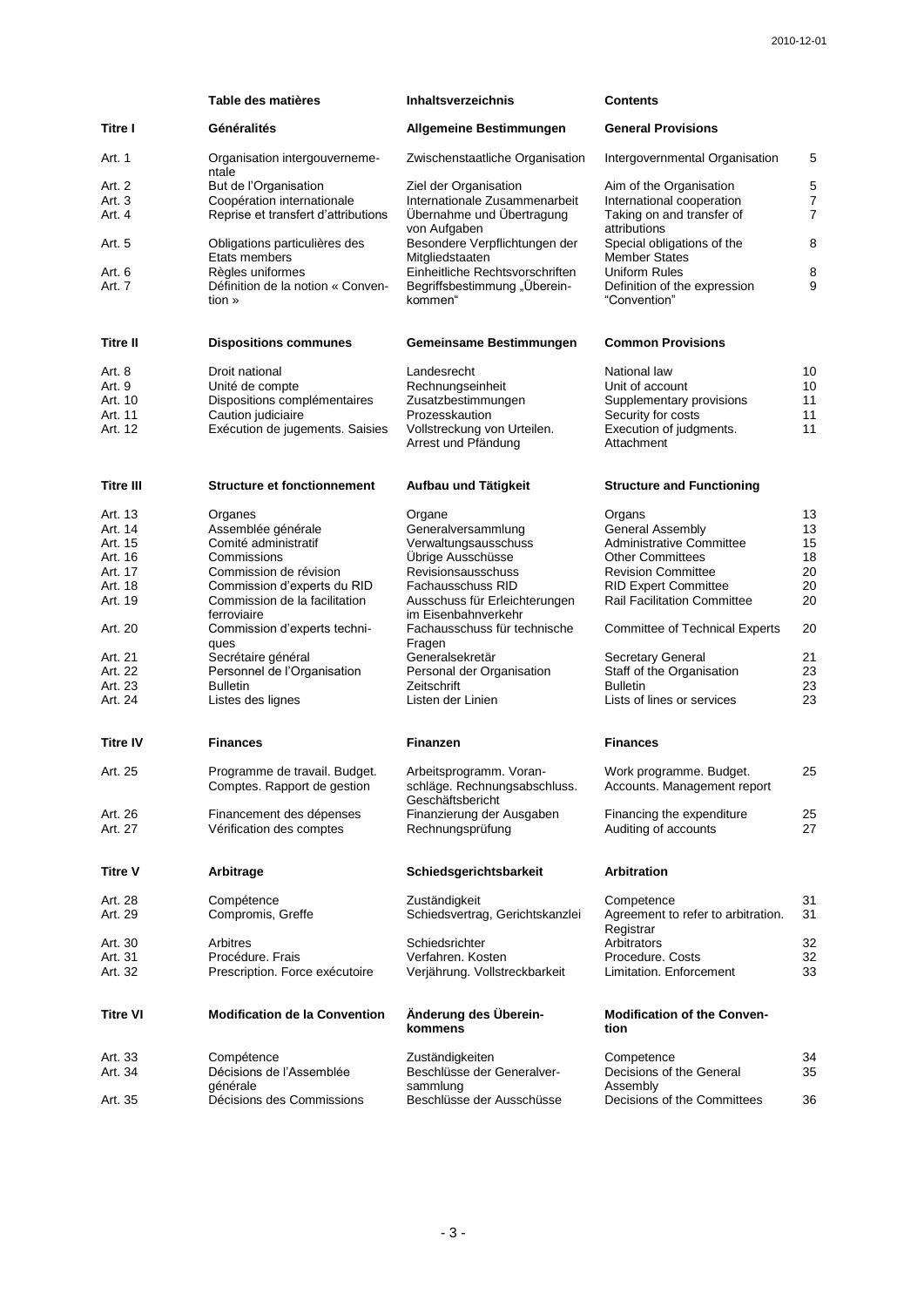|                  | Table des matières                                           | <b>Inhaltsverzeichnis</b>                                                   | <b>Contents</b>                                        |                |
|------------------|--------------------------------------------------------------|-----------------------------------------------------------------------------|--------------------------------------------------------|----------------|
| Titre I          | Généralités                                                  | <b>Allgemeine Bestimmungen</b>                                              | <b>General Provisions</b>                              |                |
| Art. 1           | Organisation intergouverneme-<br>ntale                       | Zwischenstaatliche Organisation                                             | Intergovernmental Organisation                         | 5              |
| Art. 2           | But de l'Organisation                                        | Ziel der Organisation                                                       | Aim of the Organisation                                | 5              |
| Art. 3           | Coopération internationale                                   | Internationale Zusammenarbeit                                               | International cooperation                              | $\overline{7}$ |
| Art. 4           | Reprise et transfert d'attributions                          | Übernahme und Übertragung<br>von Aufgaben                                   | Taking on and transfer of<br>attributions              | 7              |
| Art. 5           | Obligations particulières des<br>Etats members               | Besondere Verpflichtungen der<br>Mitgliedstaaten                            | Special obligations of the<br><b>Member States</b>     | 8              |
| Art. 6           | Règles uniformes                                             | Einheitliche Rechtsvorschriften                                             | <b>Uniform Rules</b>                                   | 8              |
| Art. 7           | Définition de la notion « Conven-<br>tion »                  | Begriffsbestimmung "Überein-<br>kommen"                                     | Definition of the expression<br>"Convention"           | 9              |
| <b>Titre II</b>  | <b>Dispositions communes</b>                                 | Gemeinsame Bestimmungen                                                     | <b>Common Provisions</b>                               |                |
| Art. 8           | Droit national                                               | Landesrecht                                                                 | National law                                           | 10             |
| Art. 9           | Unité de compte                                              | Rechnungseinheit                                                            | Unit of account                                        | 10             |
| Art. 10          | Dispositions complémentaires                                 | Zusatzbestimmungen                                                          | Supplementary provisions                               | 11             |
| Art. 11          | Caution judiciaire                                           | Prozesskaution                                                              | Security for costs                                     | 11             |
|                  |                                                              |                                                                             |                                                        |                |
| Art. 12          | Exécution de jugements. Saisies                              | Vollstreckung von Urteilen.<br>Arrest und Pfändung                          | Execution of judgments.<br>Attachment                  | 11             |
| <b>Titre III</b> | <b>Structure et fonctionnement</b>                           | Aufbau und Tätigkeit                                                        | <b>Structure and Functioning</b>                       |                |
| Art. 13          | Organes                                                      | Organe                                                                      | Organs                                                 | 13             |
| Art. 14          | Assemblée générale                                           | Generalversammlung                                                          | <b>General Assembly</b>                                | 13             |
|                  |                                                              |                                                                             |                                                        |                |
| Art. 15          | Comité administratif                                         | Verwaltungsausschuss                                                        | <b>Administrative Committee</b>                        | 15             |
| Art. 16          | Commissions                                                  | Übrige Ausschüsse                                                           | <b>Other Committees</b>                                | 18             |
| Art. 17          | Commission de révision                                       | Revisionsausschuss                                                          | <b>Revision Committee</b>                              | 20             |
| Art. 18          | Commission d'experts du RID                                  | Fachausschuss RID                                                           | <b>RID Expert Committee</b>                            | 20             |
| Art. 19          | Commission de la facilitation<br>ferroviaire                 | Ausschuss für Erleichterungen<br>im Eisenbahnverkehr                        | <b>Rail Facilitation Committee</b>                     | 20             |
| Art. 20          | Commission d'experts techni-<br>ques                         | Fachausschuss für technische<br>Fragen                                      | <b>Committee of Technical Experts</b>                  | 20             |
| Art. 21          | Secrétaire général                                           | Generalsekretär                                                             | Secretary General                                      | 21             |
| Art. 22          | Personnel de l'Organisation                                  | Personal der Organisation                                                   | Staff of the Organisation                              | 23             |
| Art. 23          | <b>Bulletin</b>                                              | Zeitschrift                                                                 | <b>Bulletin</b>                                        | 23             |
| Art. 24          | Listes des lignes                                            | Listen der Linien                                                           | Lists of lines or services                             | 23             |
|                  |                                                              |                                                                             |                                                        |                |
| <b>Titre IV</b>  | <b>Finances</b>                                              | <b>Finanzen</b>                                                             | <b>Finances</b>                                        |                |
| Art. 25          | Programme de travail. Budget.<br>Comptes. Rapport de gestion | Arbeitsprogramm. Voran-<br>schläge. Rechnungsabschluss.<br>Geschäftsbericht | Work programme. Budget.<br>Accounts. Management report | 25             |
| Art. 26          | Financement des dépenses                                     | Finanzierung der Ausgaben                                                   | Financing the expenditure                              | 25             |
| Art. 27          | Vérification des comptes                                     | Rechnungsprüfung                                                            | Auditing of accounts                                   | 27             |
| Titre V          | Arbitrage                                                    | Schiedsgerichtsbarkeit                                                      | <b>Arbitration</b>                                     |                |
| Art. 28          | Compétence                                                   | Zuständigkeit                                                               | Competence                                             | 31             |
| Art. 29          | Compromis, Greffe                                            | Schiedsvertrag, Gerichtskanzlei                                             | Agreement to refer to arbitration.<br>Registrar        | 31             |
| Art. 30          | Arbitres                                                     | Schiedsrichter                                                              | Arbitrators                                            | 32             |
| Art. 31          | Procédure. Frais                                             | Verfahren. Kosten                                                           | Procedure. Costs                                       | 32             |
| Art. 32          | Prescription. Force exécutoire                               | Verjährung. Vollstreckbarkeit                                               | Limitation. Enforcement                                | 33             |
| <b>Titre VI</b>  | <b>Modification de la Convention</b>                         | Änderung des Überein-<br>kommens                                            | <b>Modification of the Conven-</b><br>tion             |                |
|                  |                                                              |                                                                             |                                                        |                |
| Art. 33          | Compétence                                                   | Zuständigkeiten                                                             | Competence                                             | 34             |
| Art. 34          | Décisions de l'Assemblée                                     | Beschlüsse der Generalver-                                                  | Decisions of the General                               | 35             |
|                  | générale                                                     | sammlung                                                                    | Assembly                                               |                |
| Art. 35          | Décisions des Commissions                                    | Beschlüsse der Ausschüsse                                                   | Decisions of the Committees                            | 36             |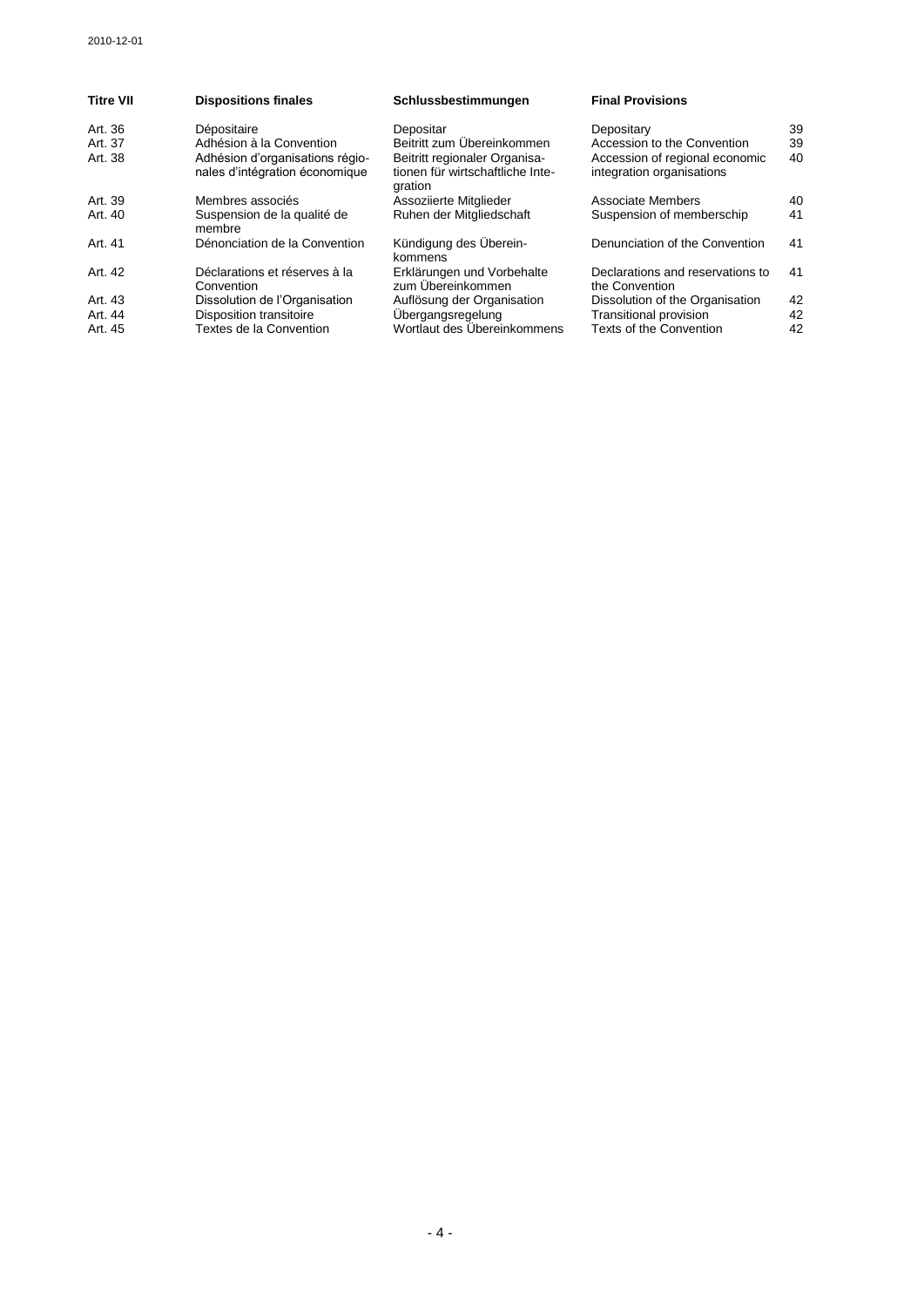| <b>Titre VII</b> | <b>Dispositions finales</b>                                       | Schlussbestimmungen                                                          | <b>Final Provisions</b>                                     |    |
|------------------|-------------------------------------------------------------------|------------------------------------------------------------------------------|-------------------------------------------------------------|----|
| Art. 36          | Dépositaire                                                       | Depositar                                                                    | Depositary                                                  | 39 |
| Art. 37          | Adhésion à la Convention                                          | Beitritt zum Übereinkommen                                                   | Accession to the Convention                                 | 39 |
| Art. 38          | Adhésion d'organisations régio-<br>nales d'intégration économique | Beitritt regionaler Organisa-<br>tionen für wirtschaftliche Inte-<br>gration | Accession of regional economic<br>integration organisations | 40 |
| Art. 39          | Membres associés                                                  | Assoziierte Mitglieder                                                       | Associate Members                                           | 40 |
| Art. 40          | Suspension de la qualité de<br>membre                             | Ruhen der Mitgliedschaft                                                     | Suspension of memberschip                                   | 41 |
| Art. 41          | Dénonciation de la Convention                                     | Kündigung des Überein-<br>kommens                                            | Denunciation of the Convention                              | 41 |
| Art. 42          | Déclarations et réserves à la<br>Convention                       | Erklärungen und Vorbehalte<br>zum Übereinkommen                              | Declarations and reservations to<br>the Convention          | 41 |
| Art. 43          | Dissolution de l'Organisation                                     | Auflösung der Organisation                                                   | Dissolution of the Organisation                             | 42 |
| Art. 44          | Disposition transitoire                                           | Ubergangsregelung                                                            | Transitional provision                                      | 42 |
| Art. 45          | Textes de la Convention                                           | Wortlaut des Übereinkommens                                                  | Texts of the Convention                                     | 42 |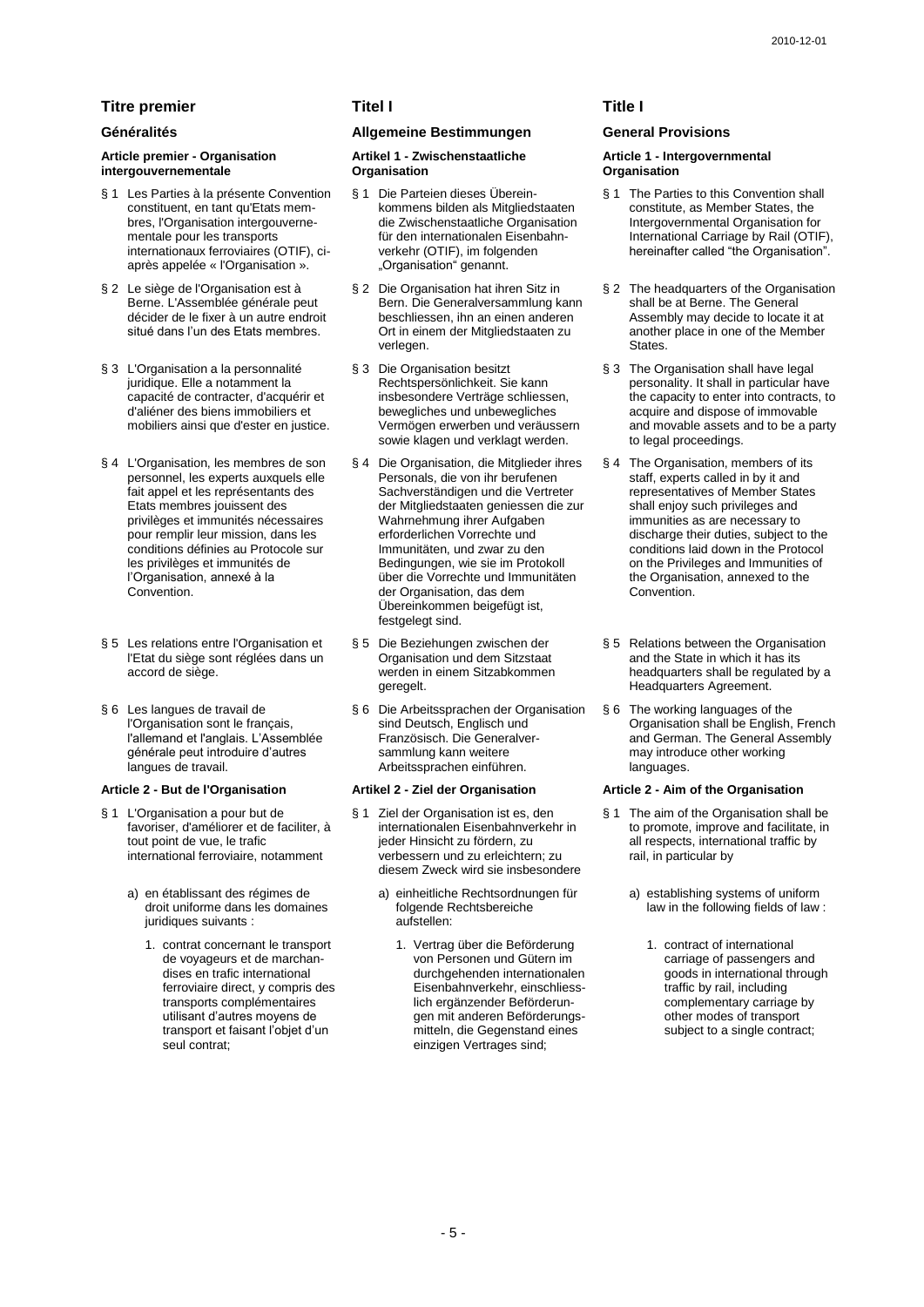# **Titre premier Titel I Title I**

# **Article premier - Organisation intergouvernementale**

- § 1 Les Parties à la présente Convention constituent, en tant qu'Etats membres, l'Organisation intergouvernementale pour les transports internationaux ferroviaires (OTIF), ciaprès appelée « l'Organisation ».
- § 2 Le siège de l'Organisation est à Berne. L'Assemblée générale peut décider de le fixer à un autre endroit situé dans l'un des Etats membres.
- § 3 L'Organisation a la personnalité juridique. Elle a notamment la capacité de contracter, d'acquérir et d'aliéner des biens immobiliers et mobiliers ainsi que d'ester en justice.
- § 4 L'Organisation, les membres de son personnel, les experts auxquels elle fait appel et les représentants des Etats membres jouissent des privilèges et immunités nécessaires pour remplir leur mission, dans les conditions définies au Protocole sur les privilèges et immunités de l"Organisation, annexé à la Convention.
- § 5 Les relations entre l'Organisation et l'Etat du siège sont réglées dans un accord de siège.
- § 6 Les langues de travail de l'Organisation sont le français, l'allemand et l'anglais. L"Assemblée générale peut introduire d"autres langues de travail.

# **Article 2 - But de l'Organisation Artikel 2 - Ziel der Organisation Article 2 - Aim of the Organisation**

- § 1 L'Organisation a pour but de favoriser, d'améliorer et de faciliter, à tout point de vue, le trafic international ferroviaire, notamment
	- a) en établissant des régimes de droit uniforme dans les domaines juridiques suivants :
		- 1. contrat concernant le transport de voyageurs et de marchandises en trafic international ferroviaire direct, y compris des transports complémentaires utilisant d"autres moyens de transport et faisant l"objet d"un seul contrat;

# **Généralités Allgemeine Bestimmungen General Provisions**

# **Artikel 1 - Zwischenstaatliche Organisation**

- § 1 Die Parteien dieses Übereinkommens bilden als Mitgliedstaaten die Zwischenstaatliche Organisation für den internationalen Eisenbahnverkehr (OTIF), im folgenden "Organisation" genannt.
- § 2 Die Organisation hat ihren Sitz in Bern. Die Generalversammlung kann beschliessen, ihn an einen anderen Ort in einem der Mitgliedstaaten zu verlegen.
- § 3 Die Organisation besitzt Rechtspersönlichkeit. Sie kann insbesondere Verträge schliessen, bewegliches und unbewegliches Vermögen erwerben und veräussern sowie klagen und verklagt werden.
- § 4 Die Organisation, die Mitglieder ihres Personals, die von ihr berufenen Sachverständigen und die Vertreter der Mitgliedstaaten geniessen die zur Wahrnehmung ihrer Aufgaben erforderlichen Vorrechte und Immunitäten, und zwar zu den Bedingungen, wie sie im Protokoll über die Vorrechte und Immunitäten der Organisation, das dem Übereinkommen beigefügt ist, festgelegt sind.
- § 5 Die Beziehungen zwischen der Organisation und dem Sitzstaat werden in einem Sitzabkommen geregelt.
- § 6 Die Arbeitssprachen der Organisation sind Deutsch, Englisch und Französisch. Die Generalversammlung kann weitere Arbeitssprachen einführen.

- § 1 Ziel der Organisation ist es, den internationalen Eisenbahnverkehr in jeder Hinsicht zu fördern, zu verbessern und zu erleichtern; zu diesem Zweck wird sie insbesondere
	- a) einheitliche Rechtsordnungen für folgende Rechtsbereiche aufstellen:
		- 1. Vertrag über die Beförderung von Personen und Gütern im durchgehenden internationalen Eisenbahnverkehr, einschliesslich ergänzender Beförderungen mit anderen Beförderungsmitteln, die Gegenstand eines einzigen Vertrages sind;

# **Article 1 - Intergovernmental Organisation**

- § 1 The Parties to this Convention shall constitute, as Member States, the Intergovernmental Organisation for International Carriage by Rail (OTIF), hereinafter called "the Organisation".
- § 2 The headquarters of the Organisation shall be at Berne. The General Assembly may decide to locate it at another place in one of the Member **States**
- § 3 The Organisation shall have legal personality. It shall in particular have the capacity to enter into contracts, to acquire and dispose of immovable and movable assets and to be a party to legal proceedings.
- § 4 The Organisation, members of its staff, experts called in by it and representatives of Member States shall enjoy such privileges and immunities as are necessary to discharge their duties, subject to the conditions laid down in the Protocol on the Privileges and Immunities of the Organisation, annexed to the Convention.
- § 5 Relations between the Organisation and the State in which it has its headquarters shall be regulated by a Headquarters Agreement.
- § 6 The working languages of the Organisation shall be English, French and German. The General Assembly may introduce other working languages.

- § 1 The aim of the Organisation shall be to promote, improve and facilitate, in all respects, international traffic by rail, in particular by
	- a) establishing systems of uniform law in the following fields of law :
		- 1. contract of international carriage of passengers and goods in international through traffic by rail, including complementary carriage by other modes of transport subject to a single contract;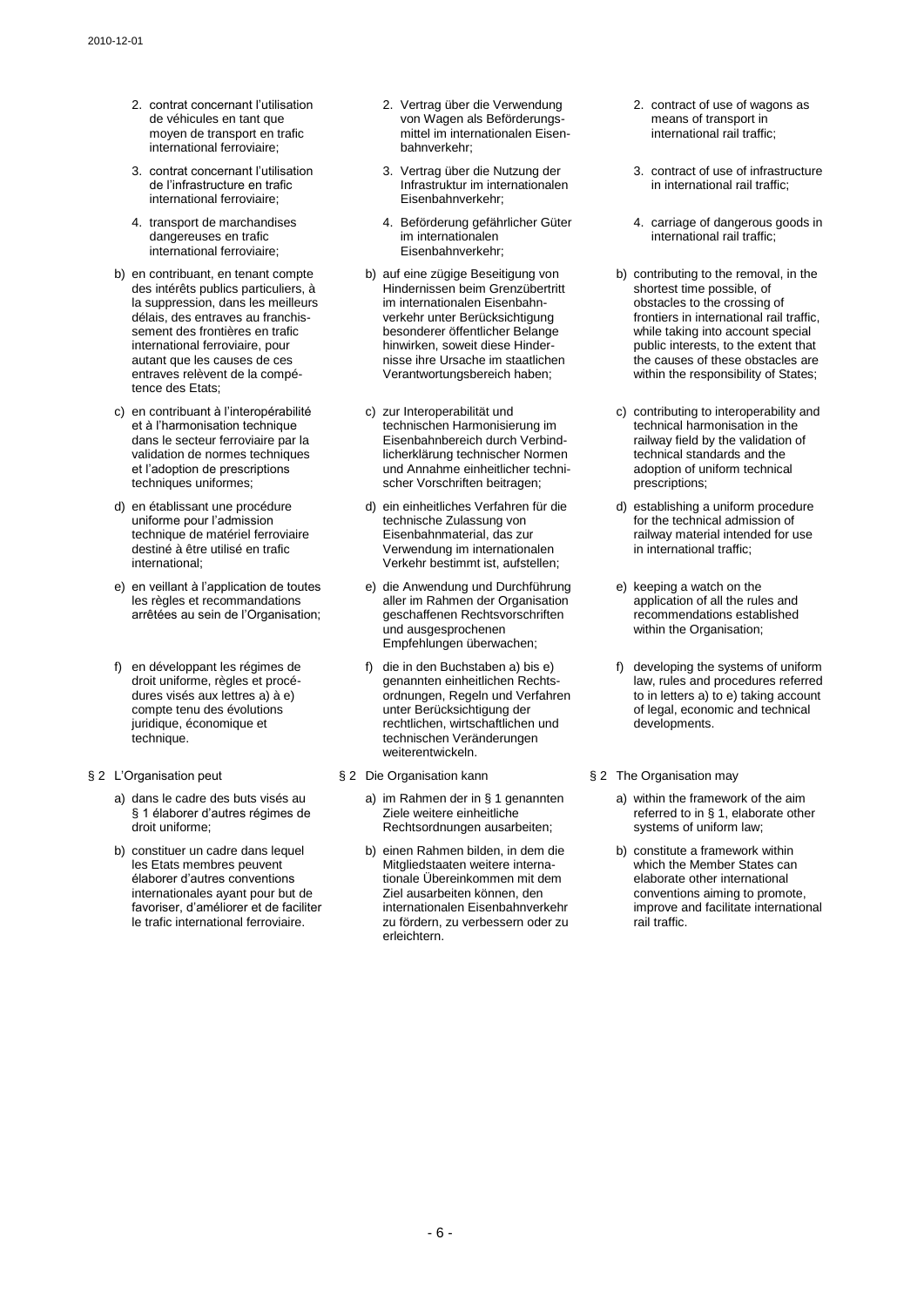- 2. contrat concernant l"utilisation de véhicules en tant que moyen de transport en trafic international ferroviaire;
- 3. contrat concernant l"utilisation de l"infrastructure en trafic international ferroviaire;
- 4. transport de marchandises dangereuses en trafic international ferroviaire;
- b) en contribuant, en tenant compte des intérêts publics particuliers, à la suppression, dans les meilleurs délais, des entraves au franchissement des frontières en trafic international ferroviaire, pour autant que les causes de ces entraves relèvent de la compétence des Etats;
- c) en contribuant à l"interopérabilité et à l"harmonisation technique dans le secteur ferroviaire par la validation de normes techniques et l"adoption de prescriptions techniques uniformes;
- d) en établissant une procédure uniforme pour l"admission technique de matériel ferroviaire destiné à être utilisé en trafic international;
- e) en veillant à l"application de toutes les règles et recommandations arrêtées au sein de l'Organisation:
- f) en développant les régimes de droit uniforme, règles et procédures visés aux lettres a) à e) compte tenu des évolutions juridique, économique et technique.

- a) dans le cadre des buts visés au § 1 élaborer d"autres régimes de droit uniforme;
- b) constituer un cadre dans lequel les Etats membres peuvent élaborer d"autres conventions internationales ayant pour but de favoriser, d'améliorer et de faciliter le trafic international ferroviaire.
- 2. Vertrag über die Verwendung von Wagen als Beförderungsmittel im internationalen Eisenbahnverkehr;
- 3. Vertrag über die Nutzung der Infrastruktur im internationalen Eisenbahnverkehr;
- 4. Beförderung gefährlicher Güter im internationalen Eisenbahnverkehr;
- b) auf eine zügige Beseitigung von Hindernissen beim Grenzübertritt im internationalen Eisenbahnverkehr unter Berücksichtigung besonderer öffentlicher Belange hinwirken, soweit diese Hindernisse ihre Ursache im staatlichen Verantwortungsbereich haben;
- c) zur Interoperabilität und technischen Harmonisierung im Eisenbahnbereich durch Verbindlicherklärung technischer Normen und Annahme einheitlicher technischer Vorschriften beitragen;
- d) ein einheitliches Verfahren für die technische Zulassung von Eisenbahnmaterial, das zur Verwendung im internationalen Verkehr bestimmt ist, aufstellen;
- e) die Anwendung und Durchführung aller im Rahmen der Organisation geschaffenen Rechtsvorschriften und ausgesprochenen Empfehlungen überwachen;
- f) die in den Buchstaben a) bis e) genannten einheitlichen Rechtsordnungen, Regeln und Verfahren unter Berücksichtigung der rechtlichen, wirtschaftlichen und technischen Veränderungen weiterentwickeln.
- § 2 L"Organisation peut § 2 Die Organisation kann § 2 The Organisation may
	- a) im Rahmen der in § 1 genannten Ziele weitere einheitliche Rechtsordnungen ausarbeiten;
	- b) einen Rahmen bilden, in dem die Mitgliedstaaten weitere internationale Übereinkommen mit dem Ziel ausarbeiten können, den internationalen Eisenbahnverkehr zu fördern, zu verbessern oder zu erleichtern.
- 2. contract of use of wagons as means of transport in international rail traffic;
- 3. contract of use of infrastructure in international rail traffic;
- 4. carriage of dangerous goods in international rail traffic;
- b) contributing to the removal, in the shortest time possible, of obstacles to the crossing of frontiers in international rail traffic, while taking into account special public interests, to the extent that the causes of these obstacles are within the responsibility of States;
- c) contributing to interoperability and technical harmonisation in the railway field by the validation of technical standards and the adoption of uniform technical prescriptions;
- d) establishing a uniform procedure for the technical admission of railway material intended for use in international traffic;
- e) keeping a watch on the application of all the rules and recommendations established within the Organisation;
- f) developing the systems of uniform law, rules and procedures referred to in letters a) to e) taking account of legal, economic and technical developments.

- a) within the framework of the aim referred to in § 1, elaborate other systems of uniform law;
- b) constitute a framework within which the Member States can elaborate other international conventions aiming to promote, improve and facilitate international rail traffic.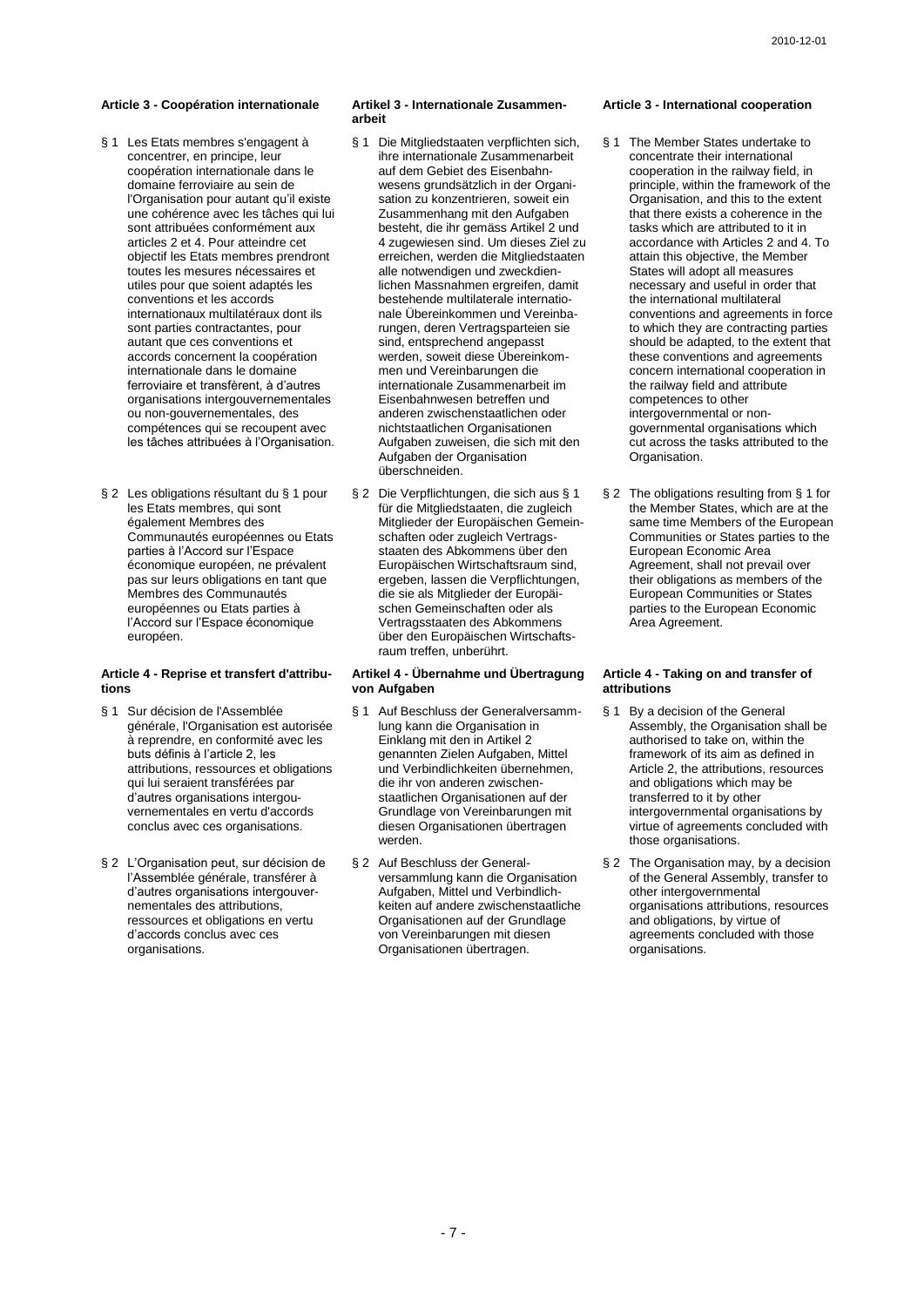# **Article 3 - Coopération internationale Artikel 3 - Internationale Zusammen-**

- § 1 Les Etats membres s'engagent à concentrer, en principe, leur coopération internationale dans le domaine ferroviaire au sein de l'Organisation pour autant qu"il existe une cohérence avec les tâches qui lui sont attribuées conformément aux articles 2 et 4. Pour atteindre cet objectif les Etats membres prendront toutes les mesures nécessaires et utiles pour que soient adaptés les conventions et les accords internationaux multilatéraux dont ils sont parties contractantes, pour autant que ces conventions et accords concernent la coopération internationale dans le domaine ferroviaire et transfèrent, à d"autres organisations intergouvernementales ou non-gouvernementales, des compétences qui se recoupent avec les tâches attribuées à l"Organisation.
- § 2 Les obligations résultant du § 1 pour les Etats membres, qui sont également Membres des Communautés européennes ou Etats parties à l"Accord sur l"Espace économique européen, ne prévalent pas sur leurs obligations en tant que Membres des Communautés européennes ou Etats parties à l"Accord sur l"Espace économique européen.

# **Article 4 - Reprise et transfert d'attributions**

- § 1 Sur décision de l'Assemblée générale, l'Organisation est autorisée à reprendre, en conformité avec les buts définis à l"article 2, les attributions, ressources et obligations qui lui seraient transférées par d"autres organisations intergouvernementales en vertu d'accords conclus avec ces organisations.
- § 2 L'Organisation peut, sur décision de l"Assemblée générale, transférer à d"autres organisations intergouvernementales des attributions, ressources et obligations en vertu d"accords conclus avec ces organisations.

# **arbeit**

- § 1 Die Mitgliedstaaten verpflichten sich, ihre internationale Zusammenarbeit auf dem Gebiet des Eisenbahnwesens grundsätzlich in der Organisation zu konzentrieren, soweit ein Zusammenhang mit den Aufgaben besteht, die ihr gemäss Artikel 2 und 4 zugewiesen sind. Um dieses Ziel zu erreichen, werden die Mitgliedstaaten alle notwendigen und zweckdienlichen Massnahmen ergreifen, damit bestehende multilaterale internationale Übereinkommen und Vereinbarungen, deren Vertragsparteien sie sind, entsprechend angepasst werden, soweit diese Übereinkommen und Vereinbarungen die internationale Zusammenarbeit im Eisenbahnwesen betreffen und anderen zwischenstaatlichen oder nichtstaatlichen Organisationen Aufgaben zuweisen, die sich mit den Aufgaben der Organisation überschneiden.
- § 2 Die Verpflichtungen, die sich aus § 1 für die Mitgliedstaaten, die zugleich Mitglieder der Europäischen Gemeinschaften oder zugleich Vertragsstaaten des Abkommens über den Europäischen Wirtschaftsraum sind, ergeben, lassen die Verpflichtungen, die sie als Mitglieder der Europäischen Gemeinschaften oder als Vertragsstaaten des Abkommens über den Europäischen Wirtschaftsraum treffen, unberührt.

# **Artikel 4 - Übernahme und Übertragung von Aufgaben**

- § 1 Auf Beschluss der Generalversammlung kann die Organisation in Einklang mit den in Artikel 2 genannten Zielen Aufgaben, Mittel und Verbindlichkeiten übernehmen, die ihr von anderen zwischenstaatlichen Organisationen auf der Grundlage von Vereinbarungen mit diesen Organisationen übertragen werden.
- § 2 Auf Beschluss der Generalversammlung kann die Organisation Aufgaben, Mittel und Verbindlichkeiten auf andere zwischenstaatliche Organisationen auf der Grundlage von Vereinbarungen mit diesen Organisationen übertragen.

# **Article 3 - International cooperation**

- § 1 The Member States undertake to concentrate their international cooperation in the railway field, in principle, within the framework of the Organisation, and this to the extent that there exists a coherence in the tasks which are attributed to it in accordance with Articles 2 and 4. To attain this objective, the Member States will adopt all measures necessary and useful in order that the international multilateral conventions and agreements in force to which they are contracting parties should be adapted, to the extent that these conventions and agreements concern international cooperation in the railway field and attribute competences to other intergovernmental or nongovernmental organisations which cut across the tasks attributed to the Organisation.
- § 2 The obligations resulting from § 1 for the Member States, which are at the same time Members of the European Communities or States parties to the European Economic Area Agreement, shall not prevail over their obligations as members of the European Communities or States parties to the European Economic Area Agreement.

### **Article 4 - Taking on and transfer of attributions**

- § 1 By a decision of the General Assembly, the Organisation shall be authorised to take on, within the framework of its aim as defined in Article 2, the attributions, resources and obligations which may be transferred to it by other intergovernmental organisations by virtue of agreements concluded with those organisations.
- § 2 The Organisation may, by a decision of the General Assembly, transfer to other intergovernmental organisations attributions, resources and obligations, by virtue of agreements concluded with those organisations.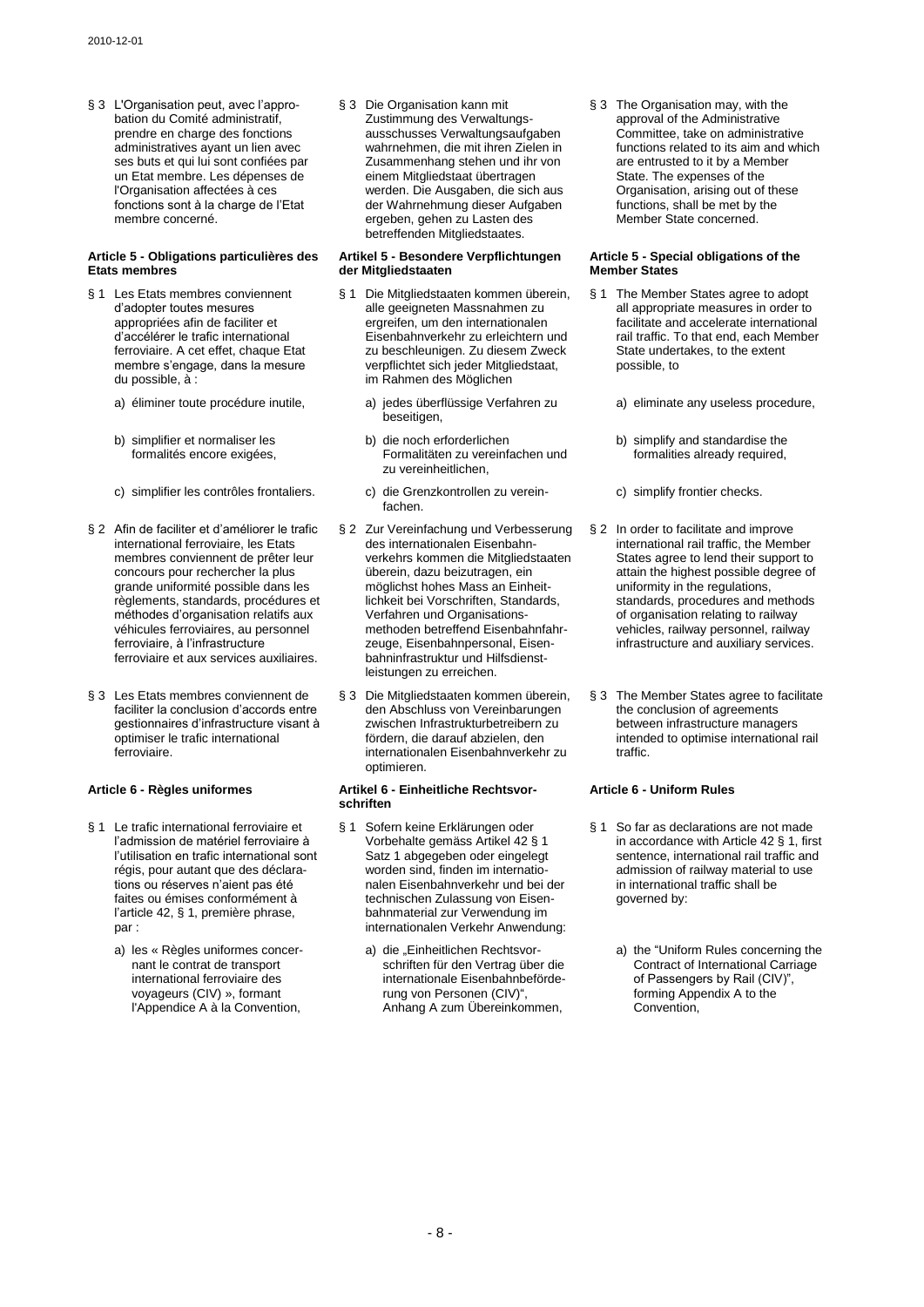§ 3 L'Organisation peut, avec l'approbation du Comité administratif, prendre en charge des fonctions administratives ayant un lien avec ses buts et qui lui sont confiées par un Etat membre. Les dépenses de l'Organisation affectées à ces fonctions sont à la charge de l"Etat membre concerné.

### **Article 5 - Obligations particulières des Etats membres**

- § 1 Les Etats membres conviennent d"adopter toutes mesures appropriées afin de faciliter et d"accélérer le trafic international ferroviaire. A cet effet, chaque Etat membre s"engage, dans la mesure du possible, à :
	-
	- b) simplifier et normaliser les formalités encore exigées.
	- c) simplifier les contrôles frontaliers. c) die Grenzkontrollen zu verein-
- § 2 Afin de faciliter et d'améliorer le trafic international ferroviaire, les Etats membres conviennent de prêter leur concours pour rechercher la plus grande uniformité possible dans les règlements, standards, procédures et méthodes d"organisation relatifs aux véhicules ferroviaires, au personnel ferroviaire, à l"infrastructure ferroviaire et aux services auxiliaires.
- § 3 Les Etats membres conviennent de faciliter la conclusion d"accords entre gestionnaires d"infrastructure visant à optimiser le trafic international ferroviaire.

- § 1 Le trafic international ferroviaire et l"admission de matériel ferroviaire à l"utilisation en trafic international sont régis, pour autant que des déclarations ou réserves n"aient pas été faites ou émises conformément à l'article 42, § 1, première phrase, par :
	- a) les « Règles uniformes concernant le contrat de transport international ferroviaire des voyageurs (CIV) », formant l'Appendice A à la Convention,

§ 3 Die Organisation kann mit Zustimmung des Verwaltungsausschusses Verwaltungsaufgaben wahrnehmen, die mit ihren Zielen in Zusammenhang stehen und ihr von einem Mitgliedstaat übertragen werden. Die Ausgaben, die sich aus der Wahrnehmung dieser Aufgaben ergeben, gehen zu Lasten des betreffenden Mitgliedstaates.

### **Artikel 5 - Besondere Verpflichtungen der Mitgliedstaaten**

- § 1 Die Mitgliedstaaten kommen überein, alle geeigneten Massnahmen zu ergreifen, um den internationalen Eisenbahnverkehr zu erleichtern und zu beschleunigen. Zu diesem Zweck verpflichtet sich jeder Mitgliedstaat, im Rahmen des Möglichen
- a) éliminer toute procédure inutile, a) jedes überflüssige Verfahren zu beseitigen,
	- b) die noch erforderlichen Formalitäten zu vereinfachen und zu vereinheitlichen,
	- fachen.
	- § 2 Zur Vereinfachung und Verbesserung des internationalen Eisenbahnverkehrs kommen die Mitgliedstaaten überein, dazu beizutragen, ein möglichst hohes Mass an Einheitlichkeit bei Vorschriften, Standards, Verfahren und Organisationsmethoden betreffend Eisenbahnfahrzeuge, Eisenbahnpersonal, Eisenbahninfrastruktur und Hilfsdienstleistungen zu erreichen.
	- § 3 Die Mitgliedstaaten kommen überein, den Abschluss von Vereinbarungen zwischen Infrastrukturbetreibern zu fördern, die darauf abzielen, den internationalen Eisenbahnverkehr zu optimieren.

# **Article 6 - Règles uniformes Artikel 6 - Einheitliche Rechtsvorschriften**

- § 1 Sofern keine Erklärungen oder Vorbehalte gemäss Artikel 42 § 1 Satz 1 abgegeben oder eingelegt worden sind, finden im internationalen Eisenbahnverkehr und bei der technischen Zulassung von Eisenbahnmaterial zur Verwendung im internationalen Verkehr Anwendung:
	- a) die "Einheitlichen Rechtsvorschriften für den Vertrag über die internationale Eisenbahnbeförderung von Personen (CIV)", Anhang A zum Übereinkommen,

§ 3 The Organisation may, with the approval of the Administrative Committee, take on administrative functions related to its aim and which are entrusted to it by a Member State. The expenses of the Organisation, arising out of these functions, shall be met by the Member State concerned.

# **Article 5 - Special obligations of the Member States**

- § 1 The Member States agree to adopt all appropriate measures in order to facilitate and accelerate international rail traffic. To that end, each Member State undertakes, to the extent possible, to
	- a) eliminate any useless procedure,
	- b) simplify and standardise the formalities already required.
	- c) simplify frontier checks.
- § 2 In order to facilitate and improve international rail traffic, the Member States agree to lend their support to attain the highest possible degree of uniformity in the regulations, standards, procedures and methods of organisation relating to railway vehicles, railway personnel, railway infrastructure and auxiliary services.
- § 3 The Member States agree to facilitate the conclusion of agreements between infrastructure managers intended to optimise international rail traffic.

# **Article 6 - Uniform Rules**

- § 1 So far as declarations are not made in accordance with Article 42 § 1, first sentence, international rail traffic and admission of railway material to use in international traffic shall be governed by:
	- a) the "Uniform Rules concerning the Contract of International Carriage of Passengers by Rail (CIV)", forming Appendix A to the Convention,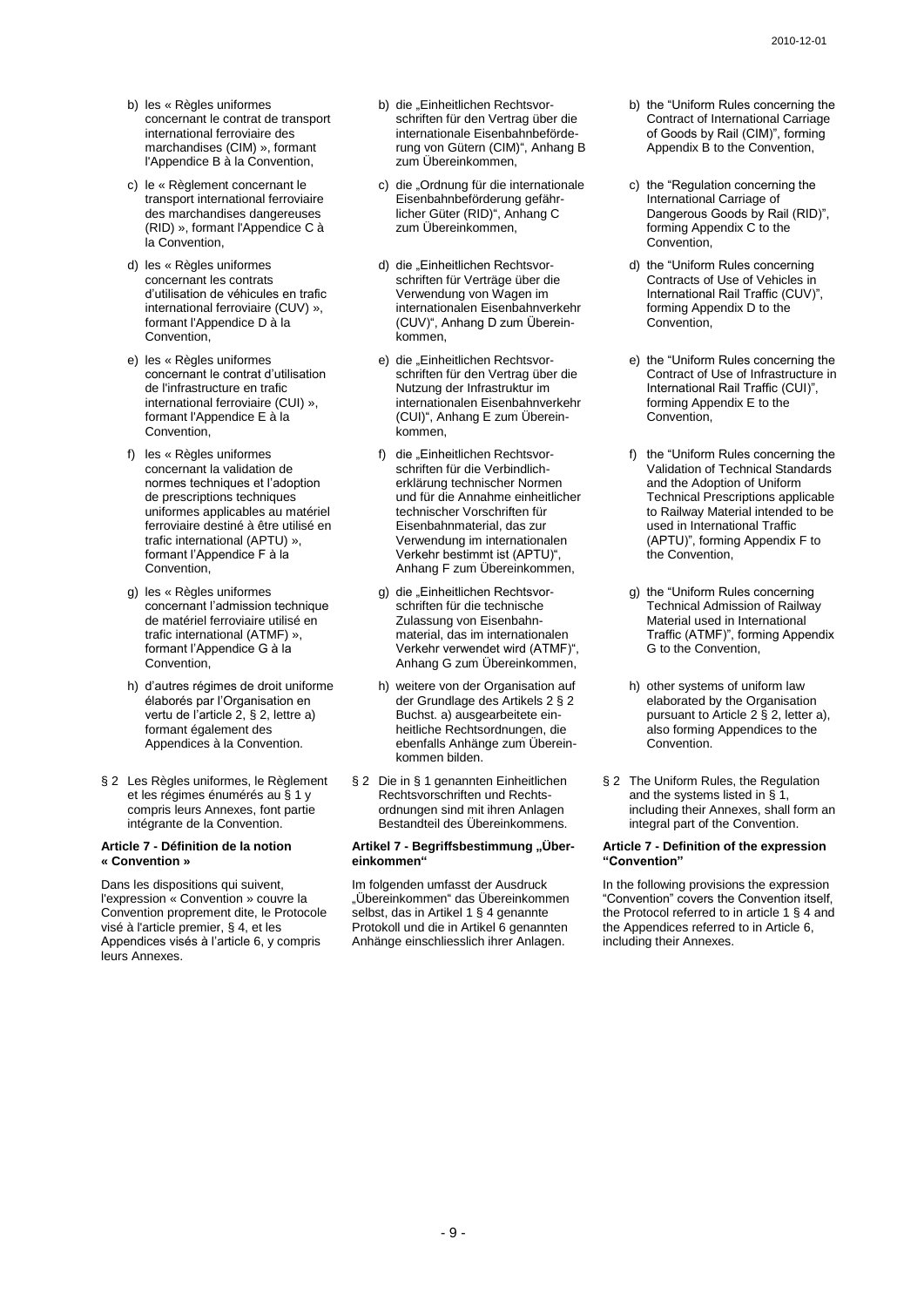- b) les « Règles uniformes concernant le contrat de transport international ferroviaire des marchandises (CIM) », formant l'Appendice B à la Convention,
- c) le « Règlement concernant le transport international ferroviaire des marchandises dangereuses (RID) », formant l'Appendice C à la Convention,
- d) les « Règles uniformes concernant les contrats d"utilisation de véhicules en trafic international ferroviaire (CUV) », formant l'Appendice D à la Convention,
- e) les « Règles uniformes concernant le contrat d"utilisation de l'infrastructure en trafic international ferroviaire (CUI) », formant l'Appendice E à la Convention,
- f) les « Règles uniformes concernant la validation de normes techniques et l"adoption de prescriptions techniques uniformes applicables au matériel ferroviaire destiné à être utilisé en trafic international (APTU) », formant l"Appendice F à la Convention,
- g) les « Règles uniformes concernant l"admission technique de matériel ferroviaire utilisé en trafic international (ATMF) », formant l"Appendice G à la Convention,
- h) d"autres régimes de droit uniforme élaborés par l"Organisation en vertu de l"article 2, § 2, lettre a) formant également des Appendices à la Convention.
- § 2 Les Règles uniformes, le Règlement et les régimes énumérés au § 1 y compris leurs Annexes, font partie intégrante de la Convention.

# **Article 7 - Définition de la notion « Convention »**

Dans les dispositions qui suivent, l'expression « Convention » couvre la Convention proprement dite, le Protocole visé à l'article premier, § 4, et les Appendices visés à l"article 6, y compris leurs Annexes.

- b) die "Einheitlichen Rechtsvorschriften für den Vertrag über die internationale Eisenbahnbeförderung von Gütern (CIM)", Anhang B zum Übereinkommen,
- c) die "Ordnung für die internationale Eisenbahnbeförderung gefährlicher Güter (RID)", Anhang C zum Übereinkommen,
- d) die "Einheitlichen Rechtsvorschriften für Verträge über die Verwendung von Wagen im internationalen Eisenbahnverkehr (CUV)", Anhang D zum Übereinkommen,
- e) die "Einheitlichen Rechtsvorschriften für den Vertrag über die Nutzung der Infrastruktur im internationalen Eisenbahnverkehr (CUI)", Anhang E zum Übereinkommen,
- f) die "Einheitlichen Rechtsvorschriften für die Verbindlicherklärung technischer Normen und für die Annahme einheitlicher technischer Vorschriften für Eisenbahnmaterial, das zur Verwendung im internationalen Verkehr bestimmt ist (APTU)", Anhang F zum Übereinkommen,
- g) die "Einheitlichen Rechtsvorschriften für die technische Zulassung von Eisenbahnmaterial, das im internationalen Verkehr verwendet wird (ATMF)", Anhang G zum Übereinkommen,
- h) weitere von der Organisation auf der Grundlage des Artikels 2 § 2 Buchst. a) ausgearbeitete einheitliche Rechtsordnungen, die ebenfalls Anhänge zum Übereinkommen bilden.
- § 2 Die in § 1 genannten Einheitlichen Rechtsvorschriften und Rechtsordnungen sind mit ihren Anlagen Bestandteil des Übereinkommens.

# **Artikel 7 - Begriffsbestimmung "Übereinkommen"**

Im folgenden umfasst der Ausdruck "Übereinkommen" das Übereinkommen selbst, das in Artikel 1 § 4 genannte Protokoll und die in Artikel 6 genannten Anhänge einschliesslich ihrer Anlagen.

- b) the "Uniform Rules concerning the Contract of International Carriage of Goods by Rail (CIM)", forming Appendix B to the Convention,
- c) the "Regulation concerning the International Carriage of Dangerous Goods by Rail (RID)", forming Appendix C to the Convention,
- d) the "Uniform Rules concerning Contracts of Use of Vehicles in International Rail Traffic (CUV)", forming Appendix D to the Convention,
- e) the "Uniform Rules concerning the Contract of Use of Infrastructure in International Rail Traffic (CUI)", forming Appendix E to the Convention,
- f) the "Uniform Rules concerning the Validation of Technical Standards and the Adoption of Uniform Technical Prescriptions applicable to Railway Material intended to be used in International Traffic (APTU)", forming Appendix F to the Convention.
- g) the "Uniform Rules concerning Technical Admission of Railway Material used in International Traffic (ATMF)", forming Appendix G to the Convention,
- h) other systems of uniform law elaborated by the Organisation pursuant to Article 2 § 2, letter a), also forming Appendices to the Convention.
- § 2 The Uniform Rules, the Regulation and the systems listed in § 1, including their Annexes, shall form an integral part of the Convention.

# **Article 7 - Definition of the expression "Convention"**

In the following provisions the expression "Convention" covers the Convention itself, the Protocol referred to in article 1 § 4 and the Appendices referred to in Article 6, including their Annexes.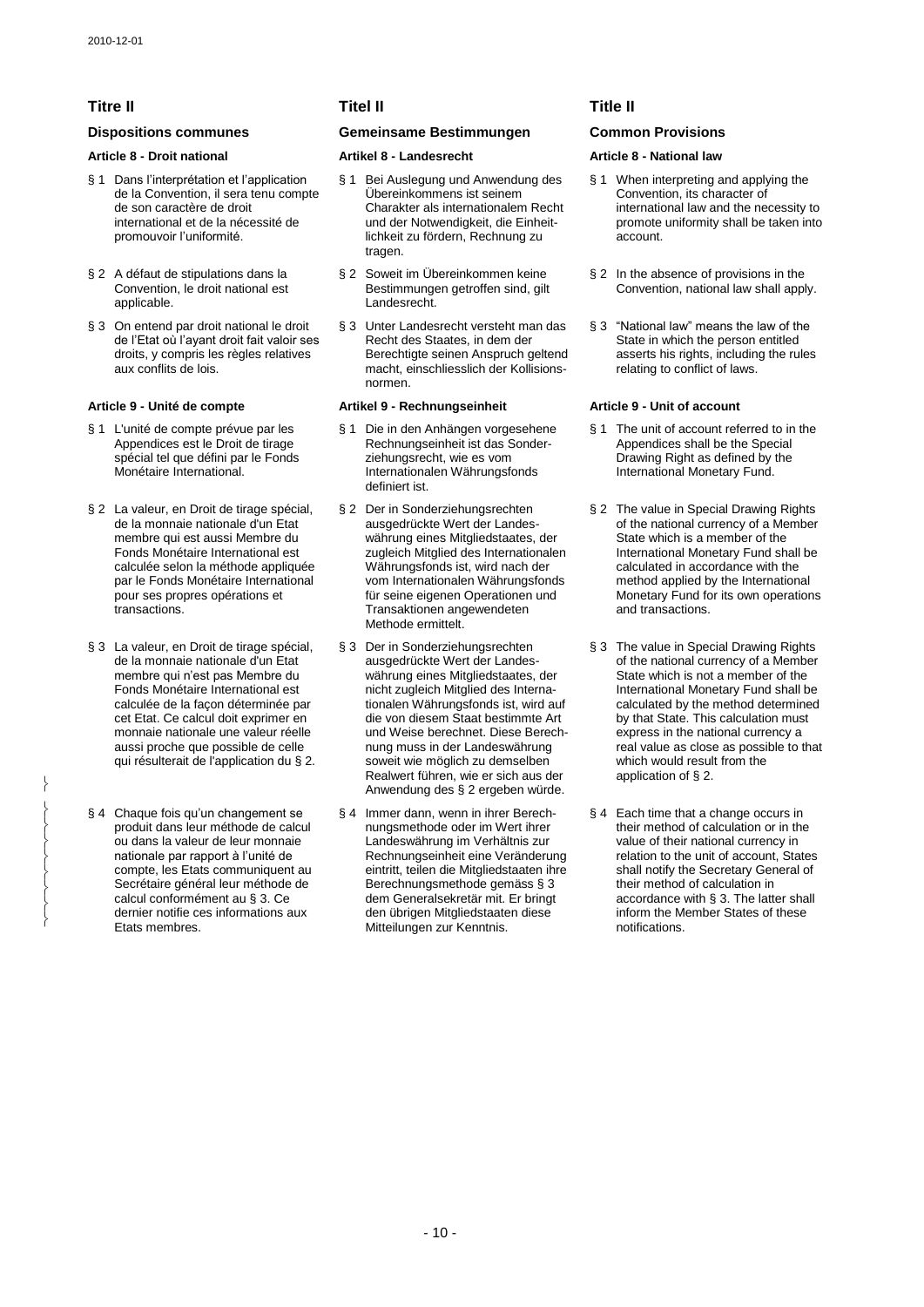# **Article 8 - Droit national Artikel 8 - Landesrecht Article 8 - National law**

- § 1 Dans l'interprétation et l'application de la Convention, il sera tenu compte de son caractère de droit international et de la nécessité de promouvoir l"uniformité.
- § 2 A défaut de stipulations dans la Convention, le droit national est applicable.
- § 3 On entend par droit national le droit de l"Etat où l"ayant droit fait valoir ses droits, y compris les règles relatives aux conflits de lois.

# **Article 9 - Unité de compte Artikel 9 - Rechnungseinheit Article 9 - Unit of account**

- § 1 L'unité de compte prévue par les Appendices est le Droit de tirage spécial tel que défini par le Fonds Monétaire International.
- § 2 La valeur, en Droit de tirage spécial, de la monnaie nationale d'un Etat membre qui est aussi Membre du Fonds Monétaire International est calculée selon la méthode appliquée par le Fonds Monétaire International pour ses propres opérations et transactions.
- § 3 La valeur, en Droit de tirage spécial, de la monnaie nationale d'un Etat membre qui n"est pas Membre du Fonds Monétaire International est calculée de la façon déterminée par cet Etat. Ce calcul doit exprimer en monnaie nationale une valeur réelle aussi proche que possible de celle qui résulterait de l'application du § 2.
- § 4 Chaque fois qu"un changement se produit dans leur méthode de calcul ou dans la valeur de leur monnaie nationale par rapport à l"unité de compte, les Etats communiquent au Secrétaire général leur méthode de calcul conformément au § 3. Ce dernier notifie ces informations aux Etats membres.

 $\left\{ \right.$  $\left\{ \right.$  $\left\{ \right.$  $\left\{ \right.$  $\left\{ \right.$  $\left\{ \right.$  $\left\{ \right.$  $\left\{ \right.$  $\left\{ \right.$ 

# **Dispositions communes Gemeinsame Bestimmungen Common Provisions**

- § 1 Bei Auslegung und Anwendung des Übereinkommens ist seinem Charakter als internationalem Recht und der Notwendigkeit, die Einheitlichkeit zu fördern, Rechnung zu tragen.
- § 2 Soweit im Übereinkommen keine Bestimmungen getroffen sind, gilt Landesrecht.
- § 3 Unter Landesrecht versteht man das Recht des Staates, in dem der Berechtigte seinen Anspruch geltend macht, einschliesslich der Kollisionsnormen.

- § 1 Die in den Anhängen vorgesehene Rechnungseinheit ist das Sonderziehungsrecht, wie es vom Internationalen Währungsfonds definiert ist.
- § 2 Der in Sonderziehungsrechten ausgedrückte Wert der Landeswährung eines Mitgliedstaates, der zugleich Mitglied des Internationalen Währungsfonds ist, wird nach der vom Internationalen Währungsfonds für seine eigenen Operationen und Transaktionen angewendeten Methode ermittelt.
- § 3 Der in Sonderziehungsrechten ausgedrückte Wert der Landeswährung eines Mitgliedstaates, der nicht zugleich Mitglied des Internationalen Währungsfonds ist, wird auf die von diesem Staat bestimmte Art und Weise berechnet. Diese Berechnung muss in der Landeswährung soweit wie möglich zu demselben Realwert führen, wie er sich aus der Anwendung des § 2 ergeben würde.
- § 4 Immer dann, wenn in ihrer Berechnungsmethode oder im Wert ihrer Landeswährung im Verhältnis zur Rechnungseinheit eine Veränderung eintritt, teilen die Mitgliedstaaten ihre Berechnungsmethode gemäss § 3 dem Generalsekretär mit. Er bringt den übrigen Mitgliedstaaten diese Mitteilungen zur Kenntnis.

# **Titre II Titel II Title II**

- § 1 When interpreting and applying the Convention, its character of international law and the necessity to promote uniformity shall be taken into account.
- § 2 In the absence of provisions in the Convention, national law shall apply.
- § 3 "National law" means the law of the State in which the person entitled asserts his rights, including the rules relating to conflict of laws.

- § 1 The unit of account referred to in the Appendices shall be the Special Drawing Right as defined by the International Monetary Fund.
- § 2 The value in Special Drawing Rights of the national currency of a Member State which is a member of the International Monetary Fund shall be calculated in accordance with the method applied by the International Monetary Fund for its own operations and transactions.
- § 3 The value in Special Drawing Rights of the national currency of a Member State which is not a member of the International Monetary Fund shall be calculated by the method determined by that State. This calculation must express in the national currency a real value as close as possible to that which would result from the application of § 2.
- § 4 Each time that a change occurs in their method of calculation or in the value of their national currency in relation to the unit of account, States shall notify the Secretary General of their method of calculation in accordance with § 3. The latter shall inform the Member States of these notifications.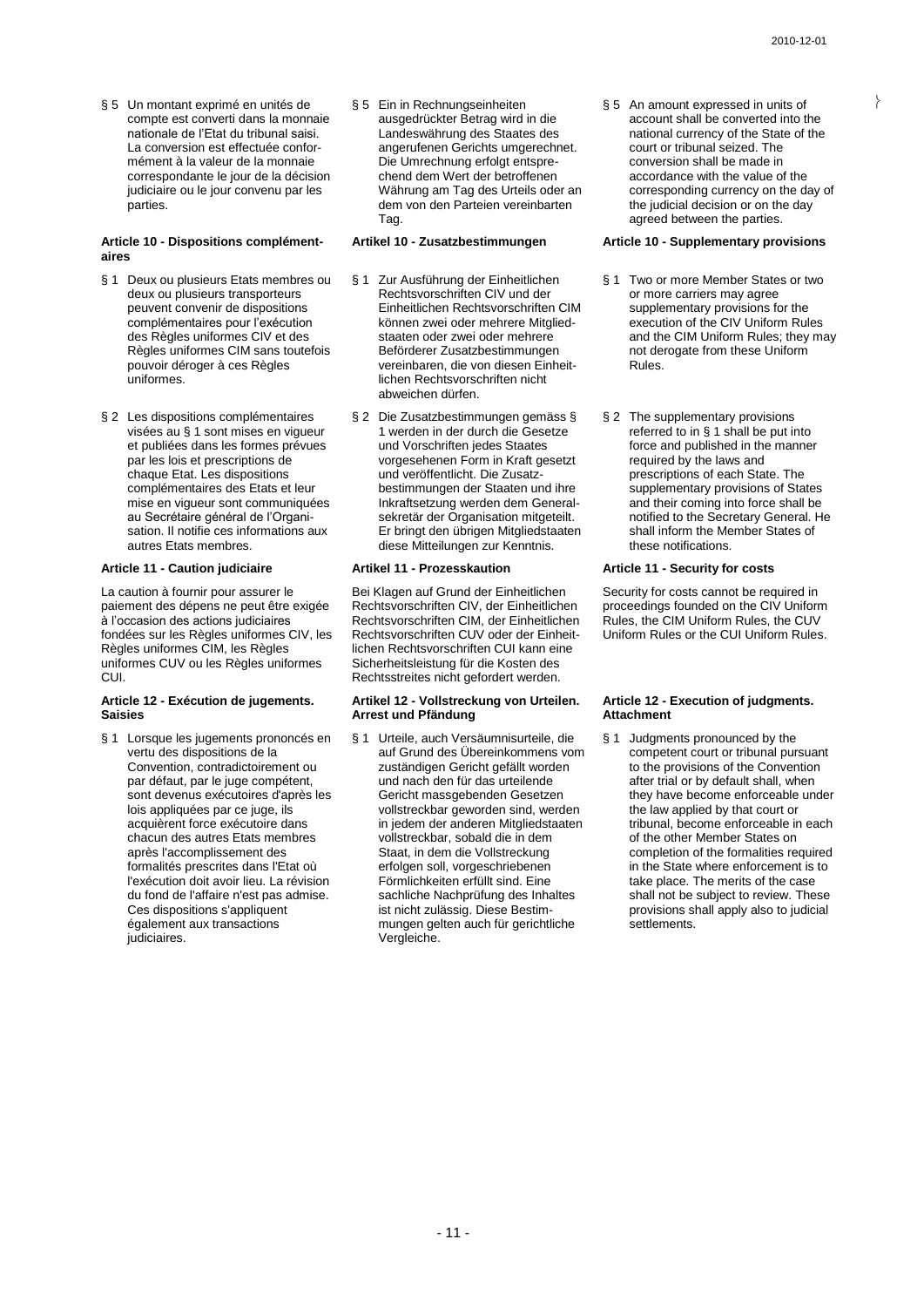$\overline{\phantom{a}}$ 

§ 5 Un montant exprimé en unités de compte est converti dans la monnaie nationale de l"Etat du tribunal saisi. La conversion est effectuée conformément à la valeur de la monnaie correspondante le jour de la décision judiciaire ou le jour convenu par les parties.

# **Article 10 - Dispositions complémentaires**

- § 1 Deux ou plusieurs Etats membres ou deux ou plusieurs transporteurs peuvent convenir de dispositions complémentaires pour l'exécution des Règles uniformes CIV et des Règles uniformes CIM sans toutefois pouvoir déroger à ces Règles uniformes.
- § 2 Les dispositions complémentaires visées au § 1 sont mises en vigueur et publiées dans les formes prévues par les lois et prescriptions de chaque Etat. Les dispositions complémentaires des Etats et leur mise en vigueur sont communiquées au Secrétaire général de l"Organisation. Il notifie ces informations aux autres Etats membres.

La caution à fournir pour assurer le paiement des dépens ne peut être exigée à l"occasion des actions judiciaires fondées sur les Règles uniformes CIV, les Règles uniformes CIM, les Règles uniformes CUV ou les Règles uniformes CUI.

# **Article 12 - Exécution de jugements. Saisies**

§ 1 Lorsque les jugements prononcés en vertu des dispositions de la Convention, contradictoirement ou par défaut, par le juge compétent, sont devenus exécutoires d'après les lois appliquées par ce juge, ils acquièrent force exécutoire dans chacun des autres Etats membres après l'accomplissement des formalités prescrites dans l'Etat où l'exécution doit avoir lieu. La révision du fond de l'affaire n'est pas admise. Ces dispositions s'appliquent également aux transactions judiciaires.

§ 5 Ein in Rechnungseinheiten ausgedrückter Betrag wird in die Landeswährung des Staates des angerufenen Gerichts umgerechnet. Die Umrechnung erfolgt entsprechend dem Wert der betroffenen Währung am Tag des Urteils oder an dem von den Parteien vereinbarten Tag.

- § 1 Zur Ausführung der Einheitlichen Rechtsvorschriften CIV und der Einheitlichen Rechtsvorschriften CIM können zwei oder mehrere Mitgliedstaaten oder zwei oder mehrere Beförderer Zusatzbestimmungen vereinbaren, die von diesen Einheitlichen Rechtsvorschriften nicht abweichen dürfen.
- § 2 Die Zusatzbestimmungen gemäss § 1 werden in der durch die Gesetze und Vorschriften jedes Staates vorgesehenen Form in Kraft gesetzt und veröffentlicht. Die Zusatzbestimmungen der Staaten und ihre Inkraftsetzung werden dem Generalsekretär der Organisation mitgeteilt. Er bringt den übrigen Mitgliedstaaten diese Mitteilungen zur Kenntnis.

Bei Klagen auf Grund der Einheitlichen Rechtsvorschriften CIV, der Einheitlichen Rechtsvorschriften CIM, der Einheitlichen Rechtsvorschriften CUV oder der Einheitlichen Rechtsvorschriften CUI kann eine Sicherheitsleistung für die Kosten des Rechtsstreites nicht gefordert werden.

# **Artikel 12 - Vollstreckung von Urteilen. Arrest und Pfändung**

§ 1 Urteile, auch Versäumnisurteile, die auf Grund des Übereinkommens vom zuständigen Gericht gefällt worden und nach den für das urteilende Gericht massgebenden Gesetzen vollstreckbar geworden sind, werden in jedem der anderen Mitgliedstaaten vollstreckbar, sobald die in dem Staat, in dem die Vollstreckung erfolgen soll, vorgeschriebenen Förmlichkeiten erfüllt sind. Eine sachliche Nachprüfung des Inhaltes ist nicht zulässig. Diese Bestimmungen gelten auch für gerichtliche Vergleiche.

§ 5 An amount expressed in units of account shall be converted into the national currency of the State of the court or tribunal seized. The conversion shall be made in accordance with the value of the corresponding currency on the day of the judicial decision or on the day agreed between the parties.

# **Artikel 10 - Zusatzbestimmungen Article 10 - Supplementary provisions**

- § 1 Two or more Member States or two or more carriers may agree supplementary provisions for the execution of the CIV Uniform Rules and the CIM Uniform Rules; they may not derogate from these Uniform Rules.
- § 2 The supplementary provisions referred to in § 1 shall be put into force and published in the manner required by the laws and prescriptions of each State. The supplementary provisions of States and their coming into force shall be notified to the Secretary General. He shall inform the Member States of these notifications.

# **Article 11 - Caution judiciaire Artikel 11 - Prozesskaution Article 11 - Security for costs**

Security for costs cannot be required in proceedings founded on the CIV Uniform Rules, the CIM Uniform Rules, the CUV Uniform Rules or the CUI Uniform Rules.

# **Article 12 - Execution of judgments. Attachment**

§ 1 Judgments pronounced by the competent court or tribunal pursuant to the provisions of the Convention after trial or by default shall, when they have become enforceable under the law applied by that court or tribunal, become enforceable in each of the other Member States on completion of the formalities required in the State where enforcement is to take place. The merits of the case shall not be subject to review. These provisions shall apply also to judicial settlements.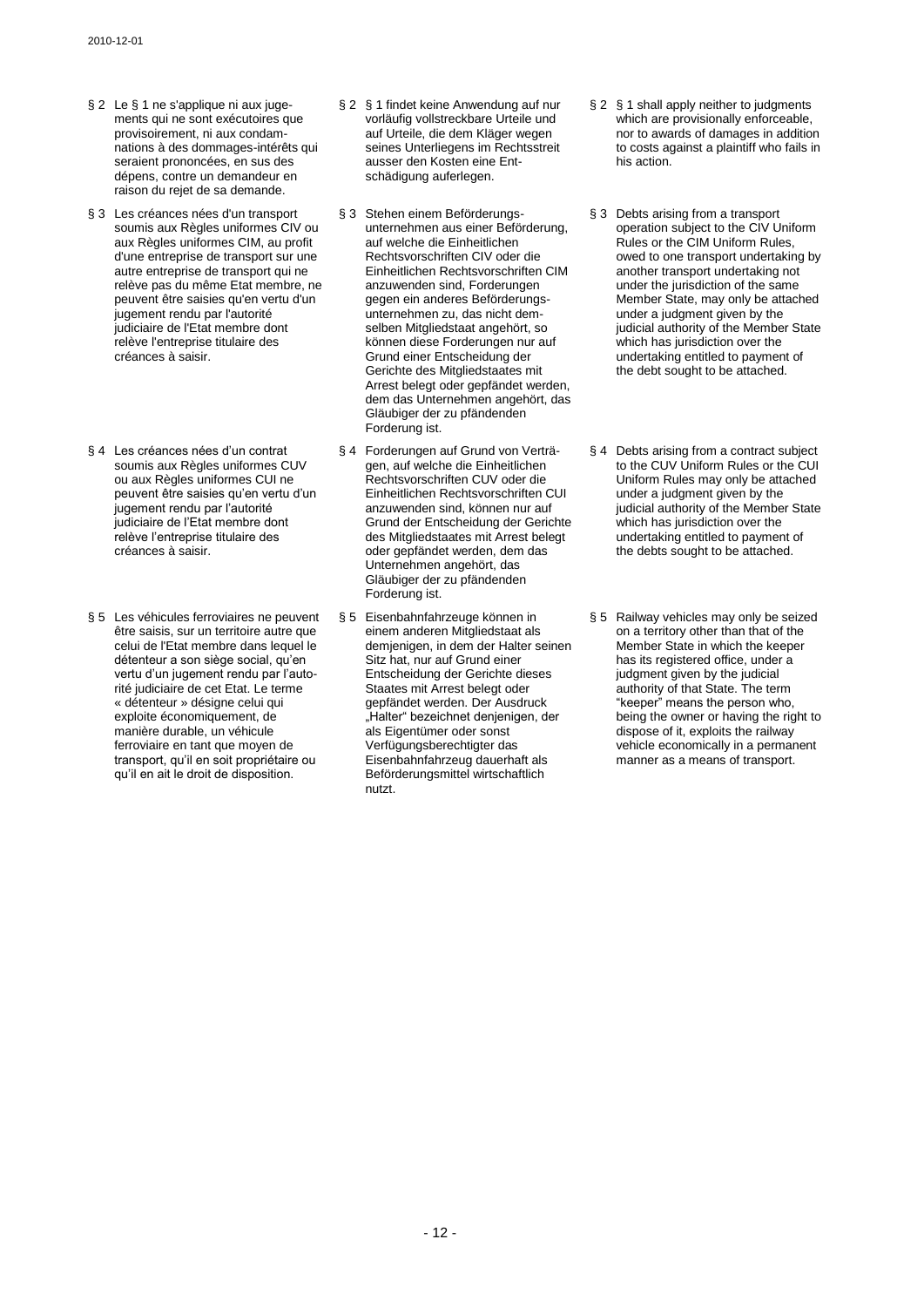- § 2 Le § 1 ne s'applique ni aux jugements qui ne sont exécutoires que provisoirement, ni aux condamnations à des dommages-intérêts qui seraient prononcées, en sus des dépens, contre un demandeur en raison du rejet de sa demande.
- § 3 Les créances nées d'un transport soumis aux Règles uniformes CIV ou aux Règles uniformes CIM, au profit d'une entreprise de transport sur une autre entreprise de transport qui ne relève pas du même Etat membre, ne peuvent être saisies qu'en vertu d'un jugement rendu par l'autorité judiciaire de l'Etat membre dont relève l'entreprise titulaire des créances à saisir.
- § 4 Les créances nées d'un contrat soumis aux Règles uniformes CUV ou aux Règles uniformes CUI ne peuvent être saisies qu"en vertu d"un jugement rendu par l"autorité judiciaire de l"Etat membre dont relève l"entreprise titulaire des créances à saisir.
- § 5 Les véhicules ferroviaires ne peuvent être saisis, sur un territoire autre que celui de l'Etat membre dans lequel le détenteur a son siège social, qu'en vertu d"un jugement rendu par l"autorité judiciaire de cet Etat. Le terme « détenteur » désigne celui qui exploite économiquement, de manière durable, un véhicule ferroviaire en tant que moyen de transport, qu"il en soit propriétaire ou qu"il en ait le droit de disposition.
- § 2 § 1 findet keine Anwendung auf nur vorläufig vollstreckbare Urteile und auf Urteile, die dem Kläger wegen seines Unterliegens im Rechtsstreit ausser den Kosten eine Entschädigung auferlegen.
- § 3 Stehen einem Beförderungsunternehmen aus einer Beförderung, auf welche die Einheitlichen Rechtsvorschriften CIV oder die Einheitlichen Rechtsvorschriften CIM anzuwenden sind, Forderungen gegen ein anderes Beförderungsunternehmen zu, das nicht demselben Mitgliedstaat angehört, so können diese Forderungen nur auf Grund einer Entscheidung der Gerichte des Mitgliedstaates mit Arrest belegt oder gepfändet werden, dem das Unternehmen angehört, das Gläubiger der zu pfändenden Forderung ist.
- § 4 Forderungen auf Grund von Verträgen, auf welche die Einheitlichen Rechtsvorschriften CUV oder die Einheitlichen Rechtsvorschriften CUI anzuwenden sind, können nur auf Grund der Entscheidung der Gerichte des Mitgliedstaates mit Arrest belegt oder gepfändet werden, dem das Unternehmen angehört, das Gläubiger der zu pfändenden Forderung ist.
- § 5 Eisenbahnfahrzeuge können in einem anderen Mitgliedstaat als demjenigen, in dem der Halter seinen Sitz hat, nur auf Grund einer Entscheidung der Gerichte dieses Staates mit Arrest belegt oder gepfändet werden. Der Ausdruck "Halter" bezeichnet denjenigen, der als Eigentümer oder sonst Verfügungsberechtigter das Eisenbahnfahrzeug dauerhaft als Beförderungsmittel wirtschaftlich nutzt.
- § 2 § 1 shall apply neither to judgments which are provisionally enforceable, nor to awards of damages in addition to costs against a plaintiff who fails in his action.
- § 3 Debts arising from a transport operation subject to the CIV Uniform Rules or the CIM Uniform Rules, owed to one transport undertaking by another transport undertaking not under the jurisdiction of the same Member State, may only be attached under a judgment given by the judicial authority of the Member State which has jurisdiction over the undertaking entitled to payment of the debt sought to be attached.
- § 4 Debts arising from a contract subject to the CUV Uniform Rules or the CUI Uniform Rules may only be attached under a judgment given by the judicial authority of the Member State which has jurisdiction over the undertaking entitled to payment of the debts sought to be attached.
- § 5 Railway vehicles may only be seized on a territory other than that of the Member State in which the keeper has its registered office, under a judgment given by the judicial authority of that State. The term "keeper" means the person who, being the owner or having the right to dispose of it, exploits the railway vehicle economically in a permanent manner as a means of transport.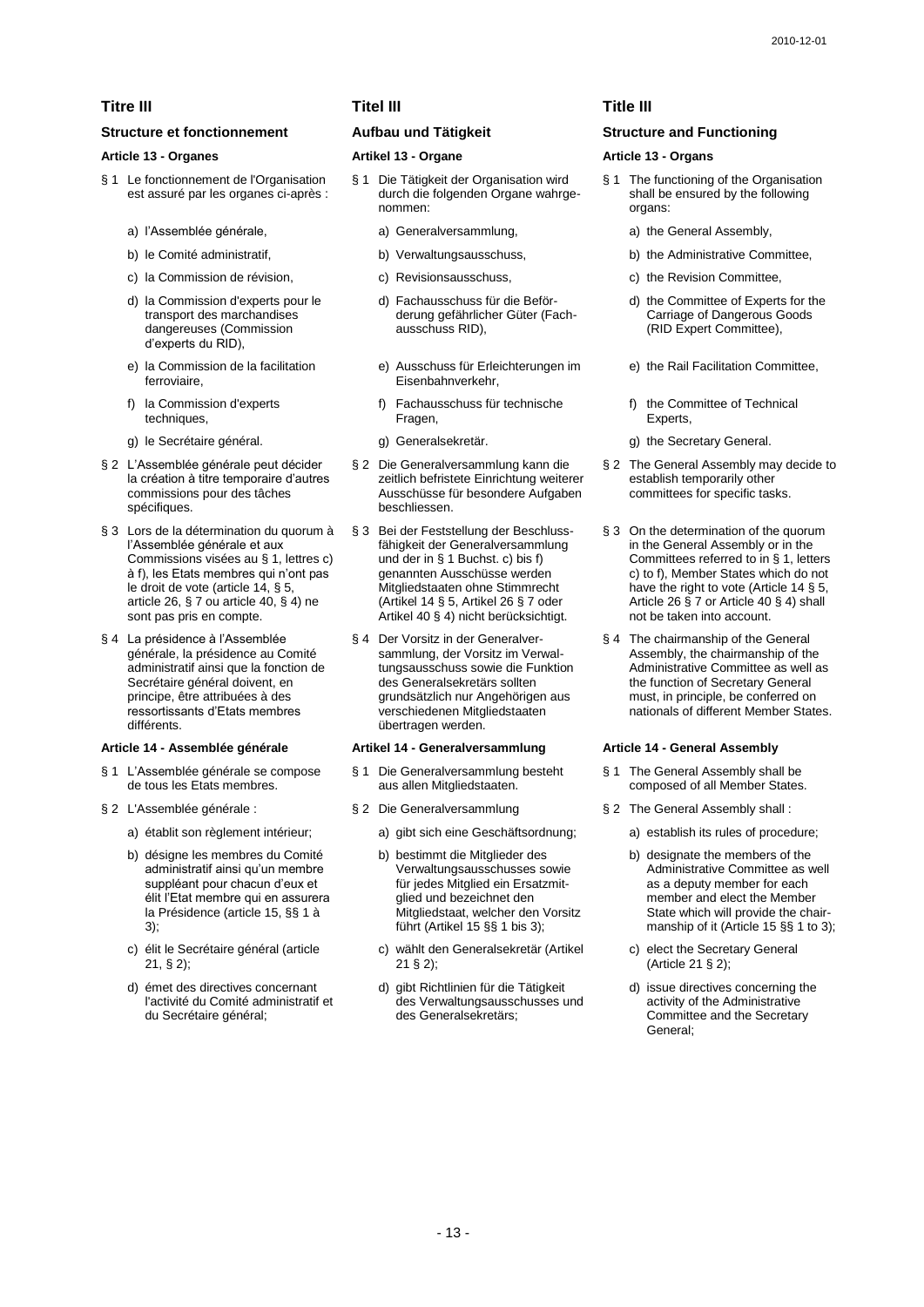# **Structure et fonctionnement Aufbau und Tätigkeit Structure and Functioning**

# **Article 13 - Organes Artikel 13 - Organe Article 13 - Organs**

- § 1 Le fonctionnement de l'Organisation est assuré par les organes ci-après :
	- a) l"Assemblée générale, a) Generalversammlung, a) the General Assembly,
	-
	- c) la Commission de révision, c) Revisionsausschuss, c) the Revision Committee,
	- d) la Commission d'experts pour le transport des marchandises dangereuses (Commission d"experts du RID),
	- e) la Commission de la facilitation ferroviaire,
	- f) la Commission d'experts techniques.
	-
- § 2 L'Assemblée générale peut décider la création à titre temporaire d"autres commissions pour des tâches spécifiques.
- § 3 Lors de la détermination du quorum à l"Assemblée générale et aux Commissions visées au § 1, lettres c) à f), les Etats membres qui n"ont pas le droit de vote (article 14, § 5, article 26, § 7 ou article 40, § 4) ne sont pas pris en compte.
- § 4 La présidence à l'Assemblée générale, la présidence au Comité administratif ainsi que la fonction de Secrétaire général doivent, en principe, être attribuées à des ressortissants d"Etats membres différents.

- § 1 L'Assemblée générale se compose de tous les Etats membres.
- -
	- b) désigne les membres du Comité administratif ainsi qu'un membre suppléant pour chacun d"eux et élit l"Etat membre qui en assurera la Présidence (article 15, §§ 1 à 3);
	- c) élit le Secrétaire général (article  $21, 8, 2$
	- d) émet des directives concernant l'activité du Comité administratif et du Secrétaire général;

# **Titre III Titel III Title III**

- § 1 Die Tätigkeit der Organisation wird durch die folgenden Organe wahrgenommen:
	-
	-
	-
	- d) Fachausschuss für die Beförderung gefährlicher Güter (Fachausschuss RID),
	- e) Ausschuss für Erleichterungen im Eisenbahnverkehr,
	- f) Fachausschuss für technische Fragen,
	-
- § 2 Die Generalversammlung kann die zeitlich befristete Einrichtung weiterer Ausschüsse für besondere Aufgaben beschliessen.
- § 3 Bei der Feststellung der Beschlussfähigkeit der Generalversammlung und der in § 1 Buchst. c) bis f) genannten Ausschüsse werden Mitgliedstaaten ohne Stimmrecht (Artikel 14 § 5, Artikel 26 § 7 oder Artikel 40 § 4) nicht berücksichtigt.
- § 4 Der Vorsitz in der Generalversammlung, der Vorsitz im Verwaltungsausschuss sowie die Funktion des Generalsekretärs sollten grundsätzlich nur Angehörigen aus verschiedenen Mitgliedstaaten übertragen werden.

# **Article 14 - Assemblée générale Artikel 14 - Generalversammlung Article 14 - General Assembly**

- § 1 Die Generalversammlung besteht aus allen Mitgliedstaaten.
- 
- a) établit son règlement intérieur; a) gibt sich eine Geschäftsordnung; a) establish its rules of procedure;
	- b) bestimmt die Mitglieder des Verwaltungsausschusses sowie für jedes Mitglied ein Ersatzmitglied und bezeichnet den Mitgliedstaat, welcher den Vorsitz führt (Artikel 15 §§ 1 bis 3);
	- c) wählt den Generalsekretär (Artikel 21 § 2);
	- d) gibt Richtlinien für die Tätigkeit des Verwaltungsausschusses und des Generalsekretärs;

- § 1 The functioning of the Organisation shall be ensured by the following organs:
	-
- b) le Comité administratif, b) Verwaltungsausschuss, b) the Administrative Committee,
	-
	- d) the Committee of Experts for the Carriage of Dangerous Goods (RID Expert Committee),
	- e) the Rail Facilitation Committee,
	- the Committee of Technical Experts,
- g) le Secrétaire général. g) Generalsekretär. g) the Secretary General.
	- § 2 The General Assembly may decide to establish temporarily other committees for specific tasks.
	- § 3 On the determination of the quorum in the General Assembly or in the Committees referred to in § 1, letters c) to f), Member States which do not have the right to vote (Article 14 § 5, Article 26 § 7 or Article 40 § 4) shall not be taken into account.
	- § 4 The chairmanship of the General Assembly, the chairmanship of the Administrative Committee as well as the function of Secretary General must, in principle, be conferred on nationals of different Member States.

- § 1 The General Assembly shall be composed of all Member States.
- § 2 L'Assemblée générale : <br>§ 2 Die Generalversammlung in § 8 2 The General Assembly shall :
	-
	- b) designate the members of the Administrative Committee as well as a deputy member for each member and elect the Member State which will provide the chairmanship of it (Article 15 §§ 1 to 3);
	- c) elect the Secretary General (Article 21 § 2);
	- d) issue directives concerning the activity of the Administrative Committee and the Secretary General;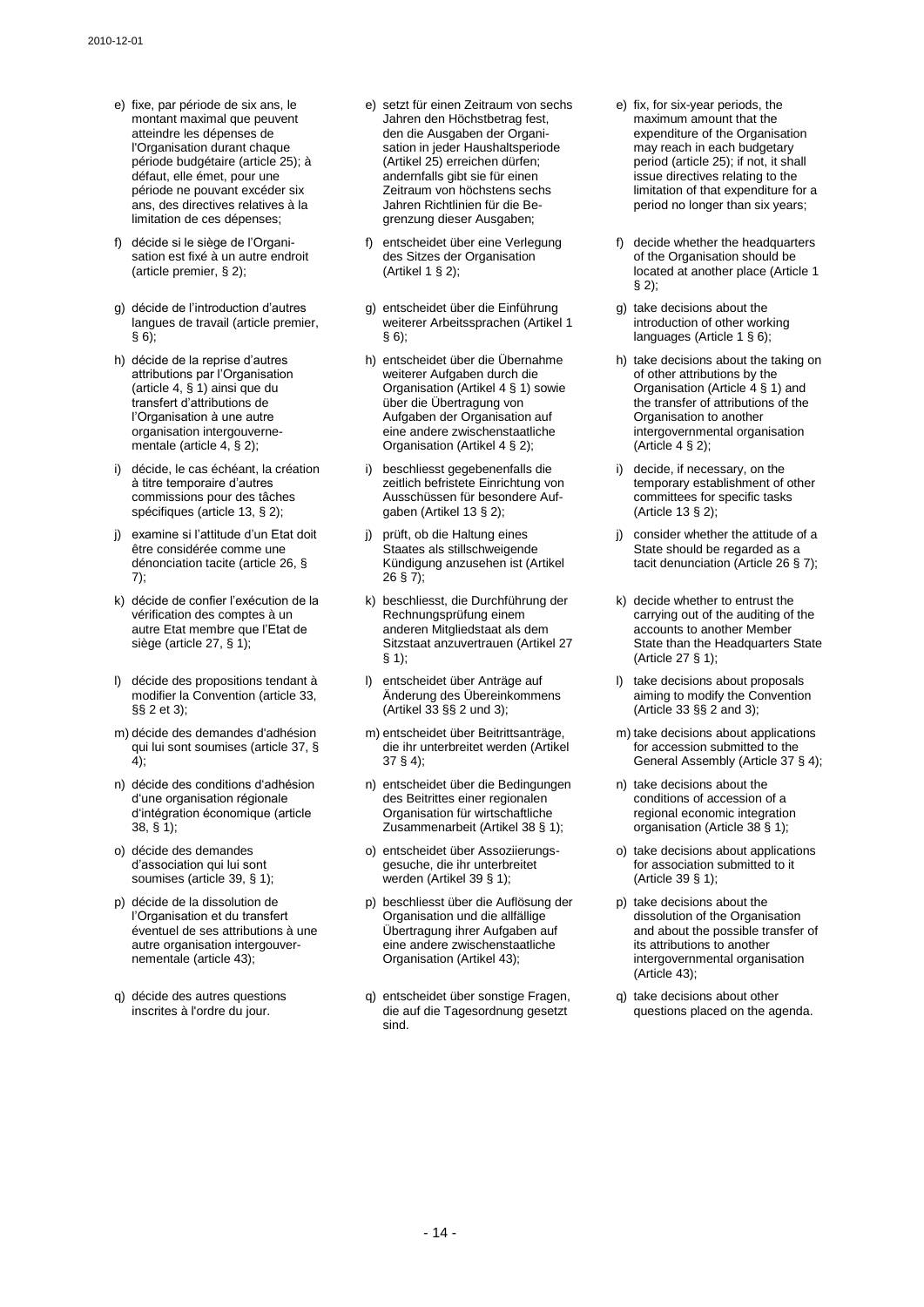- e) fixe, par période de six ans, le montant maximal que peuvent atteindre les dépenses de l'Organisation durant chaque période budgétaire (article 25); à défaut, elle émet, pour une période ne pouvant excéder six ans, des directives relatives à la limitation de ces dépenses;
- f) décide si le siège de l"Organisation est fixé à un autre endroit (article premier, § 2);
- g) décide de l"introduction d"autres langues de travail (article premier,  $§$  6);
- h) décide de la reprise d"autres attributions par l"Organisation (article 4, § 1) ainsi que du transfert d"attributions de l"Organisation à une autre organisation intergouvernementale (article 4, § 2);
- décide, le cas échéant, la création à titre temporaire d"autres commissions pour des tâches spécifiques (article 13, § 2);
- examine si l'attitude d'un Etat doit être considérée comme une dénonciation tacite (article 26, § 7);
- k) décide de confier l"exécution de la vérification des comptes à un autre Etat membre que l"Etat de siège (article 27, § 1);
- l) décide des propositions tendant à modifier la Convention (article 33, §§ 2 et 3);
- m) décide des demandes d'adhésion qui lui sont soumises (article 37, § 4);
- n) décide des conditions d"adhésion d"une organisation régionale d"intégration économique (article 38, § 1);
- o) décide des demandes d"association qui lui sont soumises (article 39, § 1);
- p) décide de la dissolution de l"Organisation et du transfert éventuel de ses attributions à une autre organisation intergouvernementale (article 43);
- q) décide des autres questions inscrites à l'ordre du jour.
- e) setzt für einen Zeitraum von sechs Jahren den Höchstbetrag fest, den die Ausgaben der Organisation in jeder Haushaltsperiode (Artikel 25) erreichen dürfen; andernfalls gibt sie für einen Zeitraum von höchstens sechs Jahren Richtlinien für die Begrenzung dieser Ausgaben;
- f) entscheidet über eine Verlegung des Sitzes der Organisation (Artikel 1 § 2);
- g) entscheidet über die Einführung weiterer Arbeitssprachen (Artikel 1  $\mathcal{S}$  6) $\cdot$
- h) entscheidet über die Übernahme weiterer Aufgaben durch die Organisation (Artikel 4 § 1) sowie über die Übertragung von Aufgaben der Organisation auf eine andere zwischenstaatliche Organisation (Artikel 4 § 2);
- i) beschliesst gegebenenfalls die zeitlich befristete Einrichtung von Ausschüssen für besondere Aufgaben (Artikel 13 § 2);
- prüft, ob die Haltung eines Staates als stillschweigende Kündigung anzusehen ist (Artikel 26 § 7);
- k) beschliesst, die Durchführung der Rechnungsprüfung einem anderen Mitgliedstaat als dem Sitzstaat anzuvertrauen (Artikel 27 § 1);
- l) entscheidet über Anträge auf Änderung des Übereinkommens (Artikel 33 §§ 2 und 3);
- m) entscheidet über Beitrittsanträge, die ihr unterbreitet werden (Artikel 37 § 4);
- n) entscheidet über die Bedingungen des Beitrittes einer regionalen Organisation für wirtschaftliche Zusammenarbeit (Artikel 38 § 1);
- o) entscheidet über Assoziierungsgesuche, die ihr unterbreitet werden (Artikel 39 § 1);
- p) beschliesst über die Auflösung der Organisation und die allfällige Übertragung ihrer Aufgaben auf eine andere zwischenstaatliche Organisation (Artikel 43);
- q) entscheidet über sonstige Fragen, die auf die Tagesordnung gesetzt sind.
- e) fix, for six-year periods, the maximum amount that the expenditure of the Organisation may reach in each budgetary period (article 25); if not, it shall issue directives relating to the limitation of that expenditure for a period no longer than six years;
- f) decide whether the headquarters of the Organisation should be located at another place (Article 1 § 2);
- g) take decisions about the introduction of other working languages (Article 1 § 6);
- h) take decisions about the taking on of other attributions by the Organisation (Article 4 § 1) and the transfer of attributions of the Organisation to another intergovernmental organisation (Article 4 § 2);
- decide, if necessary, on the temporary establishment of other committees for specific tasks (Article 13 § 2);
- j) consider whether the attitude of a State should be regarded as a tacit denunciation (Article 26 § 7);
- k) decide whether to entrust the carrying out of the auditing of the accounts to another Member State than the Headquarters State (Article 27 § 1);
- l) take decisions about proposals aiming to modify the Convention (Article 33 §§ 2 and 3);
- m) take decisions about applications for accession submitted to the General Assembly (Article 37 § 4);
- n) take decisions about the conditions of accession of a regional economic integration organisation (Article 38 § 1);
- o) take decisions about applications for association submitted to it (Article 39 § 1);
- p) take decisions about the dissolution of the Organisation and about the possible transfer of its attributions to another intergovernmental organisation (Article 43);
- q) take decisions about other questions placed on the agenda.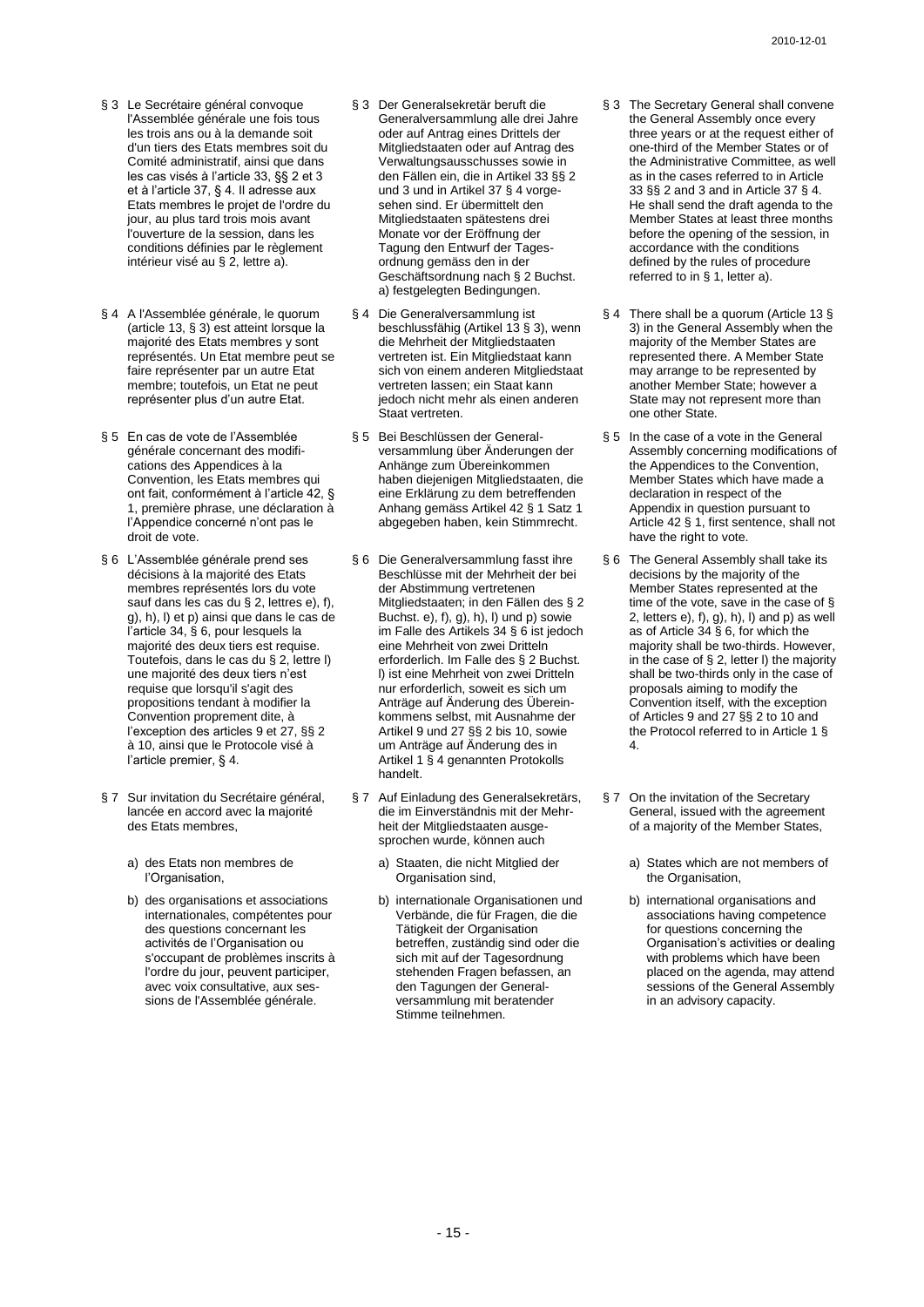- § 3 Le Secrétaire général convoque l'Assemblée générale une fois tous les trois ans ou à la demande soit d'un tiers des Etats membres soit du Comité administratif, ainsi que dans les cas visés à l"article 33, §§ 2 et 3 et à l"article 37, § 4. Il adresse aux Etats membres le projet de l'ordre du jour, au plus tard trois mois avant l'ouverture de la session, dans les conditions définies par le règlement intérieur visé au § 2, lettre a).
- § 4 A l'Assemblée générale, le quorum (article 13, § 3) est atteint lorsque la majorité des Etats membres y sont représentés. Un Etat membre peut se faire représenter par un autre Etat membre; toutefois, un Etat ne peut représenter plus d"un autre Etat.
- § 5 En cas de vote de l"Assemblée générale concernant des modifications des Appendices à la Convention, les Etats membres qui ont fait, conformément à l"article 42, § 1, première phrase, une déclaration à l"Appendice concerné n"ont pas le droit de vote.
- § 6 L'Assemblée générale prend ses décisions à la majorité des Etats membres représentés lors du vote sauf dans les cas du § 2, lettres e), f), g), h), l) et p) ainsi que dans le cas de l"article 34, § 6, pour lesquels la majorité des deux tiers est requise. Toutefois, dans le cas du § 2, lettre l) une majorité des deux tiers n"est requise que lorsqu'il s'agit des propositions tendant à modifier la Convention proprement dite, à l"exception des articles 9 et 27, §§ 2 à 10, ainsi que le Protocole visé à l"article premier, § 4.
- § 7 Sur invitation du Secrétaire général, lancée en accord avec la majorité des Etats membres,
	- a) des Etats non membres de l"Organisation,
	- b) des organisations et associations internationales, compétentes pour des questions concernant les activités de l"Organisation ou s'occupant de problèmes inscrits à l'ordre du jour, peuvent participer, avec voix consultative, aux sessions de l'Assemblée générale.
- § 3 Der Generalsekretär beruft die Generalversammlung alle drei Jahre oder auf Antrag eines Drittels der Mitgliedstaaten oder auf Antrag des Verwaltungsausschusses sowie in den Fällen ein, die in Artikel 33 §§ 2 und 3 und in Artikel 37 § 4 vorgesehen sind. Er übermittelt den Mitgliedstaaten spätestens drei Monate vor der Eröffnung der Tagung den Entwurf der Tagesordnung gemäss den in der Geschäftsordnung nach § 2 Buchst. a) festgelegten Bedingungen.
- § 4 Die Generalversammlung ist beschlussfähig (Artikel 13 § 3), wenn die Mehrheit der Mitgliedstaaten vertreten ist. Ein Mitgliedstaat kann sich von einem anderen Mitgliedstaat vertreten lassen; ein Staat kann jedoch nicht mehr als einen anderen Staat vertreten.
- § 5 Bei Beschlüssen der Generalversammlung über Änderungen der Anhänge zum Übereinkommen haben diejenigen Mitgliedstaaten, die eine Erklärung zu dem betreffenden Anhang gemäss Artikel 42 § 1 Satz 1 abgegeben haben, kein Stimmrecht.
- § 6 Die Generalversammlung fasst ihre Beschlüsse mit der Mehrheit der bei der Abstimmung vertretenen Mitgliedstaaten; in den Fällen des § 2 Buchst. e), f), g), h), l) und p) sowie im Falle des Artikels 34 § 6 ist jedoch eine Mehrheit von zwei Dritteln erforderlich. Im Falle des § 2 Buchst. l) ist eine Mehrheit von zwei Dritteln nur erforderlich, soweit es sich um Anträge auf Änderung des Übereinkommens selbst, mit Ausnahme der Artikel 9 und 27 §§ 2 bis 10, sowie um Anträge auf Änderung des in Artikel 1 § 4 genannten Protokolls handelt.
- § 7 Auf Einladung des Generalsekretärs, die im Einverständnis mit der Mehrheit der Mitgliedstaaten ausgesprochen wurde, können auch
	- a) Staaten, die nicht Mitglied der Organisation sind,
	- b) internationale Organisationen und Verbände, die für Fragen, die die Tätigkeit der Organisation betreffen, zuständig sind oder die sich mit auf der Tagesordnung stehenden Fragen befassen, an den Tagungen der Generalversammlung mit beratender Stimme teilnehmen.
- § 3 The Secretary General shall convene the General Assembly once every three years or at the request either of one-third of the Member States or of the Administrative Committee, as well as in the cases referred to in Article 33 §§ 2 and 3 and in Article 37 § 4. He shall send the draft agenda to the Member States at least three months before the opening of the session, in accordance with the conditions defined by the rules of procedure referred to in § 1, letter a).
- § 4 There shall be a quorum (Article 13 § 3) in the General Assembly when the majority of the Member States are represented there. A Member State may arrange to be represented by another Member State; however a State may not represent more than one other State.
- § 5 In the case of a vote in the General Assembly concerning modifications of the Appendices to the Convention, Member States which have made a declaration in respect of the Appendix in question pursuant to Article 42 § 1, first sentence, shall not have the right to vote.
- § 6 The General Assembly shall take its decisions by the majority of the Member States represented at the time of the vote, save in the case of § 2, letters e), f), g), h), l) and p) as well as of Article 34 § 6, for which the majority shall be two-thirds. However, in the case of § 2, letter l) the majority shall be two-thirds only in the case of proposals aiming to modify the Convention itself, with the exception of Articles 9 and 27 §§ 2 to 10 and the Protocol referred to in Article 1 § 4.
- § 7 On the invitation of the Secretary General, issued with the agreement of a majority of the Member States,
	- a) States which are not members of the Organisation,
	- b) international organisations and associations having competence for questions concerning the Organisation"s activities or dealing with problems which have been placed on the agenda, may attend sessions of the General Assembly in an advisory capacity.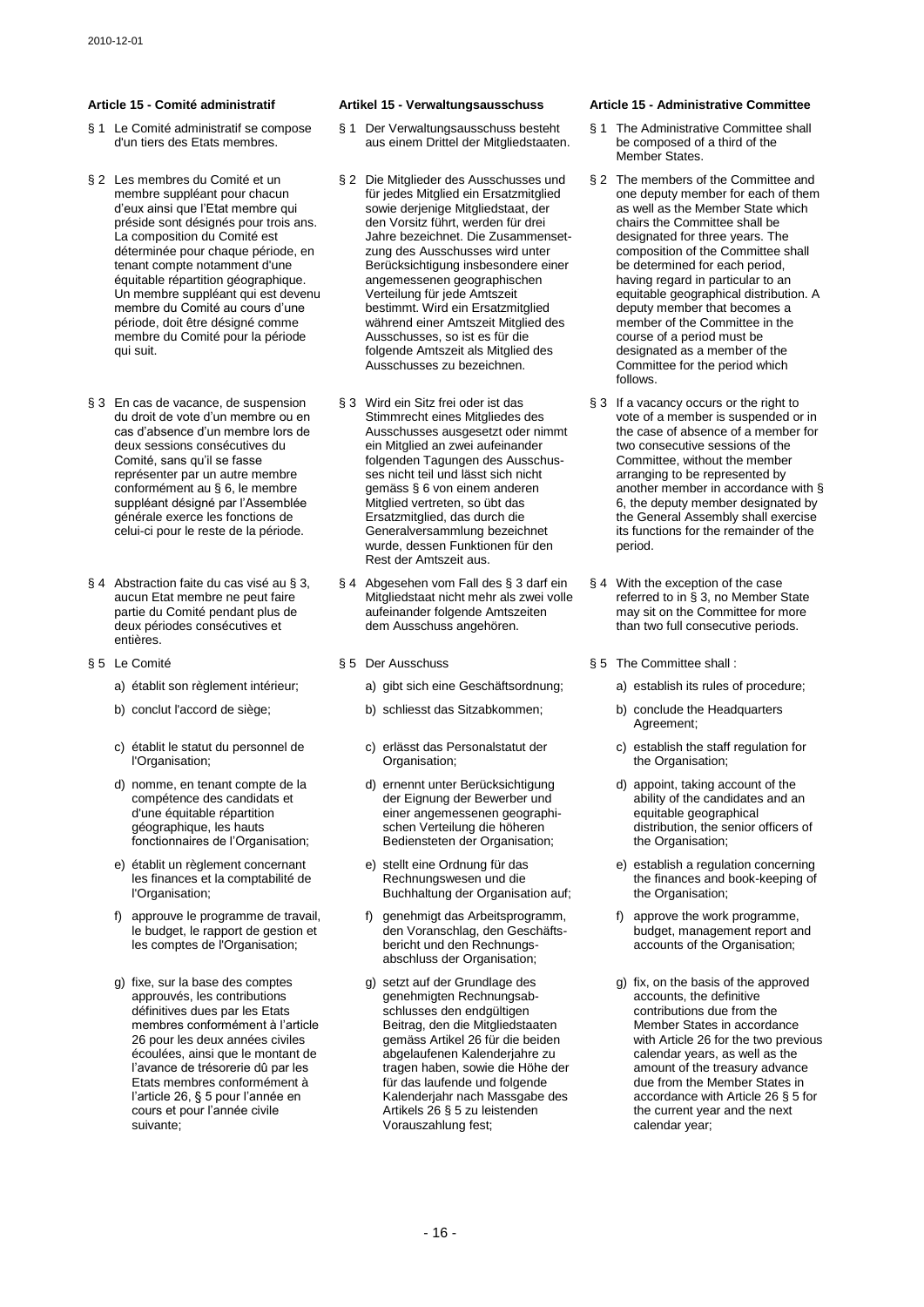- § 1 Le Comité administratif se compose d'un tiers des Etats membres.
- § 2 Les membres du Comité et un membre suppléant pour chacun d"eux ainsi que l"Etat membre qui préside sont désignés pour trois ans. La composition du Comité est déterminée pour chaque période, en tenant compte notamment d'une équitable répartition géographique. Un membre suppléant qui est devenu membre du Comité au cours d"une période, doit être désigné comme membre du Comité pour la période qui suit.
- § 3 En cas de vacance, de suspension du droit de vote d"un membre ou en cas d"absence d"un membre lors de deux sessions consécutives du Comité, sans qu"il se fasse représenter par un autre membre conformément au § 6, le membre suppléant désigné par l"Assemblée générale exerce les fonctions de celui-ci pour le reste de la période.
- § 4 Abstraction faite du cas visé au § 3, aucun Etat membre ne peut faire partie du Comité pendant plus de deux périodes consécutives et entières.
- -
	-
	- c) établit le statut du personnel de l'Organisation;
	- d) nomme, en tenant compte de la compétence des candidats et d'une équitable répartition géographique, les hauts fonctionnaires de l"Organisation;
	- e) établit un règlement concernant les finances et la comptabilité de l'Organisation;
	- f) approuve le programme de travail, le budget, le rapport de gestion et les comptes de l'Organisation;
	- g) fixe, sur la base des comptes approuvés, les contributions définitives dues par les Etats membres conformément à l"article 26 pour les deux années civiles écoulées, ainsi que le montant de l"avance de trésorerie dû par les Etats membres conformément à l'article 26, § 5 pour l'année en cours et pour l"année civile suivante;

### **Article 15 - Comité administratif Artikel 15 - Verwaltungsausschuss Article 15 - Administrative Committee**

- § 1 Der Verwaltungsausschuss besteht aus einem Drittel der Mitgliedstaaten.
- § 2 Die Mitglieder des Ausschusses und für jedes Mitglied ein Ersatzmitglied sowie derjenige Mitgliedstaat, der den Vorsitz führt, werden für drei Jahre bezeichnet. Die Zusammensetzung des Ausschusses wird unter Berücksichtigung insbesondere einer angemessenen geographischen Verteilung für jede Amtszeit bestimmt. Wird ein Ersatzmitglied während einer Amtszeit Mitglied des Ausschusses, so ist es für die folgende Amtszeit als Mitglied des Ausschusses zu bezeichnen.
- § 3 Wird ein Sitz frei oder ist das Stimmrecht eines Mitgliedes des Ausschusses ausgesetzt oder nimmt ein Mitglied an zwei aufeinander folgenden Tagungen des Ausschusses nicht teil und lässt sich nicht gemäss § 6 von einem anderen Mitglied vertreten, so übt das Ersatzmitglied, das durch die Generalversammlung bezeichnet wurde, dessen Funktionen für den Rest der Amtszeit aus.
- § 4 Abgesehen vom Fall des § 3 darf ein Mitgliedstaat nicht mehr als zwei volle aufeinander folgende Amtszeiten dem Ausschuss angehören.
- -
	-
	- c) erlässt das Personalstatut der Organisation;
	- d) ernennt unter Berücksichtigung der Eignung der Bewerber und einer angemessenen geographischen Verteilung die höheren Bediensteten der Organisation;
	- e) stellt eine Ordnung für das Rechnungswesen und die Buchhaltung der Organisation auf;
	- f) genehmigt das Arbeitsprogramm, den Voranschlag, den Geschäftsbericht und den Rechnungsabschluss der Organisation;
	- g) setzt auf der Grundlage des genehmigten Rechnungsabschlusses den endgültigen Beitrag, den die Mitgliedstaaten gemäss Artikel 26 für die beiden abgelaufenen Kalenderjahre zu tragen haben, sowie die Höhe der für das laufende und folgende Kalenderjahr nach Massgabe des Artikels 26 § 5 zu leistenden Vorauszahlung fest;

- § 1 The Administrative Committee shall be composed of a third of the Member States.
- § 2 The members of the Committee and one deputy member for each of them as well as the Member State which chairs the Committee shall be designated for three years. The composition of the Committee shall be determined for each period, having regard in particular to an equitable geographical distribution. A deputy member that becomes a member of the Committee in the course of a period must be designated as a member of the Committee for the period which follows.
- § 3 If a vacancy occurs or the right to vote of a member is suspended or in the case of absence of a member for two consecutive sessions of the Committee, without the member arranging to be represented by another member in accordance with § 6, the deputy member designated by the General Assembly shall exercise its functions for the remainder of the period.
- § 4 With the exception of the case referred to in § 3, no Member State may sit on the Committee for more than two full consecutive periods.
- § 5 Le Comité § 5 Der Ausschuss § 5 The Committee shall :
	- a) établit son règlement intérieur; a) gibt sich eine Geschäftsordnung; a) establish its rules of procedure;
	- b) conclut l'accord de siège; b) schliesst das Sitzabkommen; b) conclude the Headquarters Agreement;
		- c) establish the staff regulation for the Organisation;
		- d) appoint, taking account of the ability of the candidates and an equitable geographical distribution, the senior officers of the Organisation;
		- e) establish a regulation concerning the finances and book-keeping of the Organisation;
		- f) approve the work programme, budget, management report and accounts of the Organisation;
		- g) fix, on the basis of the approved accounts, the definitive contributions due from the Member States in accordance with Article 26 for the two previous calendar years, as well as the amount of the treasury advance due from the Member States in accordance with Article 26 § 5 for the current year and the next calendar year;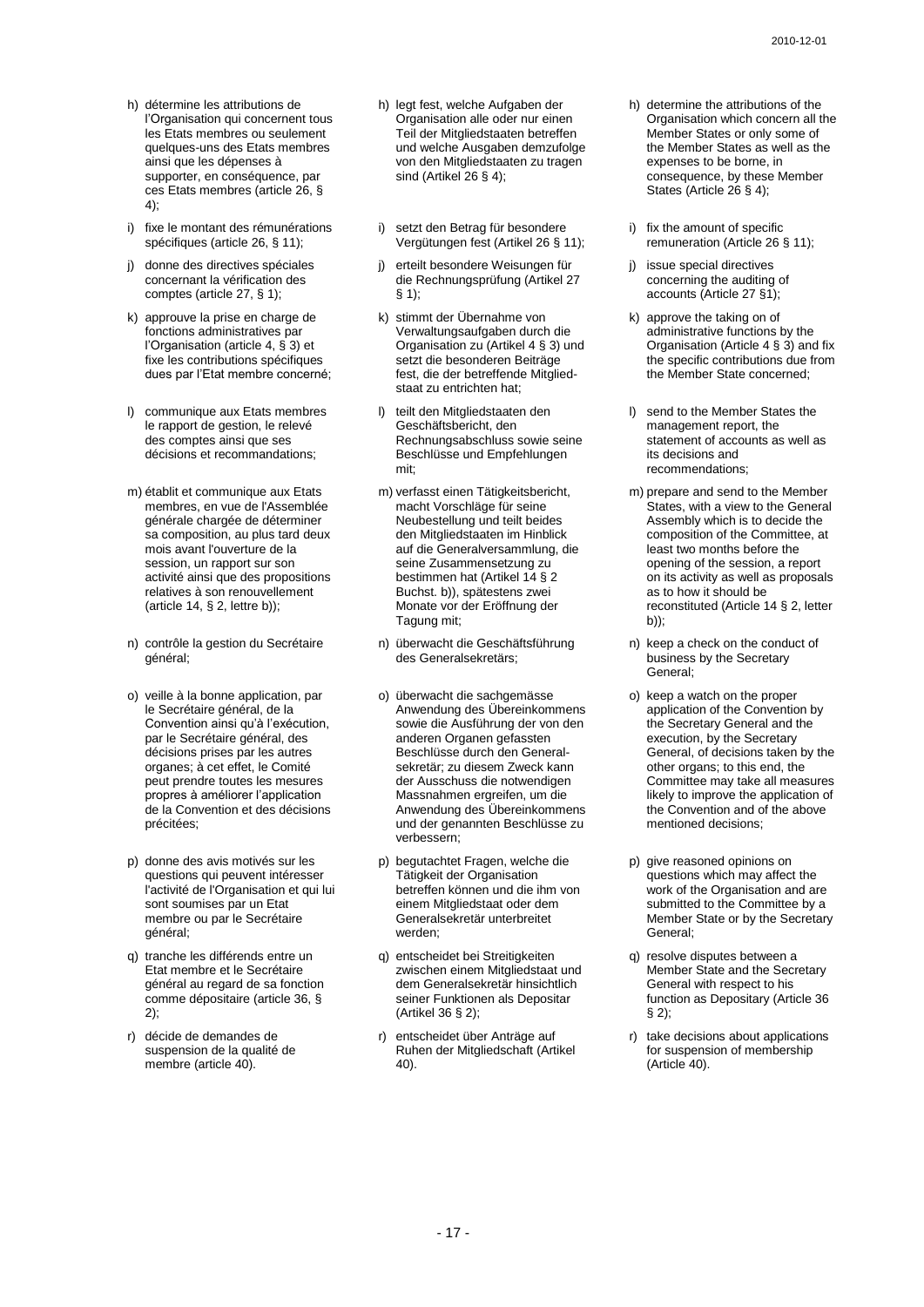- h) détermine les attributions de l"Organisation qui concernent tous les Etats membres ou seulement quelques-uns des Etats membres ainsi que les dépenses à supporter, en conséquence, par ces Etats membres (article 26, §  $4$ )
- i) fixe le montant des rémunérations spécifiques (article 26, § 11);
- j) donne des directives spéciales concernant la vérification des comptes (article 27, § 1);
- k) approuve la prise en charge de fonctions administratives par l"Organisation (article 4, § 3) et fixe les contributions spécifiques dues par l"Etat membre concerné;
- l) communique aux Etats membres le rapport de gestion, le relevé des comptes ainsi que ses décisions et recommandations;
- m) établit et communique aux Etats membres, en vue de l'Assemblée générale chargée de déterminer sa composition, au plus tard deux mois avant l'ouverture de la session, un rapport sur son activité ainsi que des propositions relatives à son renouvellement (article 14, § 2, lettre b));
- n) contrôle la gestion du Secrétaire général;
- o) veille à la bonne application, par le Secrétaire général, de la Convention ainsi qu"à l"exécution, par le Secrétaire général, des décisions prises par les autres organes; à cet effet, le Comité peut prendre toutes les mesures propres à améliorer l"application de la Convention et des décisions précitées;
- p) donne des avis motivés sur les questions qui peuvent intéresser l'activité de l'Organisation et qui lui sont soumises par un Etat membre ou par le Secrétaire général;
- q) tranche les différends entre un Etat membre et le Secrétaire général au regard de sa fonction comme dépositaire (article 36, § 2);
- r) décide de demandes de suspension de la qualité de membre (article 40).
- h) legt fest, welche Aufgaben der Organisation alle oder nur einen Teil der Mitgliedstaaten betreffen und welche Ausgaben demzufolge von den Mitgliedstaaten zu tragen sind (Artikel 26 § 4);
- i) setzt den Betrag für besondere Vergütungen fest (Artikel 26 § 11);
- j) erteilt besondere Weisungen für die Rechnungsprüfung (Artikel 27  $§$  1)
- k) stimmt der Übernahme von Verwaltungsaufgaben durch die Organisation zu (Artikel 4 § 3) und setzt die besonderen Beiträge fest, die der betreffende Mitgliedstaat zu entrichten hat;
- l) teilt den Mitgliedstaaten den Geschäftsbericht, den Rechnungsabschluss sowie seine Beschlüsse und Empfehlungen mit;
- m) verfasst einen Tätigkeitsbericht, macht Vorschläge für seine Neubestellung und teilt beides den Mitgliedstaaten im Hinblick auf die Generalversammlung, die seine Zusammensetzung zu bestimmen hat (Artikel 14 § 2 Buchst. b)), spätestens zwei Monate vor der Eröffnung der Tagung mit;
- n) überwacht die Geschäftsführung des Generalsekretärs;
- o) überwacht die sachgemässe Anwendung des Übereinkommens sowie die Ausführung der von den anderen Organen gefassten Beschlüsse durch den Generalsekretär; zu diesem Zweck kann der Ausschuss die notwendigen Massnahmen ergreifen, um die Anwendung des Übereinkommens und der genannten Beschlüsse zu verbessern;
- p) begutachtet Fragen, welche die Tätigkeit der Organisation betreffen können und die ihm von einem Mitgliedstaat oder dem Generalsekretär unterbreitet werden;
- q) entscheidet bei Streitigkeiten zwischen einem Mitgliedstaat und dem Generalsekretär hinsichtlich seiner Funktionen als Depositar (Artikel 36 § 2);
- entscheidet über Anträge auf Ruhen der Mitgliedschaft (Artikel 40).
- h) determine the attributions of the Organisation which concern all the Member States or only some of the Member States as well as the expenses to be borne, in consequence, by these Member States (Article 26 § 4);
- i) fix the amount of specific remuneration (Article 26 § 11);
- j) issue special directives concerning the auditing of accounts (Article 27 §1);
- k) approve the taking on of administrative functions by the Organisation (Article 4 § 3) and fix the specific contributions due from the Member State concerned;
- l) send to the Member States the management report, the statement of accounts as well as its decisions and recommendations;
- m) prepare and send to the Member States, with a view to the General Assembly which is to decide the composition of the Committee, at least two months before the opening of the session, a report on its activity as well as proposals as to how it should be reconstituted (Article 14 § 2, letter b));
- n) keep a check on the conduct of business by the Secretary General;
- o) keep a watch on the proper application of the Convention by the Secretary General and the execution, by the Secretary General, of decisions taken by the other organs; to this end, the Committee may take all measures likely to improve the application of the Convention and of the above mentioned decisions;
- p) give reasoned opinions on questions which may affect the work of the Organisation and are submitted to the Committee by a Member State or by the Secretary General;
- q) resolve disputes between a Member State and the Secretary General with respect to his function as Depositary (Article 36 § 2);
- take decisions about applications for suspension of membership (Article 40).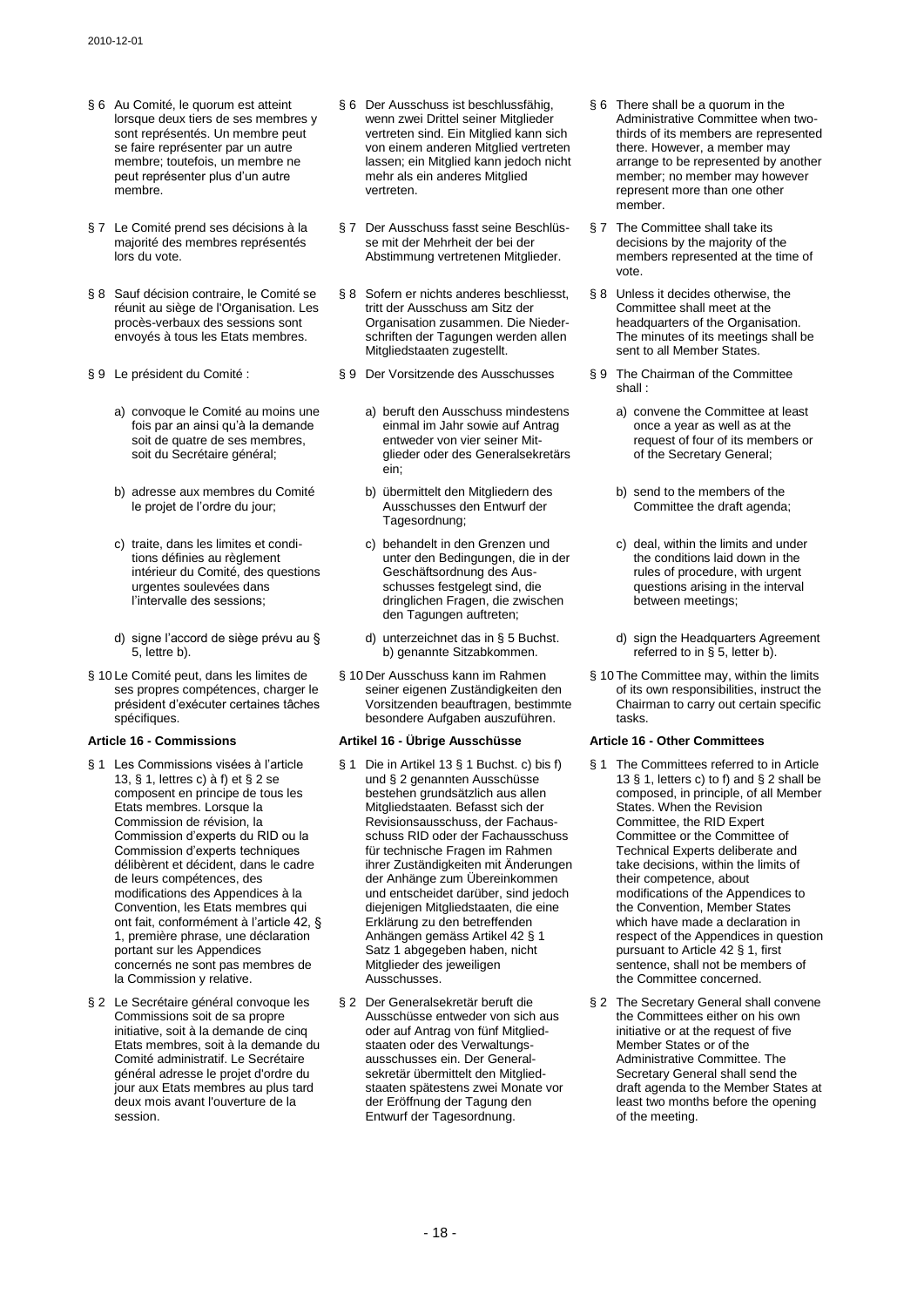- § 6 Au Comité, le quorum est atteint lorsque deux tiers de ses membres y sont représentés. Un membre peut se faire représenter par un autre membre; toutefois, un membre ne peut représenter plus d"un autre membre.
- § 7 Le Comité prend ses décisions à la majorité des membres représentés lors du vote.
- § 8 Sauf décision contraire, le Comité se réunit au siège de l'Organisation. Les procès-verbaux des sessions sont envoyés à tous les Etats membres.
- - a) convoque le Comité au moins une fois par an ainsi qu"à la demande soit de quatre de ses membres, soit du Secrétaire général:
	- b) adresse aux membres du Comité le projet de l"ordre du jour;
	- c) traite, dans les limites et conditions définies au règlement intérieur du Comité, des questions urgentes soulevées dans l"intervalle des sessions;
	- d) signe l"accord de siège prévu au § 5, lettre b).
- § 10 Le Comité peut, dans les limites de ses propres compétences, charger le président d"exécuter certaines tâches spécifiques.

- § 1 Les Commissions visées à l'article 13, § 1, lettres c) à f) et § 2 se composent en principe de tous les Etats membres. Lorsque la Commission de révision, la Commission d"experts du RID ou la Commission d"experts techniques délibèrent et décident, dans le cadre de leurs compétences, des modifications des Appendices à la Convention, les Etats membres qui ont fait, conformément à l"article 42, § 1, première phrase, une déclaration portant sur les Appendices concernés ne sont pas membres de la Commission y relative.
- § 2 Le Secrétaire général convoque les Commissions soit de sa propre initiative, soit à la demande de cinq Etats membres, soit à la demande du Comité administratif. Le Secrétaire général adresse le projet d'ordre du jour aux Etats membres au plus tard deux mois avant l'ouverture de la session.
- § 6 Der Ausschuss ist beschlussfähig, wenn zwei Drittel seiner Mitglieder vertreten sind. Ein Mitglied kann sich von einem anderen Mitglied vertreten lassen; ein Mitglied kann jedoch nicht mehr als ein anderes Mitglied vertreten.
- § 7 Der Ausschuss fasst seine Beschlüsse mit der Mehrheit der bei der Abstimmung vertretenen Mitglieder.
- § 8 Sofern er nichts anderes beschliesst. tritt der Ausschuss am Sitz der Organisation zusammen. Die Niederschriften der Tagungen werden allen Mitgliedstaaten zugestellt.
- § 9 Le président du Comité : <br>§ 9 Der Vorsitzende des Ausschusses § 9 The Chairman of the Committee
	- a) beruft den Ausschuss mindestens einmal im Jahr sowie auf Antrag entweder von vier seiner Mitglieder oder des Generalsekretärs ein;
	- b) übermittelt den Mitgliedern des Ausschusses den Entwurf der Tagesordnung;
	- c) behandelt in den Grenzen und unter den Bedingungen, die in der Geschäftsordnung des Ausschusses festgelegt sind, die dringlichen Fragen, die zwischen den Tagungen auftreten;
	- d) unterzeichnet das in § 5 Buchst. b) genannte Sitzabkommen.
	- § 10 Der Ausschuss kann im Rahmen seiner eigenen Zuständigkeiten den Vorsitzenden beauftragen, bestimmte besondere Aufgaben auszuführen.

# **Article 16 - Commissions Artikel 16 - Übrige Ausschüsse Article 16 - Other Committees**

- § 1 Die in Artikel 13 § 1 Buchst. c) bis f) und § 2 genannten Ausschüsse bestehen grundsätzlich aus allen Mitgliedstaaten. Befasst sich der Revisionsausschuss, der Fachausschuss RID oder der Fachausschuss für technische Fragen im Rahmen ihrer Zuständigkeiten mit Änderungen der Anhänge zum Übereinkommen und entscheidet darüber, sind jedoch diejenigen Mitgliedstaaten, die eine Erklärung zu den betreffenden Anhängen gemäss Artikel 42 § 1 Satz 1 abgegeben haben, nicht Mitglieder des jeweiligen Ausschusses.
- § 2 Der Generalsekretär beruft die Ausschüsse entweder von sich aus oder auf Antrag von fünf Mitgliedstaaten oder des Verwaltungsausschusses ein. Der Generalsekretär übermittelt den Mitgliedstaaten spätestens zwei Monate vor der Eröffnung der Tagung den Entwurf der Tagesordnung.
- § 6 There shall be a quorum in the Administrative Committee when twothirds of its members are represented there. However, a member may arrange to be represented by another member; no member may however represent more than one other member.
- § 7 The Committee shall take its decisions by the majority of the members represented at the time of vote.
- § 8 Unless it decides otherwise, the Committee shall meet at the headquarters of the Organisation. The minutes of its meetings shall be sent to all Member States.
- shall :
	- a) convene the Committee at least once a year as well as at the request of four of its members or of the Secretary General;
	- b) send to the members of the Committee the draft agenda;
	- c) deal, within the limits and under the conditions laid down in the rules of procedure, with urgent questions arising in the interval between meetings;
	- d) sign the Headquarters Agreement referred to in § 5, letter b).
- § 10 The Committee may, within the limits of its own responsibilities, instruct the Chairman to carry out certain specific tasks.

- § 1 The Committees referred to in Article 13  $§$  1, letters c) to f) and  $§$  2 shall be composed, in principle, of all Member States. When the Revision Committee, the RID Expert Committee or the Committee of Technical Experts deliberate and take decisions, within the limits of their competence, about modifications of the Appendices to the Convention, Member States which have made a declaration in respect of the Appendices in question pursuant to Article 42 § 1, first sentence, shall not be members of the Committee concerned.
- § 2 The Secretary General shall convene the Committees either on his own initiative or at the request of five Member States or of the Administrative Committee. The Secretary General shall send the draft agenda to the Member States at least two months before the opening of the meeting.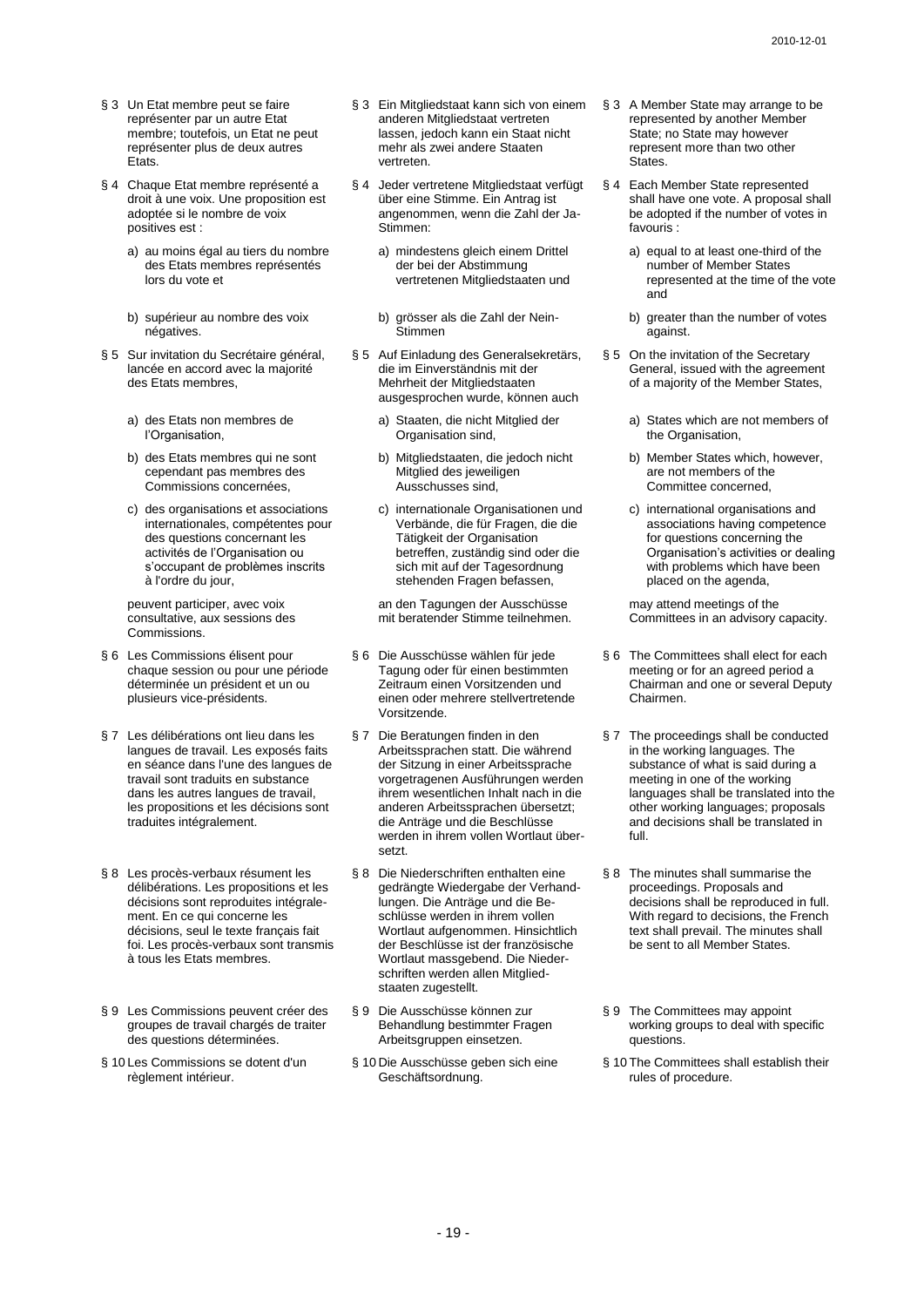- § 3 Un Etat membre peut se faire représenter par un autre Etat membre; toutefois, un Etat ne peut représenter plus de deux autres Etats.
- § 4 Chaque Etat membre représenté a droit à une voix. Une proposition est adoptée si le nombre de voix positives est :
	- a) au moins égal au tiers du nombre des Etats membres représentés lors du vote et
	- b) supérieur au nombre des voix négatives.
- § 5 Sur invitation du Secrétaire général, lancée en accord avec la majorité des Etats membres,
	- a) des Etats non membres de l"Organisation,
	- b) des Etats membres qui ne sont cependant pas membres des Commissions concernées,
	- c) des organisations et associations internationales, compétentes pour des questions concernant les activités de l"Organisation ou s"occupant de problèmes inscrits à l'ordre du jour,

peuvent participer, avec voix consultative, aux sessions des Commissions.

- § 6 Les Commissions élisent pour chaque session ou pour une période déterminée un président et un ou plusieurs vice-présidents.
- § 7 Les délibérations ont lieu dans les langues de travail. Les exposés faits en séance dans l'une des langues de travail sont traduits en substance dans les autres langues de travail, les propositions et les décisions sont traduites intégralement.
- § 8 Les procès-verbaux résument les délibérations. Les propositions et les décisions sont reproduites intégralement. En ce qui concerne les décisions, seul le texte français fait foi. Les procès-verbaux sont transmis à tous les Etats membres.
- § 9 Les Commissions peuvent créer des groupes de travail chargés de traiter des questions déterminées.
- § 10 Les Commissions se dotent d'un règlement intérieur.
- § 3 Ein Mitgliedstaat kann sich von einem anderen Mitgliedstaat vertreten lassen, jedoch kann ein Staat nicht mehr als zwei andere Staaten vertreten.
- § 4 Jeder vertretene Mitgliedstaat verfügt über eine Stimme. Ein Antrag ist angenommen, wenn die Zahl der Ja-Stimmen:
	- a) mindestens gleich einem Drittel der bei der Abstimmung vertretenen Mitgliedstaaten und
	- b) grösser als die Zahl der Nein-Stimmen
- § 5 Auf Einladung des Generalsekretärs, die im Einverständnis mit der Mehrheit der Mitgliedstaaten ausgesprochen wurde, können auch
	- a) Staaten, die nicht Mitglied der Organisation sind,
	- b) Mitgliedstaaten, die jedoch nicht Mitglied des jeweiligen Ausschusses sind,
	- c) internationale Organisationen und Verbände, die für Fragen, die die Tätigkeit der Organisation betreffen, zuständig sind oder die sich mit auf der Tagesordnung stehenden Fragen befassen,

an den Tagungen der Ausschüsse mit beratender Stimme teilnehmen.

- § 6 Die Ausschüsse wählen für jede Tagung oder für einen bestimmten Zeitraum einen Vorsitzenden und einen oder mehrere stellvertretende Vorsitzende.
- § 7 Die Beratungen finden in den Arbeitssprachen statt. Die während der Sitzung in einer Arbeitssprache vorgetragenen Ausführungen werden ihrem wesentlichen Inhalt nach in die anderen Arbeitssprachen übersetzt; die Anträge und die Beschlüsse werden in ihrem vollen Wortlaut übersetzt.
- § 8 Die Niederschriften enthalten eine gedrängte Wiedergabe der Verhandlungen. Die Anträge und die Beschlüsse werden in ihrem vollen Wortlaut aufgenommen. Hinsichtlich der Beschlüsse ist der französische Wortlaut massgebend. Die Niederschriften werden allen Mitgliedstaaten zugestellt.
- § 9 Die Ausschüsse können zur Behandlung bestimmter Fragen Arbeitsgruppen einsetzen.
- § 10 Die Ausschüsse geben sich eine Geschäftsordnung.
- § 3 A Member State may arrange to be represented by another Member State; no State may however represent more than two other States.
- § 4 Each Member State represented shall have one vote. A proposal shall be adopted if the number of votes in favouris :
	- a) equal to at least one-third of the number of Member States represented at the time of the vote and
	- b) greater than the number of votes against.
- § 5 On the invitation of the Secretary General, issued with the agreement of a majority of the Member States,
	- a) States which are not members of the Organisation,
	- b) Member States which, however, are not members of the Committee concerned,
	- c) international organisations and associations having competence for questions concerning the Organisation"s activities or dealing with problems which have been placed on the agenda,

may attend meetings of the Committees in an advisory capacity.

- § 6 The Committees shall elect for each meeting or for an agreed period a Chairman and one or several Deputy Chairmen.
- § 7 The proceedings shall be conducted in the working languages. The substance of what is said during a meeting in one of the working languages shall be translated into the other working languages; proposals and decisions shall be translated in full.
- § 8 The minutes shall summarise the proceedings. Proposals and decisions shall be reproduced in full. With regard to decisions, the French text shall prevail. The minutes shall be sent to all Member States.
- § 9 The Committees may appoint working groups to deal with specific questions.
- § 10 The Committees shall establish their rules of procedure.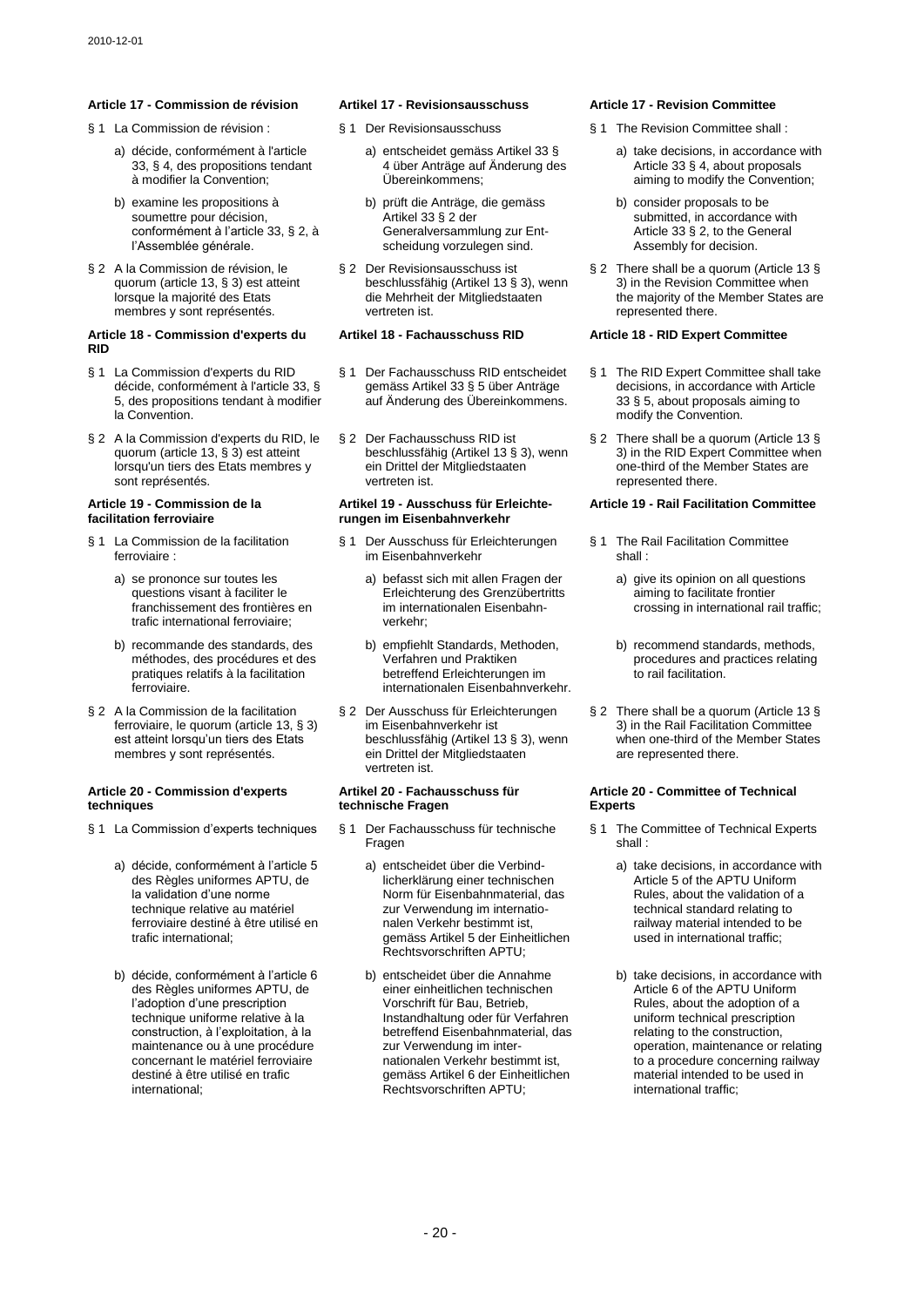# **Article 17 - Commission de révision Artikel 17 - Revisionsausschuss Article 17 - Revision Committee**

- - a) décide, conformément à l'article 33, § 4, des propositions tendant à modifier la Convention;
	- b) examine les propositions à soumettre pour décision, conformément à l"article 33, § 2, à l"Assemblée générale.
- § 2 A la Commission de révision, le quorum (article 13, § 3) est atteint lorsque la majorité des Etats membres y sont représentés.

# **Article 18 - Commission d'experts du RID**

- § 1 La Commission d'experts du RID décide, conformément à l'article 33, § 5, des propositions tendant à modifier la Convention.
- § 2 A la Commission d'experts du RID, le quorum (article 13,  $\S$  3) est atteint lorsqu'un tiers des Etats membres y sont représentés.

# **Article 19 - Commission de la facilitation ferroviaire**

- § 1 La Commission de la facilitation ferroviaire :
	- a) se prononce sur toutes les questions visant à faciliter le franchissement des frontières en trafic international ferroviaire;
	- b) recommande des standards, des méthodes, des procédures et des pratiques relatifs à la facilitation .<br>ferroviaire.
- § 2 A la Commission de la facilitation ferroviaire, le quorum (article 13, § 3) est atteint lorsqu'un tiers des Etats membres y sont représentés.

# **Article 20 - Commission d'experts techniques**

- § 1 La Commission d'experts techniques § 1 Der Fachausschuss für technische
	- a) décide, conformément à l"article 5 des Règles uniformes APTU, de la validation d"une norme technique relative au matériel ferroviaire destiné à être utilisé en trafic international;
	- b) décide, conformément à l'article 6 des Règles uniformes APTU, de l"adoption d"une prescription technique uniforme relative à la construction, à l"exploitation, à la maintenance ou à une procédure concernant le matériel ferroviaire destiné à être utilisé en trafic international;

- - a) entscheidet gemäss Artikel 33 § 4 über Anträge auf Änderung des Übereinkommens;
	- b) prüft die Anträge, die gemäss Artikel 33 § 2 der Generalversammlung zur Entscheidung vorzulegen sind.
- § 2 Der Revisionsausschuss ist beschlussfähig (Artikel 13 § 3), wenn die Mehrheit der Mitgliedstaaten vertreten ist.

- § 1 Der Fachausschuss RID entscheidet gemäss Artikel 33 § 5 über Anträge auf Änderung des Übereinkommens.
- § 2 Der Fachausschuss RID ist beschlussfähig (Artikel 13 § 3), wenn ein Drittel der Mitgliedstaaten vertreten ist.

# **Artikel 19 - Ausschuss für Erleichterungen im Eisenbahnverkehr**

- § 1 Der Ausschuss für Erleichterungen im Eisenbahnverkehr
	- a) befasst sich mit allen Fragen der Erleichterung des Grenzübertritts im internationalen Eisenbahnverkehr;
	- b) empfiehlt Standards, Methoden, Verfahren und Praktiken betreffend Erleichterungen im internationalen Eisenbahnverkehr.
- § 2 Der Ausschuss für Erleichterungen im Eisenbahnverkehr ist beschlussfähig (Artikel 13 § 3), wenn ein Drittel der Mitgliedstaaten vertreten ist.

# **Artikel 20 - Fachausschuss für technische Fragen**

- Fragen
	- a) entscheidet über die Verbindlicherklärung einer technischen Norm für Eisenbahnmaterial, das zur Verwendung im internationalen Verkehr bestimmt ist, gemäss Artikel 5 der Einheitlichen Rechtsvorschriften APTU;
	- b) entscheidet über die Annahme einer einheitlichen technischen Vorschrift für Bau, Betrieb, Instandhaltung oder für Verfahren betreffend Eisenbahnmaterial, das zur Verwendung im internationalen Verkehr bestimmt ist, gemäss Artikel 6 der Einheitlichen Rechtsvorschriften APTU;

- § 1 La Commission de révision : <br>§ 1 Der Revisionsausschuss <br>§ 1 The Revision Committee shall :
	- a) take decisions, in accordance with Article 33 § 4, about proposals aiming to modify the Convention;
	- b) consider proposals to be submitted, in accordance with Article 33 § 2, to the General Assembly for decision.
	- § 2 There shall be a quorum (Article 13 § 3) in the Revision Committee when the majority of the Member States are represented there.

# **Artikel 18 - Fachausschuss RID Article 18 - RID Expert Committee**

- § 1 The RID Expert Committee shall take decisions, in accordance with Article 33 § 5, about proposals aiming to modify the Convention.
- § 2 There shall be a quorum (Article 13 § 3) in the RID Expert Committee when one-third of the Member States are represented there.

# **Article 19 - Rail Facilitation Committee**

- § 1 The Rail Facilitation Committee shall :
	- a) give its opinion on all questions aiming to facilitate frontier crossing in international rail traffic;
	- b) recommend standards, methods, procedures and practices relating to rail facilitation.
- § 2 There shall be a quorum (Article 13 § 3) in the Rail Facilitation Committee when one-third of the Member States are represented there.

# **Article 20 - Committee of Technical Experts**

- § 1 The Committee of Technical Experts shall :
	- a) take decisions, in accordance with Article 5 of the APTU Uniform Rules, about the validation of a technical standard relating to railway material intended to be used in international traffic;
	- b) take decisions, in accordance with Article 6 of the APTU Uniform Rules, about the adoption of a uniform technical prescription relating to the construction, operation, maintenance or relating to a procedure concerning railway material intended to be used in international traffic;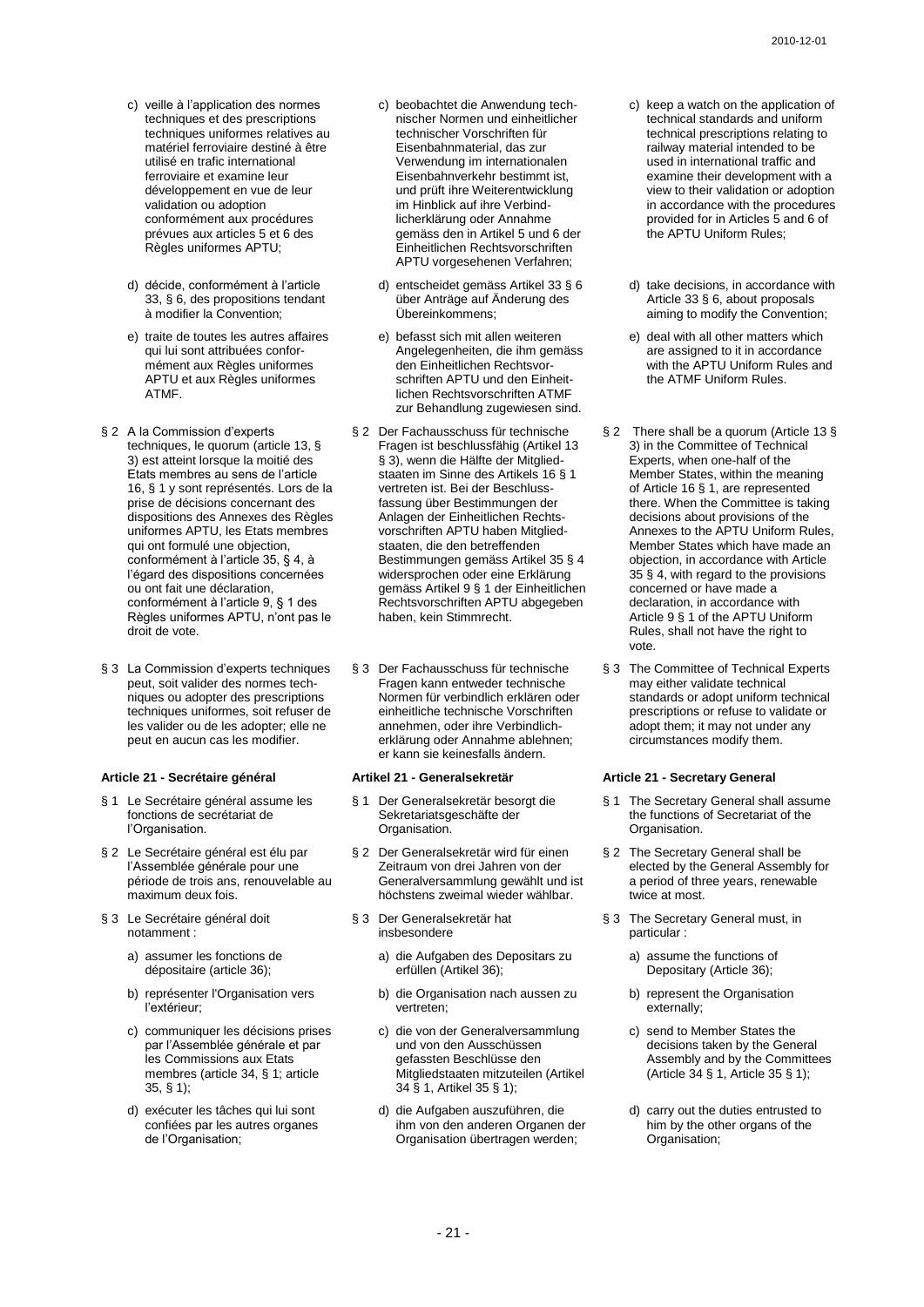- c) veille à l"application des normes techniques et des prescriptions techniques uniformes relatives au matériel ferroviaire destiné à être utilisé en trafic international ferroviaire et examine leur développement en vue de leur validation ou adoption conformément aux procédures prévues aux articles 5 et 6 des Règles uniformes APTU;
- d) décide, conformément à l"article 33, § 6, des propositions tendant à modifier la Convention;
- e) traite de toutes les autres affaires qui lui sont attribuées conformément aux Règles uniformes APTU et aux Règles uniformes ATMF.
- § 2 A la Commission d'experts techniques, le quorum (article 13, § 3) est atteint lorsque la moitié des Etats membres au sens de l"article 16, § 1 y sont représentés. Lors de la prise de décisions concernant des dispositions des Annexes des Règles uniformes APTU, les Etats membres qui ont formulé une objection, conformément à l"article 35, § 4, à l"égard des dispositions concernées ou ont fait une déclaration, conformément à l"article 9, § 1 des Règles uniformes APTU, n'ont pas le droit de vote.
- § 3 La Commission d'experts techniques peut, soit valider des normes techniques ou adopter des prescriptions techniques uniformes, soit refuser de les valider ou de les adopter; elle ne peut en aucun cas les modifier.

### **Article 21 - Secrétaire général Artikel 21 - Generalsekretär Article 21 - Secretary General**

- § 1 Le Secrétaire général assume les fonctions de secrétariat de l"Organisation.
- § 2 Le Secrétaire général est élu par l"Assemblée générale pour une période de trois ans, renouvelable au maximum deux fois.
- § 3 Le Secrétaire général doit notamment :
	- a) assumer les fonctions de dépositaire (article 36);
	- b) représenter l'Organisation vers l"extérieur;
	- c) communiquer les décisions prises par l"Assemblée générale et par les Commissions aux Etats membres (article 34, § 1; article 35, § 1);
	- d) exécuter les tâches qui lui sont confiées par les autres organes de l"Organisation;
- c) beobachtet die Anwendung technischer Normen und einheitlicher technischer Vorschriften für Eisenbahnmaterial, das zur Verwendung im internationalen Eisenbahnverkehr bestimmt ist, und prüft ihre Weiterentwicklung im Hinblick auf ihre Verbindlicherklärung oder Annahme gemäss den in Artikel 5 und 6 der Einheitlichen Rechtsvorschriften APTU vorgesehenen Verfahren;
- d) entscheidet gemäss Artikel 33 § 6 über Anträge auf Änderung des Übereinkommens;
- e) befasst sich mit allen weiteren Angelegenheiten, die ihm gemäss den Einheitlichen Rechtsvorschriften APTU und den Einheitlichen Rechtsvorschriften ATMF zur Behandlung zugewiesen sind.
- § 2 Der Fachausschuss für technische Fragen ist beschlussfähig (Artikel 13 § 3), wenn die Hälfte der Mitgliedstaaten im Sinne des Artikels 16 § 1 vertreten ist. Bei der Beschlussfassung über Bestimmungen der Anlagen der Einheitlichen Rechtsvorschriften APTU haben Mitgliedstaaten, die den betreffenden Bestimmungen gemäss Artikel 35 § 4 widersprochen oder eine Erklärung gemäss Artikel 9 § 1 der Einheitlichen Rechtsvorschriften APTU abgegeben haben, kein Stimmrecht.
- § 3 Der Fachausschuss für technische Fragen kann entweder technische Normen für verbindlich erklären oder einheitliche technische Vorschriften annehmen, oder ihre Verbindlicherklärung oder Annahme ablehnen; er kann sie keinesfalls ändern.

- § 1 Der Generalsekretär besorgt die Sekretariatsgeschäfte der Organisation.
- § 2 Der Generalsekretär wird für einen Zeitraum von drei Jahren von der Generalversammlung gewählt und ist höchstens zweimal wieder wählbar.
- § 3 Der Generalsekretär hat insbesondere
	- a) die Aufgaben des Depositars zu erfüllen (Artikel 36);
	- b) die Organisation nach aussen zu vertreten;
	- c) die von der Generalversammlung und von den Ausschüssen gefassten Beschlüsse den Mitgliedstaaten mitzuteilen (Artikel 34 § 1, Artikel 35 § 1);
	- d) die Aufgaben auszuführen, die ihm von den anderen Organen der Organisation übertragen werden;
- c) keep a watch on the application of technical standards and uniform technical prescriptions relating to railway material intended to be used in international traffic and examine their development with a view to their validation or adoption in accordance with the procedures provided for in Articles 5 and 6 of the APTU Uniform Rules;
- d) take decisions, in accordance with Article 33 § 6, about proposals aiming to modify the Convention;
- e) deal with all other matters which are assigned to it in accordance with the APTU Uniform Rules and the ATMF Uniform Rules.
- § 2 There shall be a quorum (Article 13 § 3) in the Committee of Technical Experts, when one-half of the Member States, within the meaning of Article 16 § 1, are represented there. When the Committee is taking decisions about provisions of the Annexes to the APTU Uniform Rules, Member States which have made an objection, in accordance with Article 35 § 4, with regard to the provisions concerned or have made a declaration, in accordance with Article 9 § 1 of the APTU Uniform Rules, shall not have the right to vote.
- § 3 The Committee of Technical Experts may either validate technical standards or adopt uniform technical prescriptions or refuse to validate or adopt them; it may not under any circumstances modify them.

- § 1 The Secretary General shall assume the functions of Secretariat of the Organisation
- § 2 The Secretary General shall be elected by the General Assembly for a period of three years, renewable twice at most.
- § 3 The Secretary General must, in particular :
	- a) assume the functions of Depositary (Article 36);
	- b) represent the Organisation externally;
	- c) send to Member States the decisions taken by the General Assembly and by the Committees (Article 34 § 1, Article 35 § 1);
	- d) carry out the duties entrusted to him by the other organs of the Organisation: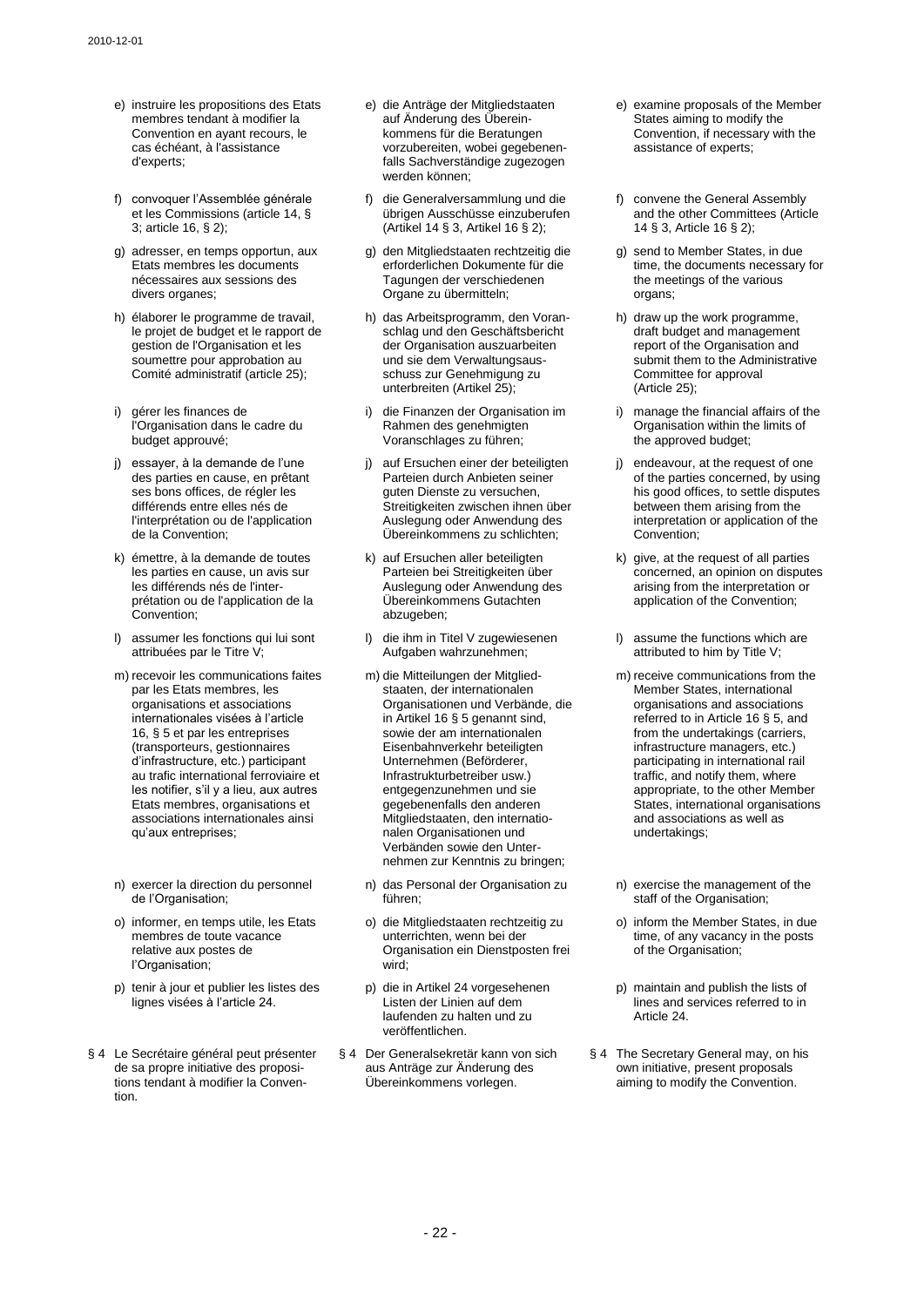- e) instruire les propositions des Etats membres tendant à modifier la Convention en ayant recours, le cas échéant, à l'assistance d'experts;
- f) convoquer l"Assemblée générale et les Commissions (article 14, § 3; article 16, § 2);
- adresser, en temps opportun, aux Etats membres les documents nécessaires aux sessions des divers organes;
- h) élaborer le programme de travail, le projet de budget et le rapport de gestion de l'Organisation et les soumettre pour approbation au Comité administratif (article 25);
- i) gérer les finances de l'Organisation dans le cadre du budget approuvé;
- j) essayer, à la demande de l'une des parties en cause, en prêtant ses bons offices, de régler les différends entre elles nés de l'interprétation ou de l'application de la Convention;
- k) émettre, à la demande de toutes les parties en cause, un avis sur les différends nés de l'interprétation ou de l'application de la Convention;
- l) assumer les fonctions qui lui sont attribuées par le Titre V;
- m) recevoir les communications faites par les Etats membres, les organisations et associations internationales visées à l"article 16, § 5 et par les entreprises (transporteurs, gestionnaires d"infrastructure, etc.) participant au trafic international ferroviaire et les notifier, s"il y a lieu, aux autres Etats membres, organisations et associations internationales ainsi qu"aux entreprises;
- n) exercer la direction du personnel de l"Organisation;
- o) informer, en temps utile, les Etats membres de toute vacance relative aux postes de l"Organisation;
- p) tenir à jour et publier les listes des lignes visées à l"article 24.
- § 4 Le Secrétaire général peut présenter de sa propre initiative des propositions tendant à modifier la Convention.
- e) die Anträge der Mitgliedstaaten auf Änderung des Übereinkommens für die Beratungen vorzubereiten, wobei gegebenenfalls Sachverständige zugezogen werden können;
- f) die Generalversammlung und die übrigen Ausschüsse einzuberufen (Artikel 14 § 3, Artikel 16 § 2);
- g) den Mitgliedstaaten rechtzeitig die erforderlichen Dokumente für die Tagungen der verschiedenen Organe zu übermitteln;
- h) das Arbeitsprogramm, den Voranschlag und den Geschäftsbericht der Organisation auszuarbeiten und sie dem Verwaltungsausschuss zur Genehmigung zu unterbreiten (Artikel 25);
- i) die Finanzen der Organisation im Rahmen des genehmigten Voranschlages zu führen;
- j) auf Ersuchen einer der beteiligten Parteien durch Anbieten seiner guten Dienste zu versuchen, Streitigkeiten zwischen ihnen über Auslegung oder Anwendung des Übereinkommens zu schlichten;
- k) auf Ersuchen aller beteiligten Parteien bei Streitigkeiten über Auslegung oder Anwendung des Übereinkommens Gutachten abzugeben;
- l) die ihm in Titel V zugewiesenen Aufgaben wahrzunehmen;
- m) die Mitteilungen der Mitgliedstaaten, der internationalen Organisationen und Verbände, die in Artikel 16 § 5 genannt sind, sowie der am internationalen Eisenbahnverkehr beteiligten Unternehmen (Beförderer, Infrastrukturbetreiber usw.) entgegenzunehmen und sie gegebenenfalls den anderen Mitgliedstaaten, den internationalen Organisationen und Verbänden sowie den Unternehmen zur Kenntnis zu bringen;
- n) das Personal der Organisation zu führen;
- o) die Mitgliedstaaten rechtzeitig zu unterrichten, wenn bei der Organisation ein Dienstposten frei wird<sup>.</sup>
- p) die in Artikel 24 vorgesehenen Listen der Linien auf dem laufenden zu halten und zu veröffentlichen.
- § 4 Der Generalsekretär kann von sich aus Anträge zur Änderung des Übereinkommens vorlegen.
- e) examine proposals of the Member States aiming to modify the Convention, if necessary with the assistance of experts;
- f) convene the General Assembly and the other Committees (Article 14 § 3, Article 16 § 2);
- g) send to Member States, in due time, the documents necessary for the meetings of the various organs;
- h) draw up the work programme, draft budget and management report of the Organisation and submit them to the Administrative Committee for approval (Article 25);
- i) manage the financial affairs of the Organisation within the limits of the approved budget;
- j) endeavour, at the request of one of the parties concerned, by using his good offices, to settle disputes between them arising from the interpretation or application of the Convention;
- k) give, at the request of all parties concerned, an opinion on disputes arising from the interpretation or application of the Convention;
- l) assume the functions which are attributed to him by Title V;
- m) receive communications from the Member States, international organisations and associations referred to in Article 16 § 5, and from the undertakings (carriers, infrastructure managers, etc.) participating in international rail traffic, and notify them, where appropriate, to the other Member States, international organisations and associations as well as undertakings;
- n) exercise the management of the staff of the Organisation;
- o) inform the Member States, in due time, of any vacancy in the posts of the Organisation;
- p) maintain and publish the lists of lines and services referred to in Article 24.
- § 4 The Secretary General may, on his own initiative, present proposals aiming to modify the Convention.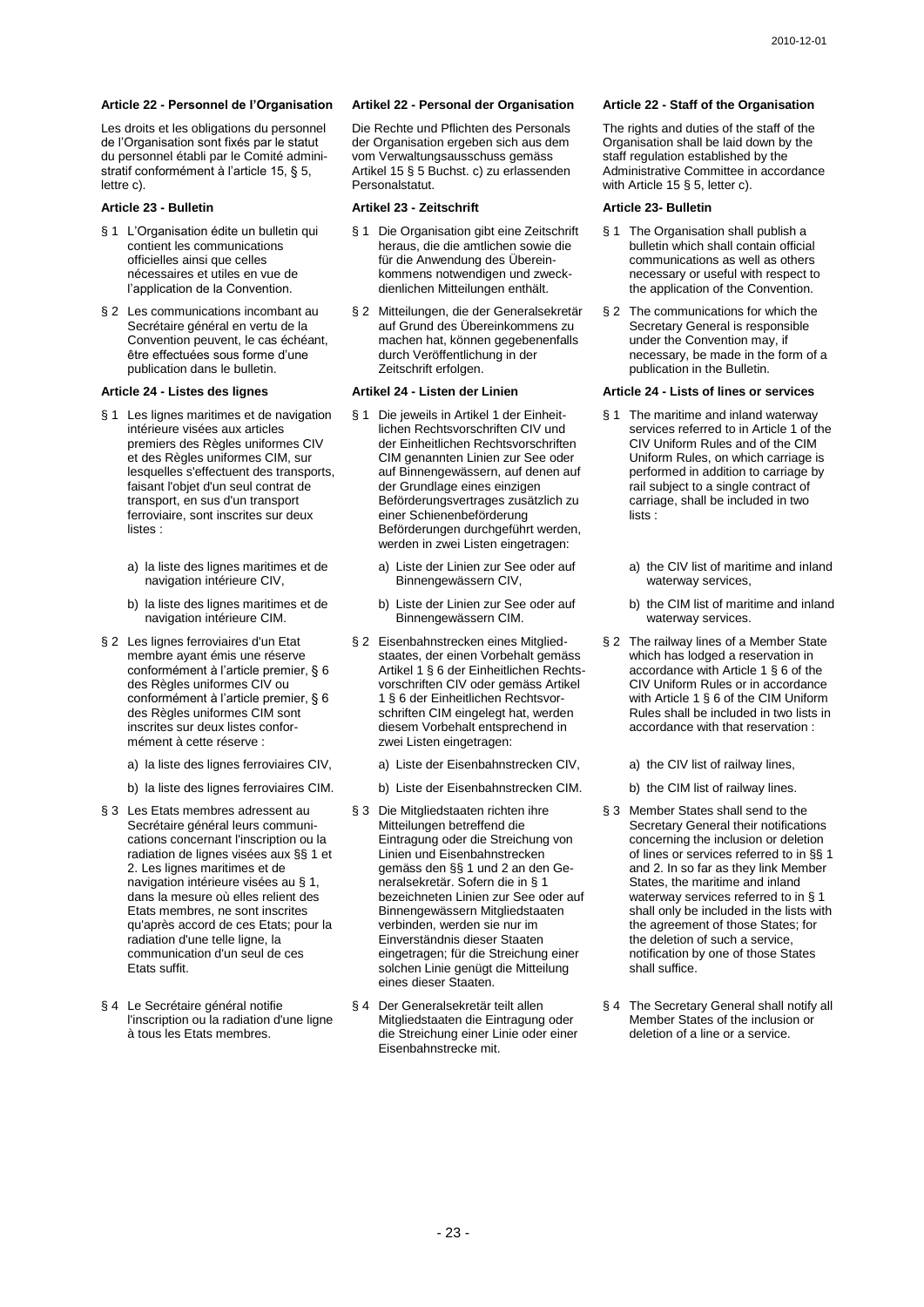# **Article 22 - Personnel de l'Organisation Artikel 22 - Personal der Organisation Article 22 - Staff of the Organisation**

Les droits et les obligations du personnel de l"Organisation sont fixés par le statut du personnel établi par le Comité administratif conformément à l"article 15, § 5, lettre c).

- § 1 L'Organisation édite un bulletin qui contient les communications officielles ainsi que celles nécessaires et utiles en vue de l"application de la Convention.
- § 2 Les communications incombant au Secrétaire général en vertu de la Convention peuvent, le cas échéant, être effectuées sous forme d"une publication dans le bulletin.

- § 1 Les lignes maritimes et de navigation intérieure visées aux articles premiers des Règles uniformes CIV et des Règles uniformes CIM, sur lesquelles s'effectuent des transports, faisant l'objet d'un seul contrat de transport, en sus d'un transport ferroviaire, sont inscrites sur deux listes :
	- a) la liste des lignes maritimes et de navigation intérieure CIV,
	- b) la liste des lignes maritimes et de navigation intérieure CIM.
- § 2 Les lignes ferroviaires d'un Etat membre ayant émis une réserve conformément à l"article premier, § 6 des Règles uniformes CIV ou conformément à l"article premier, § 6 des Règles uniformes CIM sont inscrites sur deux listes conformément à cette réserve :
	- a) la liste des lignes ferroviaires CIV, a) Liste der Eisenbahnstrecken CIV, a) the CIV list of railway lines,
	-
- § 3 Les Etats membres adressent au Secrétaire général leurs communications concernant l'inscription ou la radiation de lignes visées aux §§ 1 et 2. Les lignes maritimes et de navigation intérieure visées au § 1, dans la mesure où elles relient des Etats membres, ne sont inscrites qu'après accord de ces Etats; pour la radiation d'une telle ligne, la communication d'un seul de ces Etats suffit.
- § 4 Le Secrétaire général notifie l'inscription ou la radiation d'une ligne à tous les Etats membres.

Die Rechte und Pflichten des Personals der Organisation ergeben sich aus dem vom Verwaltungsausschuss gemäss Artikel 15 § 5 Buchst. c) zu erlassenden Personalstatut.

### **Article 23 - Bulletin Artikel 23 - Zeitschrift Article 23- Bulletin**

- § 1 Die Organisation gibt eine Zeitschrift heraus, die die amtlichen sowie die für die Anwendung des Übereinkommens notwendigen und zweckdienlichen Mitteilungen enthält.
- § 2 Mitteilungen, die der Generalsekretär auf Grund des Übereinkommens zu machen hat, können gegebenenfalls durch Veröffentlichung in der Zeitschrift erfolgen.

- § 1 Die jeweils in Artikel 1 der Einheitlichen Rechtsvorschriften CIV und der Einheitlichen Rechtsvorschriften CIM genannten Linien zur See oder auf Binnengewässern, auf denen auf der Grundlage eines einzigen Beförderungsvertrages zusätzlich zu einer Schienenbeförderung Beförderungen durchgeführt werden, werden in zwei Listen eingetragen:
	- a) Liste der Linien zur See oder auf Binnengewässern CIV,
	- b) Liste der Linien zur See oder auf Binnengewässern CIM.
- § 2 Eisenbahnstrecken eines Mitgliedstaates, der einen Vorbehalt gemäss Artikel 1 § 6 der Einheitlichen Rechtsvorschriften CIV oder gemäss Artikel 1 § 6 der Einheitlichen Rechtsvorschriften CIM eingelegt hat, werden diesem Vorbehalt entsprechend in zwei Listen eingetragen:
	-
- b) la liste des lignes ferroviaires CIM. b) Liste der Eisenbahnstrecken CIM. b) the CIM list of railway lines.
	- § 3 Die Mitgliedstaaten richten ihre Mitteilungen betreffend die Eintragung oder die Streichung von Linien und Eisenbahnstrecken gemäss den §§ 1 und 2 an den Generalsekretär. Sofern die in § 1 bezeichneten Linien zur See oder auf Binnengewässern Mitgliedstaaten verbinden, werden sie nur im Einverständnis dieser Staaten eingetragen; für die Streichung einer solchen Linie genügt die Mitteilung eines dieser Staaten.
	- § 4 Der Generalsekretär teilt allen Mitgliedstaaten die Eintragung oder die Streichung einer Linie oder einer Eisenbahnstrecke mit.

The rights and duties of the staff of the Organisation shall be laid down by the staff regulation established by the Administrative Committee in accordance with Article 15 § 5, letter c).

- § 1 The Organisation shall publish a bulletin which shall contain official communications as well as others necessary or useful with respect to the application of the Convention.
- § 2 The communications for which the Secretary General is responsible under the Convention may, if necessary, be made in the form of a publication in the Bulletin.

### **Article 24 - Listes des lignes Artikel 24 - Listen der Linien Article 24 - Lists of lines or services**

- § 1 The maritime and inland waterway services referred to in Article 1 of the CIV Uniform Rules and of the CIM Uniform Rules, on which carriage is performed in addition to carriage by rail subject to a single contract of carriage, shall be included in two lists :
	- a) the CIV list of maritime and inland waterway services.
	- b) the CIM list of maritime and inland waterway services.
- § 2 The railway lines of a Member State which has lodged a reservation in accordance with Article 1 § 6 of the CIV Uniform Rules or in accordance with Article 1 § 6 of the CIM Uniform Rules shall be included in two lists in accordance with that reservation :
	-
	-
- § 3 Member States shall send to the Secretary General their notifications concerning the inclusion or deletion of lines or services referred to in §§ 1 and 2. In so far as they link Member States, the maritime and inland waterway services referred to in § 1 shall only be included in the lists with the agreement of those States; for the deletion of such a service, notification by one of those States shall suffice.
- § 4 The Secretary General shall notify all Member States of the inclusion or deletion of a line or a service.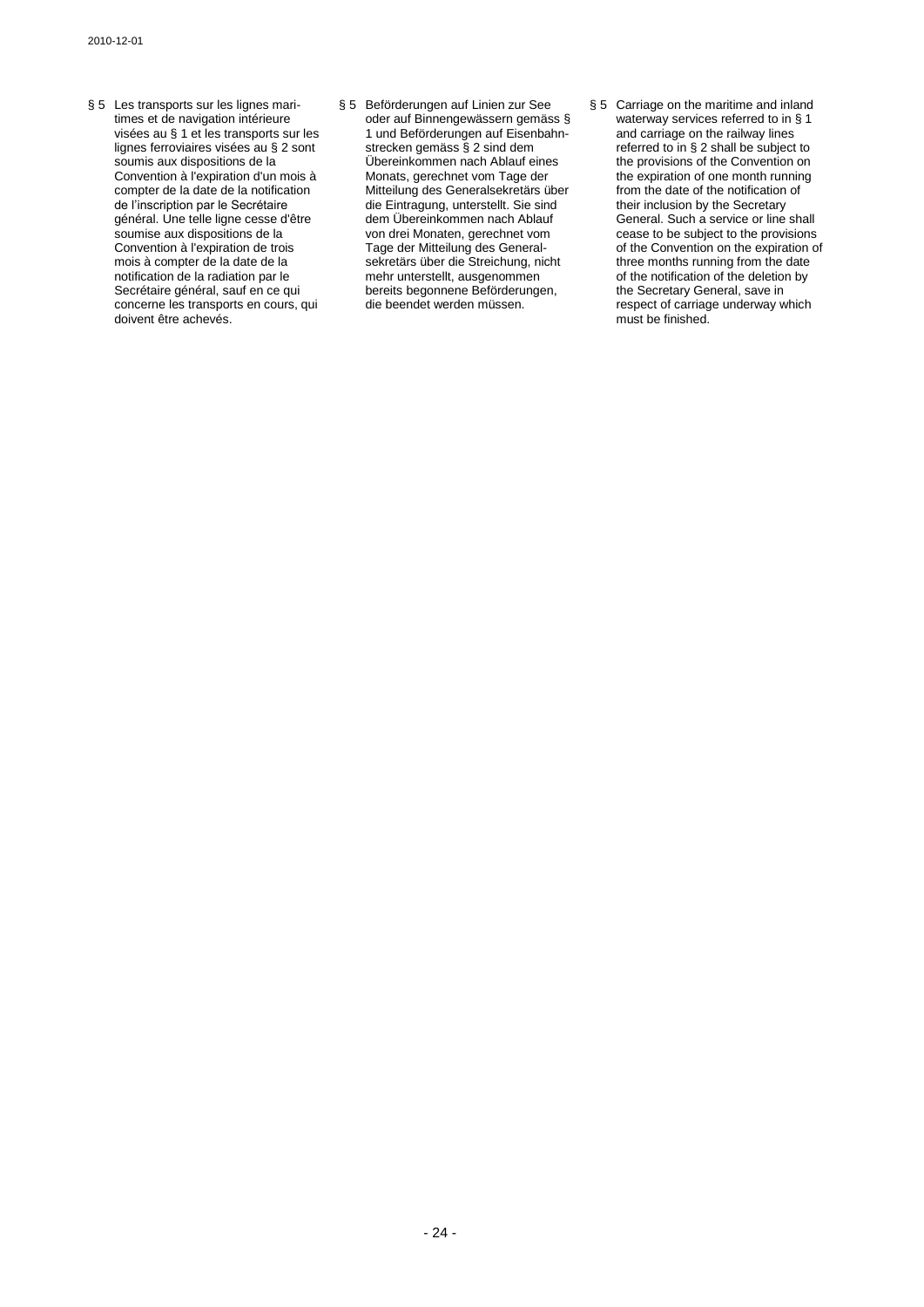- § 5 Les transports sur les lignes maritimes et de navigation intérieure visées au § 1 et les transports sur les lignes ferroviaires visées au § 2 sont soumis aux dispositions de la Convention à l'expiration d'un mois à compter de la date de la notification de l"inscription par le Secrétaire général. Une telle ligne cesse d'être soumise aux dispositions de la Convention à l'expiration de trois mois à compter de la date de la notification de la radiation par le Secrétaire général, sauf en ce qui concerne les transports en cours, qui doivent être achevés.
- § 5 Beförderungen auf Linien zur See oder auf Binnengewässern gemäss § 1 und Beförderungen auf Eisenbahnstrecken gemäss § 2 sind dem Übereinkommen nach Ablauf eines Monats, gerechnet vom Tage der Mitteilung des Generalsekretärs über die Eintragung, unterstellt. Sie sind dem Übereinkommen nach Ablauf von drei Monaten, gerechnet vom Tage der Mitteilung des Generalsekretärs über die Streichung, nicht mehr unterstellt, ausgenommen bereits begonnene Beförderungen, die beendet werden müssen.
- § 5 Carriage on the maritime and inland waterway services referred to in § 1 and carriage on the railway lines referred to in § 2 shall be subject to the provisions of the Convention on the expiration of one month running from the date of the notification of their inclusion by the Secretary General. Such a service or line shall cease to be subject to the provisions of the Convention on the expiration of three months running from the date of the notification of the deletion by the Secretary General, save in respect of carriage underway which must be finished.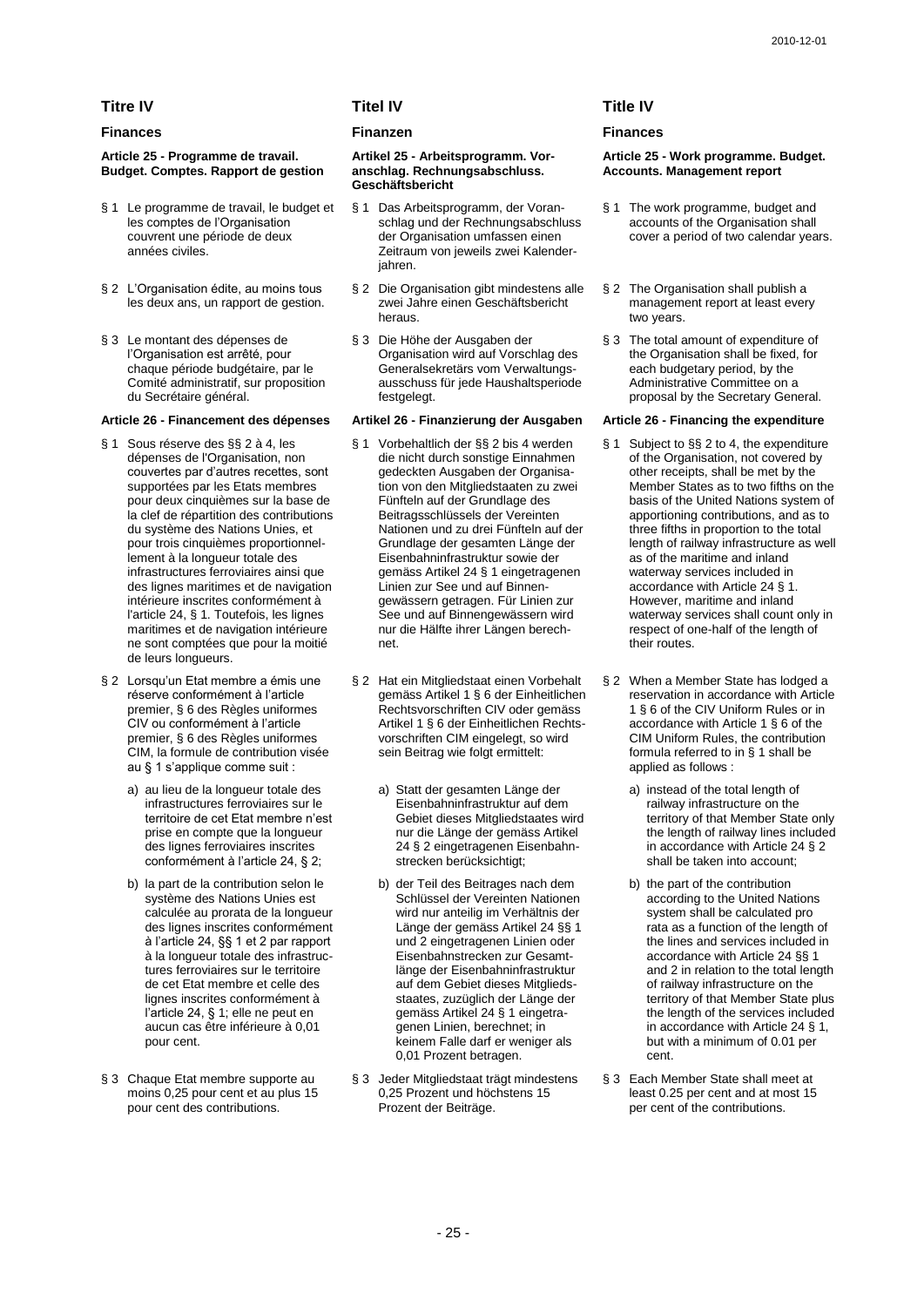# **Titre IV Titel IV Title IV**

# **Article 25 - Programme de travail. Budget. Comptes. Rapport de gestion**

- § 1 Le programme de travail, le budget et les comptes de l"Organisation couvrent une période de deux années civiles.
- § 2 L'Organisation édite, au moins tous les deux ans, un rapport de gestion.
- § 3 Le montant des dépenses de l"Organisation est arrêté, pour chaque période budgétaire, par le Comité administratif, sur proposition du Secrétaire général.

# **Article 26 - Financement des dépenses Artikel 26 - Finanzierung der Ausgaben Article 26 - Financing the expenditure**

- § 1 Sous réserve des §§ 2 à 4, les dépenses de l'Organisation, non couvertes par d"autres recettes, sont supportées par les Etats membres pour deux cinquièmes sur la base de la clef de répartition des contributions du système des Nations Unies, et pour trois cinquièmes proportionnellement à la longueur totale des infrastructures ferroviaires ainsi que des lignes maritimes et de navigation intérieure inscrites conformément à l'article 24, § 1. Toutefois, les lignes maritimes et de navigation intérieure ne sont comptées que pour la moitié de leurs longueurs.
- § 2 Lorsqu'un Etat membre a émis une réserve conformément à l"article premier, § 6 des Règles uniformes CIV ou conformément à l"article premier, § 6 des Règles uniformes CIM, la formule de contribution visée au § 1 s"applique comme suit :
	- a) au lieu de la longueur totale des infrastructures ferroviaires sur le territoire de cet Etat membre n"est prise en compte que la longueur des lignes ferroviaires inscrites conformément à l"article 24, § 2;
	- b) la part de la contribution selon le système des Nations Unies est calculée au prorata de la longueur des lignes inscrites conformément à l"article 24, §§ 1 et 2 par rapport à la longueur totale des infrastructures ferroviaires sur le territoire de cet Etat membre et celle des lignes inscrites conformément à l'article 24, § 1; elle ne peut en aucun cas être inférieure à 0,01 pour cent.
- § 3 Chaque Etat membre supporte au moins 0,25 pour cent et au plus 15 pour cent des contributions.

### **Finances Finanzen Finances**

# **Artikel 25 - Arbeitsprogramm. Voranschlag. Rechnungsabschluss. Geschäftsbericht**

- § 1 Das Arbeitsprogramm, der Voranschlag und der Rechnungsabschluss der Organisation umfassen einen Zeitraum von jeweils zwei Kalenderjahren.
- § 2 Die Organisation gibt mindestens alle zwei Jahre einen Geschäftsbericht heraus.
- § 3 Die Höhe der Ausgaben der Organisation wird auf Vorschlag des Generalsekretärs vom Verwaltungsausschuss für jede Haushaltsperiode festgelegt.

- § 1 Vorbehaltlich der §§ 2 bis 4 werden die nicht durch sonstige Einnahmen gedeckten Ausgaben der Organisation von den Mitgliedstaaten zu zwei Fünfteln auf der Grundlage des Beitragsschlüssels der Vereinten Nationen und zu drei Fünfteln auf der Grundlage der gesamten Länge der Eisenbahninfrastruktur sowie der gemäss Artikel 24 § 1 eingetragenen Linien zur See und auf Binnengewässern getragen. Für Linien zur See und auf Binnengewässern wird nur die Hälfte ihrer Längen berechnet.
- § 2 Hat ein Mitgliedstaat einen Vorbehalt gemäss Artikel 1 § 6 der Einheitlichen Rechtsvorschriften CIV oder gemäss Artikel 1 § 6 der Einheitlichen Rechtsvorschriften CIM eingelegt, so wird sein Beitrag wie folgt ermittelt:
	- a) Statt der gesamten Länge der Eisenbahninfrastruktur auf dem Gebiet dieses Mitgliedstaates wird nur die Länge der gemäss Artikel 24 § 2 eingetragenen Eisenbahnstrecken berücksichtigt;
	- b) der Teil des Beitrages nach dem Schlüssel der Vereinten Nationen wird nur anteilig im Verhältnis der Länge der gemäss Artikel 24 §§ 1 und 2 eingetragenen Linien oder Eisenbahnstrecken zur Gesamtlänge der Eisenbahninfrastruktur auf dem Gebiet dieses Mitgliedsstaates, zuzüglich der Länge der gemäss Artikel 24 § 1 eingetragenen Linien, berechnet; in keinem Falle darf er weniger als 0,01 Prozent betragen.
- § 3 Jeder Mitgliedstaat trägt mindestens 0,25 Prozent und höchstens 15 Prozent der Beiträge.

# **Article 25 - Work programme. Budget. Accounts. Management report**

- § 1 The work programme, budget and accounts of the Organisation shall cover a period of two calendar years.
- § 2 The Organisation shall publish a management report at least every two years.
- § 3 The total amount of expenditure of the Organisation shall be fixed, for each budgetary period, by the Administrative Committee on a proposal by the Secretary General.

- § 1 Subject to §§ 2 to 4, the expenditure of the Organisation, not covered by other receipts, shall be met by the Member States as to two fifths on the basis of the United Nations system of apportioning contributions, and as to three fifths in proportion to the total length of railway infrastructure as well as of the maritime and inland waterway services included in accordance with Article 24 § 1. However, maritime and inland waterway services shall count only in respect of one-half of the length of their routes.
- § 2 When a Member State has lodged a reservation in accordance with Article 1 § 6 of the CIV Uniform Rules or in accordance with Article 1 § 6 of the CIM Uniform Rules, the contribution formula referred to in § 1 shall be applied as follows :
	- a) instead of the total length of railway infrastructure on the territory of that Member State only the length of railway lines included in accordance with Article 24 § 2 shall be taken into account;
	- b) the part of the contribution according to the United Nations system shall be calculated pro rata as a function of the length of the lines and services included in accordance with Article 24 §§ 1 and 2 in relation to the total length of railway infrastructure on the territory of that Member State plus the length of the services included in accordance with Article 24 § 1, but with a minimum of 0.01 per cent.
- § 3 Each Member State shall meet at least 0.25 per cent and at most 15 per cent of the contributions.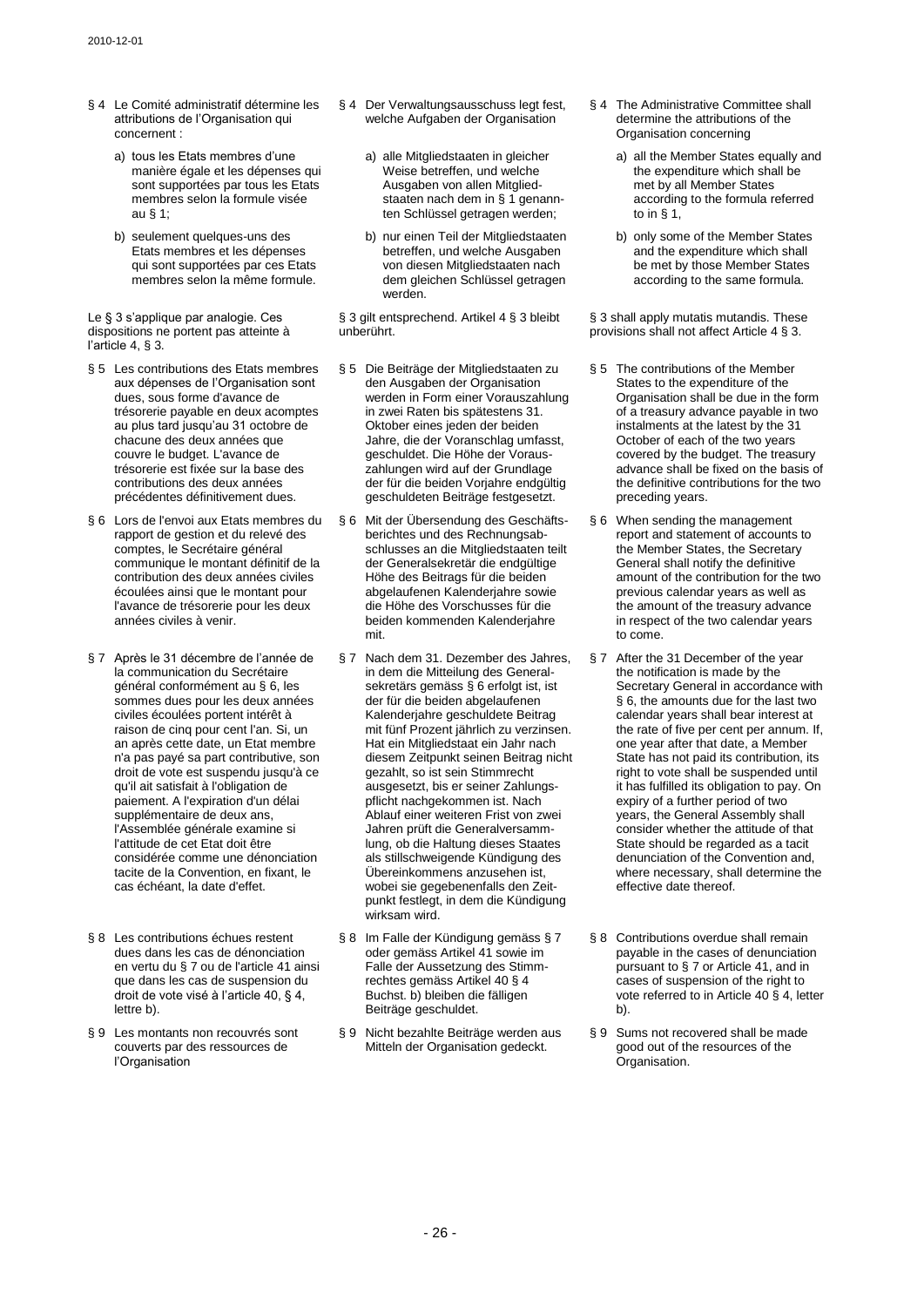- § 4 Le Comité administratif détermine les attributions de l"Organisation qui concernent :
	- a) tous les Etats membres d"une manière égale et les dépenses qui sont supportées par tous les Etats membres selon la formule visée au § 1;
	- b) seulement quelques-uns des Etats membres et les dépenses qui sont supportées par ces Etats membres selon la même formule.

Le § 3 s'applique par analogie. Ces dispositions ne portent pas atteinte à l'article 4, § 3.

- § 5 Les contributions des Etats membres aux dépenses de l"Organisation sont dues, sous forme d'avance de trésorerie payable en deux acomptes au plus tard jusqu"au 31 octobre de chacune des deux années que couvre le budget. L'avance de trésorerie est fixée sur la base des contributions des deux années précédentes définitivement dues.
- § 6 Lors de l'envoi aux Etats membres du rapport de gestion et du relevé des comptes, le Secrétaire général communique le montant définitif de la contribution des deux années civiles écoulées ainsi que le montant pour l'avance de trésorerie pour les deux années civiles à venir.
- § 7 Après le 31 décembre de l'année de la communication du Secrétaire général conformément au § 6, les sommes dues pour les deux années civiles écoulées portent intérêt à raison de cinq pour cent l'an. Si, un an après cette date, un Etat membre n'a pas payé sa part contributive, son droit de vote est suspendu jusqu'à ce qu'il ait satisfait à l'obligation de paiement. A l'expiration d'un délai supplémentaire de deux ans, l'Assemblée générale examine si l'attitude de cet Etat doit être considérée comme une dénonciation tacite de la Convention, en fixant, le cas échéant, la date d'effet.
- § 8 Les contributions échues restent dues dans les cas de dénonciation en vertu du § 7 ou de l'article 41 ainsi que dans les cas de suspension du droit de vote visé à l"article 40, § 4, lettre b).
- § 9 Les montants non recouvrés sont couverts par des ressources de l"Organisation
- § 4 Der Verwaltungsausschuss legt fest, welche Aufgaben der Organisation
	- a) alle Mitgliedstaaten in gleicher Weise betreffen, und welche Ausgaben von allen Mitgliedstaaten nach dem in § 1 genannten Schlüssel getragen werden;
	- b) nur einen Teil der Mitgliedstaaten betreffen, und welche Ausgaben von diesen Mitgliedstaaten nach dem gleichen Schlüssel getragen werden.

§ 3 gilt entsprechend. Artikel 4 § 3 bleibt unberührt.

- § 5 Die Beiträge der Mitgliedstaaten zu den Ausgaben der Organisation werden in Form einer Vorauszahlung in zwei Raten bis spätestens 31. Oktober eines jeden der beiden Jahre, die der Voranschlag umfasst, geschuldet. Die Höhe der Vorauszahlungen wird auf der Grundlage der für die beiden Vorjahre endgültig geschuldeten Beiträge festgesetzt.
- § 6 Mit der Übersendung des Geschäftsberichtes und des Rechnungsabschlusses an die Mitgliedstaaten teilt der Generalsekretär die endgültige Höhe des Beitrags für die beiden abgelaufenen Kalenderjahre sowie die Höhe des Vorschusses für die beiden kommenden Kalenderjahre mit.
- § 7 Nach dem 31. Dezember des Jahres, in dem die Mitteilung des Generalsekretärs gemäss § 6 erfolgt ist, ist der für die beiden abgelaufenen Kalenderjahre geschuldete Beitrag mit fünf Prozent jährlich zu verzinsen. Hat ein Mitgliedstaat ein Jahr nach diesem Zeitpunkt seinen Beitrag nicht gezahlt, so ist sein Stimmrecht ausgesetzt, bis er seiner Zahlungspflicht nachgekommen ist. Nach Ablauf einer weiteren Frist von zwei Jahren prüft die Generalversammlung, ob die Haltung dieses Staates als stillschweigende Kündigung des Übereinkommens anzusehen ist, wobei sie gegebenenfalls den Zeitpunkt festlegt, in dem die Kündigung wirksam wird.
- § 8 Im Falle der Kündigung gemäss § 7 oder gemäss Artikel 41 sowie im Falle der Aussetzung des Stimmrechtes gemäss Artikel 40 § 4 Buchst. b) bleiben die fälligen Beiträge geschuldet.
- § 9 Nicht bezahlte Beiträge werden aus Mitteln der Organisation gedeckt.
- § 4 The Administrative Committee shall determine the attributions of the Organisation concerning
	- a) all the Member States equally and the expenditure which shall be met by all Member States according to the formula referred to in  $§ 1,$
	- b) only some of the Member States and the expenditure which shall be met by those Member States according to the same formula.

§ 3 shall apply mutatis mutandis. These provisions shall not affect Article 4 § 3.

- § 5 The contributions of the Member States to the expenditure of the Organisation shall be due in the form of a treasury advance payable in two instalments at the latest by the 31 October of each of the two years covered by the budget. The treasury advance shall be fixed on the basis of the definitive contributions for the two preceding years.
- § 6 When sending the management report and statement of accounts to the Member States, the Secretary General shall notify the definitive amount of the contribution for the two previous calendar years as well as the amount of the treasury advance in respect of the two calendar years to come.
- § 7 After the 31 December of the year the notification is made by the Secretary General in accordance with § 6, the amounts due for the last two calendar years shall bear interest at the rate of five per cent per annum. If, one year after that date, a Member State has not paid its contribution, its right to vote shall be suspended until it has fulfilled its obligation to pay. On expiry of a further period of two years, the General Assembly shall consider whether the attitude of that State should be regarded as a tacit denunciation of the Convention and, where necessary, shall determine the effective date thereof.
- § 8 Contributions overdue shall remain payable in the cases of denunciation pursuant to § 7 or Article 41, and in cases of suspension of the right to vote referred to in Article 40 § 4, letter b).
- § 9 Sums not recovered shall be made good out of the resources of the Organisation.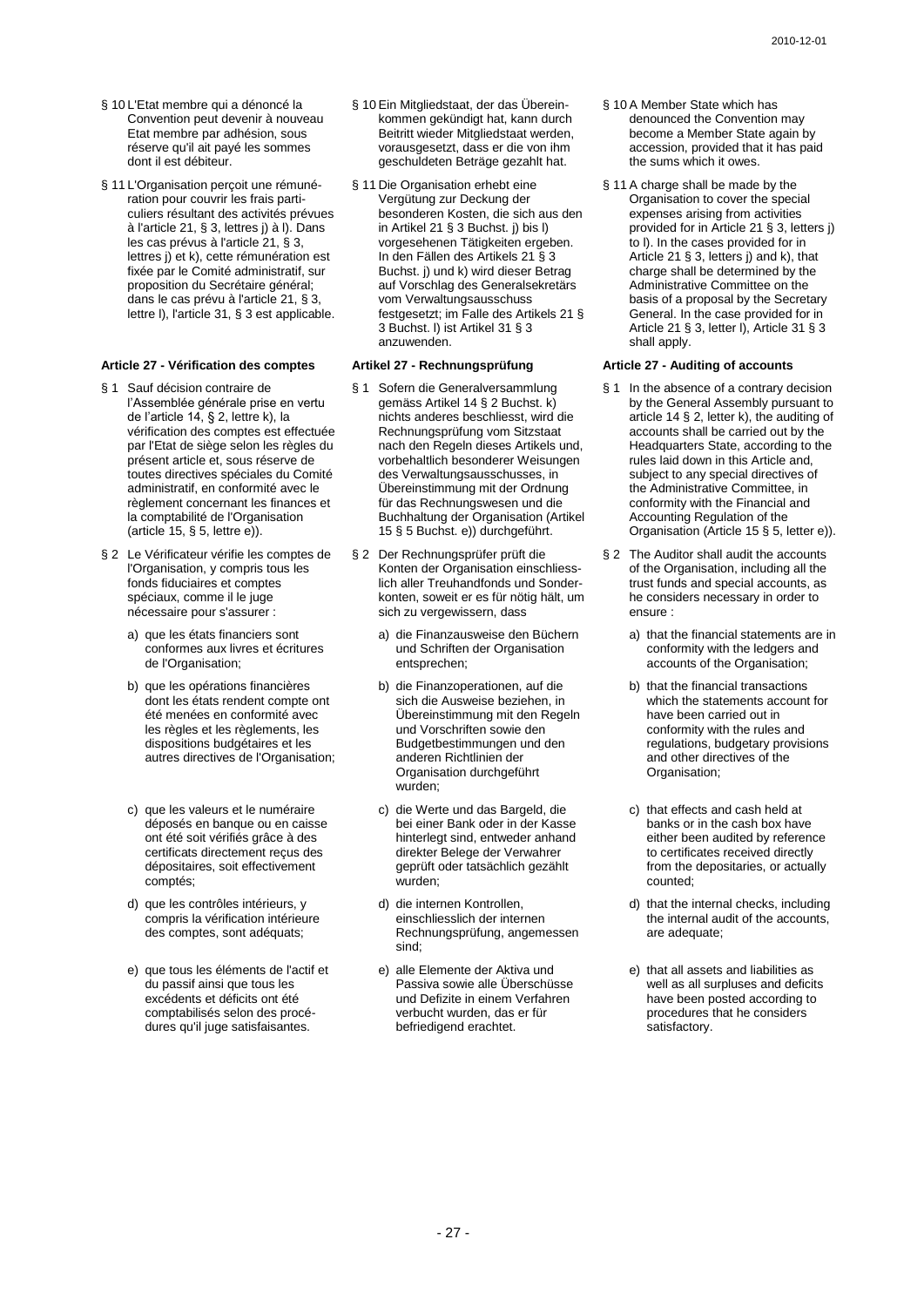- § 10 L'Etat membre qui a dénoncé la Convention peut devenir à nouveau Etat membre par adhésion, sous réserve qu'il ait payé les sommes dont il est débiteur.
- § 11 L'Organisation perçoit une rémunération pour couvrir les frais particuliers résultant des activités prévues à l'article 21, § 3, lettres j) à l). Dans les cas prévus à l'article 21, § 3, lettres j) et k), cette rémunération est fixée par le Comité administratif, sur proposition du Secrétaire général; dans le cas prévu à l'article 21, § 3, lettre l), l'article 31, § 3 est applicable.

# **Article 27 - Vérification des comptes Artikel 27 - Rechnungsprüfung Article 27 - Auditing of accounts**

- § 1 Sauf décision contraire de l"Assemblée générale prise en vertu de l"article 14, § 2, lettre k), la vérification des comptes est effectuée par l'Etat de siège selon les règles du présent article et, sous réserve de toutes directives spéciales du Comité administratif, en conformité avec le règlement concernant les finances et la comptabilité de l'Organisation (article 15, § 5, lettre e)).
- § 2 Le Vérificateur vérifie les comptes de l'Organisation, y compris tous les fonds fiduciaires et comptes spéciaux, comme il le juge nécessaire pour s'assurer :
	- a) que les états financiers sont conformes aux livres et écritures de l'Organisation;
	- b) que les opérations financières dont les états rendent compte ont été menées en conformité avec les règles et les règlements, les dispositions budgétaires et les autres directives de l'Organisation;
	- c) que les valeurs et le numéraire déposés en banque ou en caisse ont été soit vérifiés grâce à des certificats directement reçus des dépositaires, soit effectivement comptés;
	- d) que les contrôles intérieurs, y compris la vérification intérieure des comptes, sont adéquats;
	- e) que tous les éléments de l'actif et du passif ainsi que tous les excédents et déficits ont été comptabilisés selon des procédures qu'il juge satisfaisantes.
- § 10 Ein Mitgliedstaat, der das Übereinkommen gekündigt hat, kann durch Beitritt wieder Mitgliedstaat werden, vorausgesetzt, dass er die von ihm geschuldeten Beträge gezahlt hat.
- § 11 Die Organisation erhebt eine Vergütung zur Deckung der besonderen Kosten, die sich aus den in Artikel 21 § 3 Buchst. j) bis l) vorgesehenen Tätigkeiten ergeben. In den Fällen des Artikels 21 § 3 Buchst. j) und k) wird dieser Betrag auf Vorschlag des Generalsekretärs vom Verwaltungsausschuss festgesetzt; im Falle des Artikels 21 § 3 Buchst. l) ist Artikel 31 § 3 anzuwenden.

- § 1 Sofern die Generalversammlung gemäss Artikel 14 § 2 Buchst. k) nichts anderes beschliesst, wird die Rechnungsprüfung vom Sitzstaat nach den Regeln dieses Artikels und, vorbehaltlich besonderer Weisungen des Verwaltungsausschusses, in Übereinstimmung mit der Ordnung für das Rechnungswesen und die Buchhaltung der Organisation (Artikel 15 § 5 Buchst. e)) durchgeführt.
- § 2 Der Rechnungsprüfer prüft die Konten der Organisation einschliesslich aller Treuhandfonds und Sonderkonten, soweit er es für nötig hält, um sich zu vergewissern, dass
	- a) die Finanzausweise den Büchern und Schriften der Organisation entsprechen;
	- b) die Finanzoperationen, auf die sich die Ausweise beziehen, in Übereinstimmung mit den Regeln und Vorschriften sowie den Budgetbestimmungen und den anderen Richtlinien der Organisation durchgeführt wurden;
	- c) die Werte und das Bargeld, die bei einer Bank oder in der Kasse hinterlegt sind, entweder anhand direkter Belege der Verwahrer geprüft oder tatsächlich gezählt wurden;
	- d) die internen Kontrollen, einschliesslich der internen Rechnungsprüfung, angemessen sind;
	- e) alle Elemente der Aktiva und Passiva sowie alle Überschüsse und Defizite in einem Verfahren verbucht wurden, das er für befriedigend erachtet.
- § 10 A Member State which has denounced the Convention may become a Member State again by accession, provided that it has paid the sums which it owes.
- § 11 A charge shall be made by the Organisation to cover the special expenses arising from activities provided for in Article 21 § 3, letters j) to l). In the cases provided for in Article 21 § 3, letters j) and k), that charge shall be determined by the Administrative Committee on the basis of a proposal by the Secretary General. In the case provided for in Article 21 § 3, letter l), Article 31 § 3 shall apply.

- § 1 In the absence of a contrary decision by the General Assembly pursuant to article 14 § 2, letter k), the auditing of accounts shall be carried out by the Headquarters State, according to the rules laid down in this Article and, subject to any special directives of the Administrative Committee, in conformity with the Financial and Accounting Regulation of the Organisation (Article 15 § 5, letter e)).
- § 2 The Auditor shall audit the accounts of the Organisation, including all the trust funds and special accounts, as he considers necessary in order to ensure :
	- a) that the financial statements are in conformity with the ledgers and accounts of the Organisation;
	- b) that the financial transactions which the statements account for have been carried out in conformity with the rules and regulations, budgetary provisions and other directives of the Organisation;
	- c) that effects and cash held at banks or in the cash box have either been audited by reference to certificates received directly from the depositaries, or actually counted;
	- d) that the internal checks, including the internal audit of the accounts, are adequate;
	- e) that all assets and liabilities as well as all surpluses and deficits have been posted according to procedures that he considers satisfactory.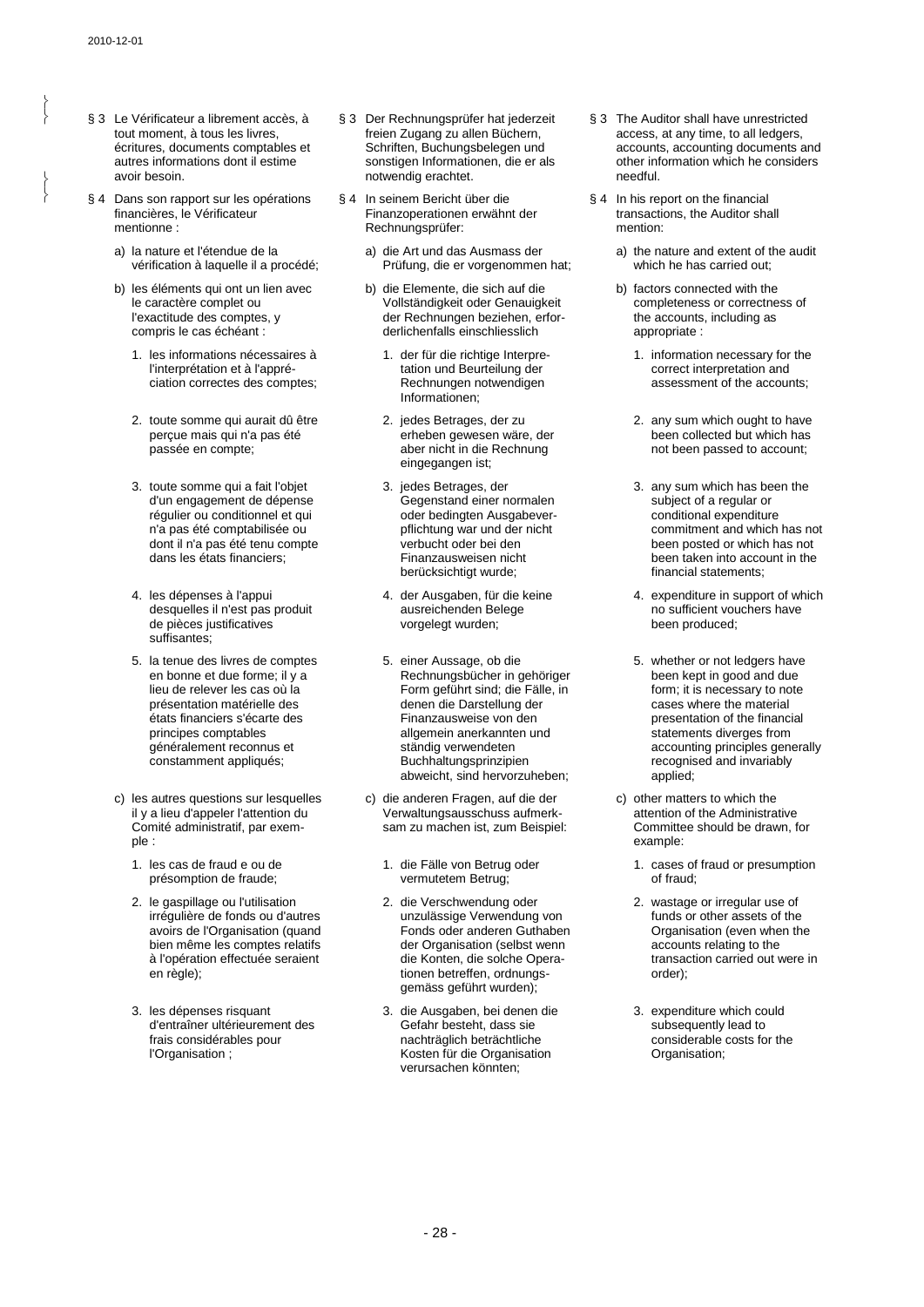$\left\{ \right.$  $\left\{ \right.$ 

 $\left\{ \right.$  $\left\{ \right.$ 

- § 3 Le Vérificateur a librement accès, à tout moment, à tous les livres, écritures, documents comptables et autres informations dont il estime avoir besoin.
- § 4 Dans son rapport sur les opérations financières, le Vérificateur mentionne :
	- a) la nature et l'étendue de la vérification à laquelle il a procédé;
	- b) les éléments qui ont un lien avec le caractère complet ou l'exactitude des comptes, y compris le cas échéant :
		- 1. les informations nécessaires à l'interprétation et à l'appréciation correctes des comptes;
		- 2. toute somme qui aurait dû être perçue mais qui n'a pas été passée en compte;
		- 3. toute somme qui a fait l'objet d'un engagement de dépense régulier ou conditionnel et qui n'a pas été comptabilisée ou dont il n'a pas été tenu compte dans les états financiers;
		- 4. les dépenses à l'appui desquelles il n'est pas produit de pièces justificatives suffisantes;
		- 5. la tenue des livres de comptes en bonne et due forme; il y a lieu de relever les cas où la présentation matérielle des états financiers s'écarte des principes comptables généralement reconnus et constamment appliqués;
	- c) les autres questions sur lesquelles il y a lieu d'appeler l'attention du Comité administratif, par exemple :
		- 1. les cas de fraud e ou de présomption de fraude;
		- 2. le gaspillage ou l'utilisation irrégulière de fonds ou d'autres avoirs de l'Organisation (quand bien même les comptes relatifs à l'opération effectuée seraient en règle);
		- 3. les dépenses risquant d'entraîner ultérieurement des frais considérables pour l'Organisation :
- § 3 Der Rechnungsprüfer hat jederzeit freien Zugang zu allen Büchern, Schriften, Buchungsbelegen und sonstigen Informationen, die er als notwendig erachtet.
- § 4 In seinem Bericht über die Finanzoperationen erwähnt der Rechnungsprüfer:
	- die Art und das Ausmass der Prüfung, die er vorgenommen hat;
	- b) die Elemente, die sich auf die Vollständigkeit oder Genauigkeit der Rechnungen beziehen, erforderlichenfalls einschliesslich
		- 1. der für die richtige Interpretation und Beurteilung der Rechnungen notwendigen Informationen;
		- 2. jedes Betrages, der zu erheben gewesen wäre, der aber nicht in die Rechnung eingegangen ist;
		- 3. jedes Betrages, der Gegenstand einer normalen oder bedingten Ausgabeverpflichtung war und der nicht verbucht oder bei den Finanzausweisen nicht berücksichtigt wurde;
		- 4. der Ausgaben, für die keine ausreichenden Belege vorgelegt wurden;
		- 5. einer Aussage, ob die Rechnungsbücher in gehöriger Form geführt sind; die Fälle, in denen die Darstellung der Finanzausweise von den allgemein anerkannten und ständig verwendeten Buchhaltungsprinzipien abweicht, sind hervorzuheben;
	- c) die anderen Fragen, auf die der Verwaltungsausschuss aufmerksam zu machen ist, zum Beispiel:
		- 1. die Fälle von Betrug oder vermutetem Betrug;
		- 2. die Verschwendung oder unzulässige Verwendung von Fonds oder anderen Guthaben der Organisation (selbst wenn die Konten, die solche Operationen betreffen, ordnungsgemäss geführt wurden);
		- 3. die Ausgaben, bei denen die Gefahr besteht, dass sie nachträglich beträchtliche Kosten für die Organisation verursachen könnten;
- § 3 The Auditor shall have unrestricted access, at any time, to all ledgers, accounts, accounting documents and other information which he considers needful.
- § 4 In his report on the financial transactions, the Auditor shall mention:
	- a) the nature and extent of the audit which he has carried out;
	- b) factors connected with the completeness or correctness of the accounts, including as appropriate :
		- 1. information necessary for the correct interpretation and assessment of the accounts;
		- 2. any sum which ought to have been collected but which has not been passed to account;
		- 3. any sum which has been the subject of a regular or conditional expenditure commitment and which has not been posted or which has not been taken into account in the financial statements;
		- 4. expenditure in support of which no sufficient vouchers have been produced;
		- 5. whether or not ledgers have been kept in good and due form; it is necessary to note cases where the material presentation of the financial statements diverges from accounting principles generally recognised and invariably applied;
	- c) other matters to which the attention of the Administrative Committee should be drawn, for example:
		- 1. cases of fraud or presumption of fraud;
		- 2. wastage or irregular use of funds or other assets of the Organisation (even when the accounts relating to the transaction carried out were in order);
		- 3. expenditure which could subsequently lead to considerable costs for the Organisation: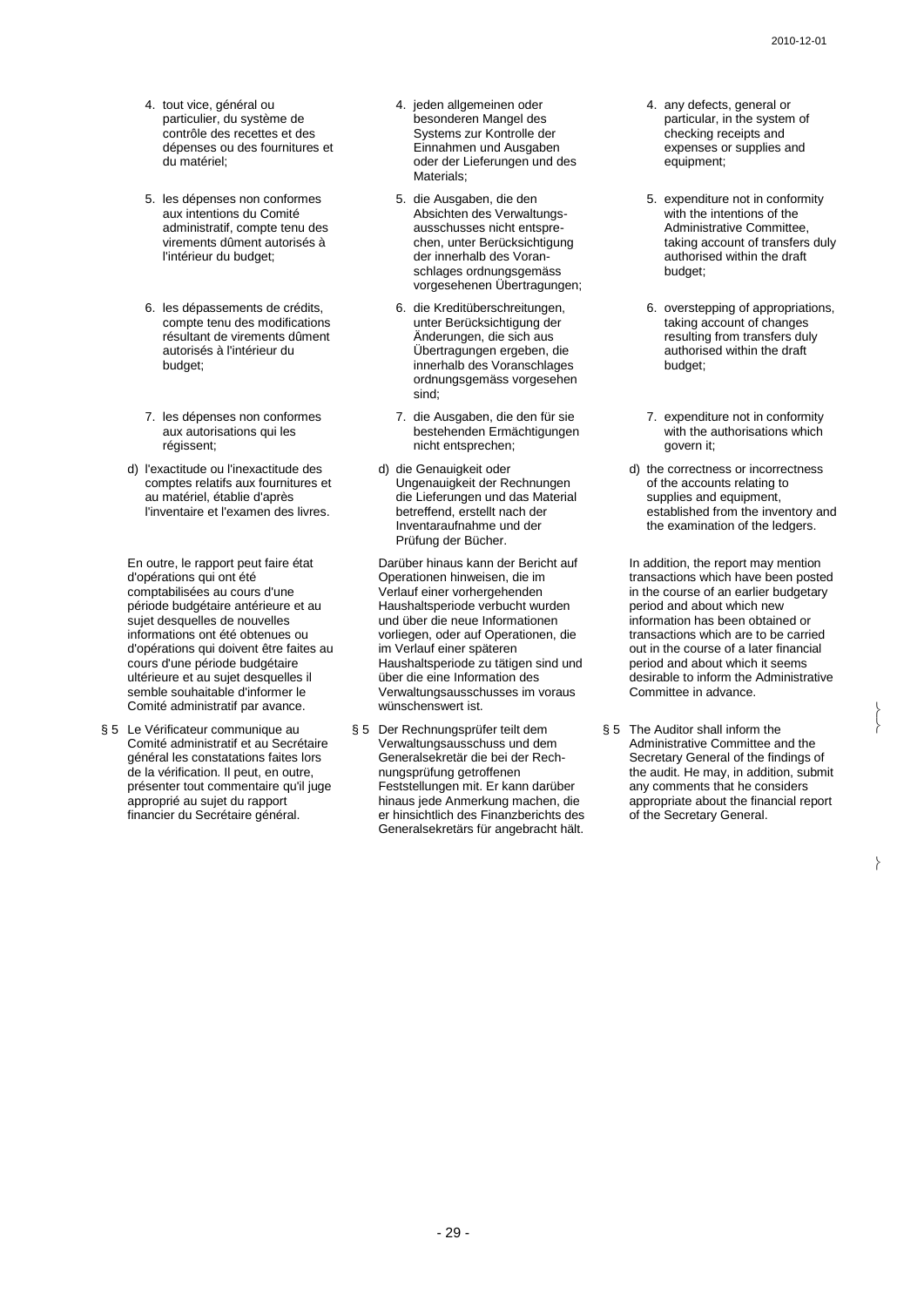- 4. tout vice, général ou particulier, du système de contrôle des recettes et des dépenses ou des fournitures et du matériel;
- 5. les dépenses non conformes aux intentions du Comité administratif, compte tenu des virements dûment autorisés à l'intérieur du budget;
- 6. les dépassements de crédits, compte tenu des modifications résultant de virements dûment autorisés à l'intérieur du budget;
- 7. les dépenses non conformes aux autorisations qui les régissent;
- d) l'exactitude ou l'inexactitude des comptes relatifs aux fournitures et au matériel, établie d'après l'inventaire et l'examen des livres.

En outre, le rapport peut faire état d'opérations qui ont été comptabilisées au cours d'une période budgétaire antérieure et au sujet desquelles de nouvelles informations ont été obtenues ou d'opérations qui doivent être faites au cours d'une période budgétaire ultérieure et au sujet desquelles il semble souhaitable d'informer le Comité administratif par avance.

§ 5 Le Vérificateur communique au Comité administratif et au Secrétaire général les constatations faites lors de la vérification. Il peut, en outre, présenter tout commentaire qu'il juge approprié au sujet du rapport financier du Secrétaire général.

- 4. jeden allgemeinen oder besonderen Mangel des Systems zur Kontrolle der Einnahmen und Ausgaben oder der Lieferungen und des Materials<sup>;</sup>
- 5. die Ausgaben, die den Absichten des Verwaltungsausschusses nicht entsprechen, unter Berücksichtigung der innerhalb des Voranschlages ordnungsgemäss vorgesehenen Übertragungen;
- 6. die Kreditüberschreitungen, unter Berücksichtigung der Änderungen, die sich aus Übertragungen ergeben, die innerhalb des Voranschlages ordnungsgemäss vorgesehen sind;
- 7. die Ausgaben, die den für sie bestehenden Ermächtigungen nicht entsprechen;
- d) die Genauigkeit oder Ungenauigkeit der Rechnungen die Lieferungen und das Material betreffend, erstellt nach der Inventaraufnahme und der Prüfung der Bücher.

Darüber hinaus kann der Bericht auf Operationen hinweisen, die im Verlauf einer vorhergehenden Haushaltsperiode verbucht wurden und über die neue Informationen vorliegen, oder auf Operationen, die im Verlauf einer späteren Haushaltsperiode zu tätigen sind und über die eine Information des Verwaltungsausschusses im voraus wünschenswert ist.

§ 5 Der Rechnungsprüfer teilt dem Verwaltungsausschuss und dem Generalsekretär die bei der Rechnungsprüfung getroffenen Feststellungen mit. Er kann darüber hinaus jede Anmerkung machen, die er hinsichtlich des Finanzberichts des Generalsekretärs für angebracht hält.

- 4. any defects, general or particular, in the system of checking receipts and expenses or supplies and equipment;
- 5. expenditure not in conformity with the intentions of the Administrative Committee, taking account of transfers duly authorised within the draft budget;
- 6. overstepping of appropriations, taking account of changes resulting from transfers duly authorised within the draft budget;
- 7. expenditure not in conformity with the authorisations which govern it;
- d) the correctness or incorrectness of the accounts relating to supplies and equipment, established from the inventory and the examination of the ledgers.

In addition, the report may mention transactions which have been posted in the course of an earlier budgetary period and about which new information has been obtained or transactions which are to be carried out in the course of a later financial period and about which it seems desirable to inform the Administrative Committee in advance.

> $\left\{ \right.$  $\left\{ \right.$

 $\overline{\phantom{0}}$ 

§ 5 The Auditor shall inform the Administrative Committee and the Secretary General of the findings of the audit. He may, in addition, submit any comments that he considers appropriate about the financial report of the Secretary General.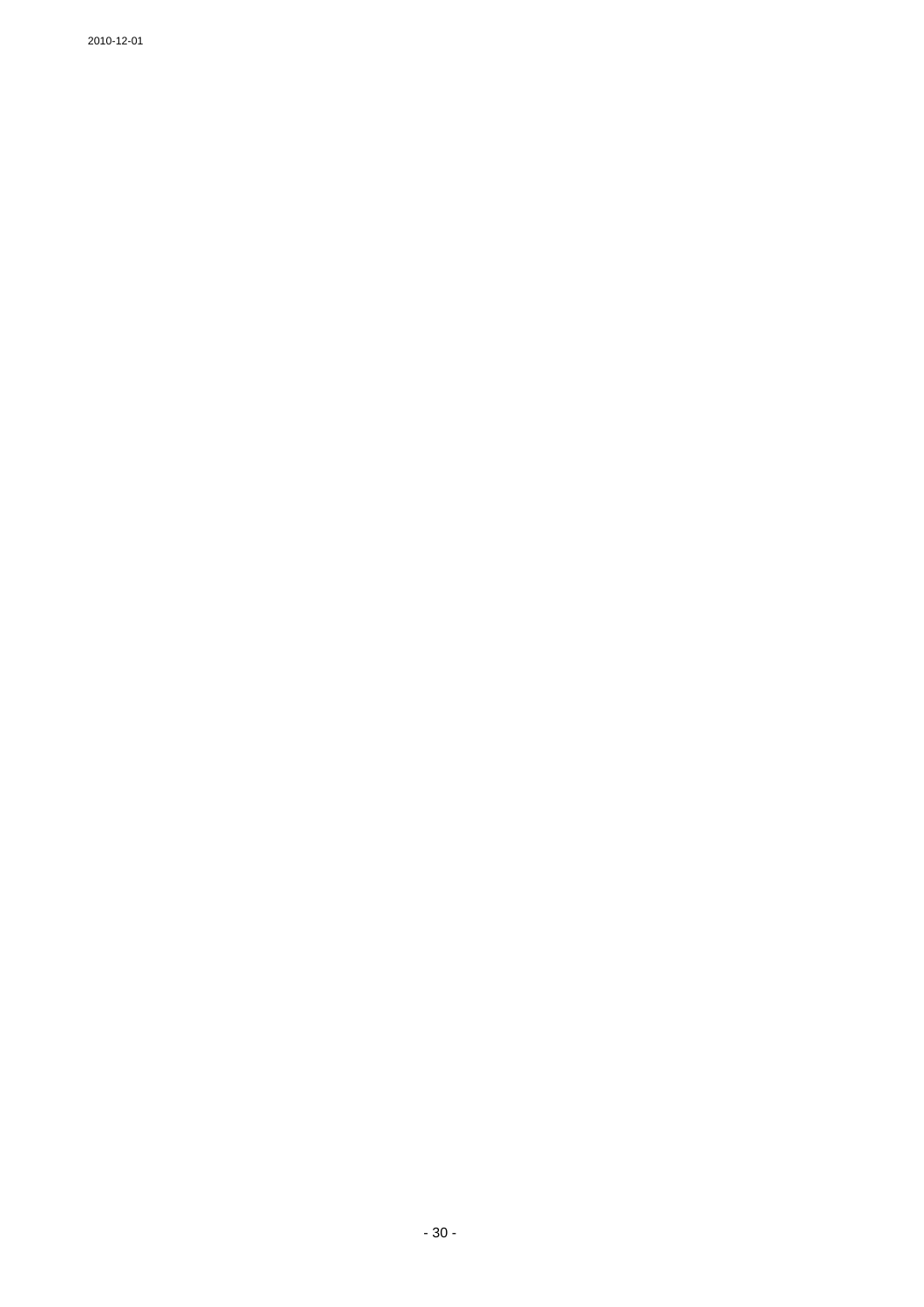2010-12-01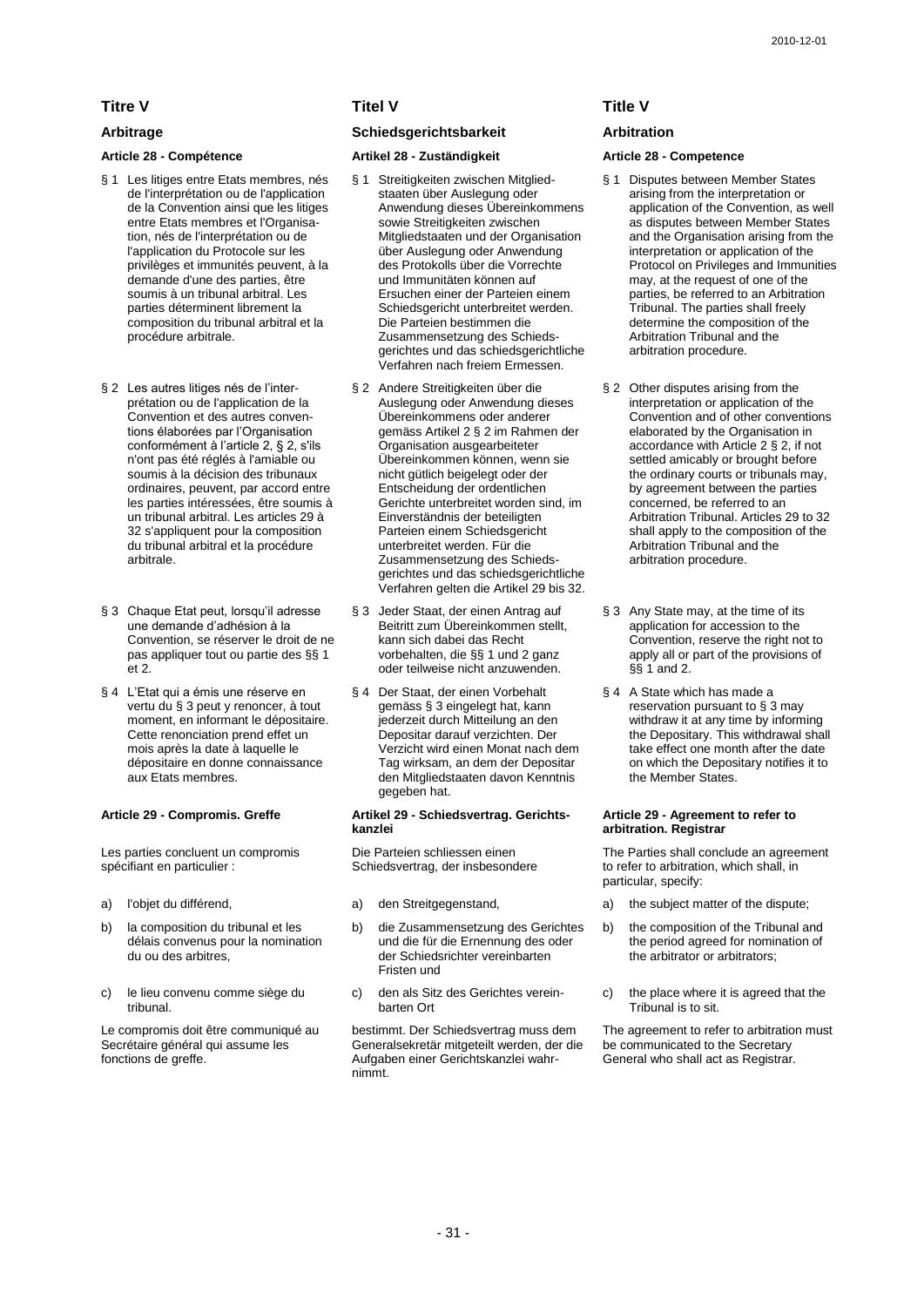- § 1 Les litiges entre Etats membres, nés de l'interprétation ou de l'application de la Convention ainsi que les litiges entre Etats membres et l'Organisation, nés de l'interprétation ou de l'application du Protocole sur les privilèges et immunités peuvent, à la demande d'une des parties, être soumis à un tribunal arbitral. Les parties déterminent librement la composition du tribunal arbitral et la procédure arbitrale.
- § 2 Les autres litiges nés de l'interprétation ou de l'application de la Convention et des autres conventions élaborées par l"Organisation conformément à l"article 2, § 2, s'ils n'ont pas été réglés à l'amiable ou soumis à la décision des tribunaux ordinaires, peuvent, par accord entre les parties intéressées, être soumis à un tribunal arbitral. Les articles 29 à 32 s'appliquent pour la composition du tribunal arbitral et la procédure arbitrale.
- § 3 Chaque Etat peut, lorsqu'il adresse une demande d"adhésion à la Convention, se réserver le droit de ne pas appliquer tout ou partie des §§ 1  $-42$
- § 4 L'Etat qui a émis une réserve en vertu du § 3 peut y renoncer, à tout moment, en informant le dépositaire. Cette renonciation prend effet un mois après la date à laquelle le dépositaire en donne connaissance aux Etats membres.

Les parties concluent un compromis spécifiant en particulier :

- 
- b) la composition du tribunal et les délais convenus pour la nomination du ou des arbitres,
- c) le lieu convenu comme siège du tribunal.

Le compromis doit être communiqué au Secrétaire général qui assume les fonctions de greffe.

# **Titre V Titel V Title V**

# **Arbitrage Schiedsgerichtsbarkeit Arbitration**

# **Article 28 - Compétence Artikel 28 - Zuständigkeit Article 28 - Competence**

- § 1 Streitigkeiten zwischen Mitaliedstaaten über Auslegung oder Anwendung dieses Übereinkommens sowie Streitigkeiten zwischen Mitgliedstaaten und der Organisation über Auslegung oder Anwendung des Protokolls über die Vorrechte und Immunitäten können auf Ersuchen einer der Parteien einem Schiedsgericht unterbreitet werden. Die Parteien bestimmen die Zusammensetzung des Schiedsgerichtes und das schiedsgerichtliche Verfahren nach freiem Ermessen.
- § 2 Andere Streitigkeiten über die Auslegung oder Anwendung dieses Übereinkommens oder anderer gemäss Artikel 2 § 2 im Rahmen der Organisation ausgearbeiteter Übereinkommen können, wenn sie nicht gütlich beigelegt oder der Entscheidung der ordentlichen Gerichte unterbreitet worden sind, im Einverständnis der beteiligten Parteien einem Schiedsgericht unterbreitet werden. Für die Zusammensetzung des Schiedsgerichtes und das schiedsgerichtliche Verfahren gelten die Artikel 29 bis 32.
- § 3 Jeder Staat, der einen Antrag auf Beitritt zum Übereinkommen stellt, kann sich dabei das Recht vorbehalten, die §§ 1 und 2 ganz oder teilweise nicht anzuwenden.
- § 4 Der Staat, der einen Vorbehalt gemäss § 3 eingelegt hat, kann jederzeit durch Mitteilung an den Depositar darauf verzichten. Der Verzicht wird einen Monat nach dem Tag wirksam, an dem der Depositar den Mitgliedstaaten davon Kenntnis gegeben hat.

# **Article 29 - Compromis. Greffe Artikel 29 - Schiedsvertrag. Gerichtskanzlei**

Die Parteien schliessen einen Schiedsvertrag, der insbesondere

- 
- b) die Zusammensetzung des Gerichtes und die für die Ernennung des oder der Schiedsrichter vereinbarten Fristen und
- c) den als Sitz des Gerichtes vereinbarten Ort

bestimmt. Der Schiedsvertrag muss dem Generalsekretär mitgeteilt werden, der die Aufgaben einer Gerichtskanzlei wahrnimmt.

- § 1 Disputes between Member States arising from the interpretation or application of the Convention, as well as disputes between Member States and the Organisation arising from the interpretation or application of the Protocol on Privileges and Immunities may, at the request of one of the parties, be referred to an Arbitration Tribunal. The parties shall freely determine the composition of the Arbitration Tribunal and the arbitration procedure.
- § 2 Other disputes arising from the interpretation or application of the Convention and of other conventions elaborated by the Organisation in accordance with Article 2 § 2, if not settled amicably or brought before the ordinary courts or tribunals may, by agreement between the parties concerned, be referred to an Arbitration Tribunal. Articles 29 to 32 shall apply to the composition of the Arbitration Tribunal and the arbitration procedure.
- § 3 Any State may, at the time of its application for accession to the Convention, reserve the right not to apply all or part of the provisions of §§ 1 and 2.
- § 4 A State which has made a reservation pursuant to § 3 may withdraw it at any time by informing the Depositary. This withdrawal shall take effect one month after the date on which the Depositary notifies it to the Member States.

# **Article 29 - Agreement to refer to arbitration. Registrar**

The Parties shall conclude an agreement to refer to arbitration, which shall, in particular, specify:

- a) l'objet du différend, a) den Streitgegenstand, a) the subject matter of the dispute;
	- b) the composition of the Tribunal and the period agreed for nomination of the arbitrator or arbitrators;
	- c) the place where it is agreed that the Tribunal is to sit.

The agreement to refer to arbitration must be communicated to the Secretary General who shall act as Registrar.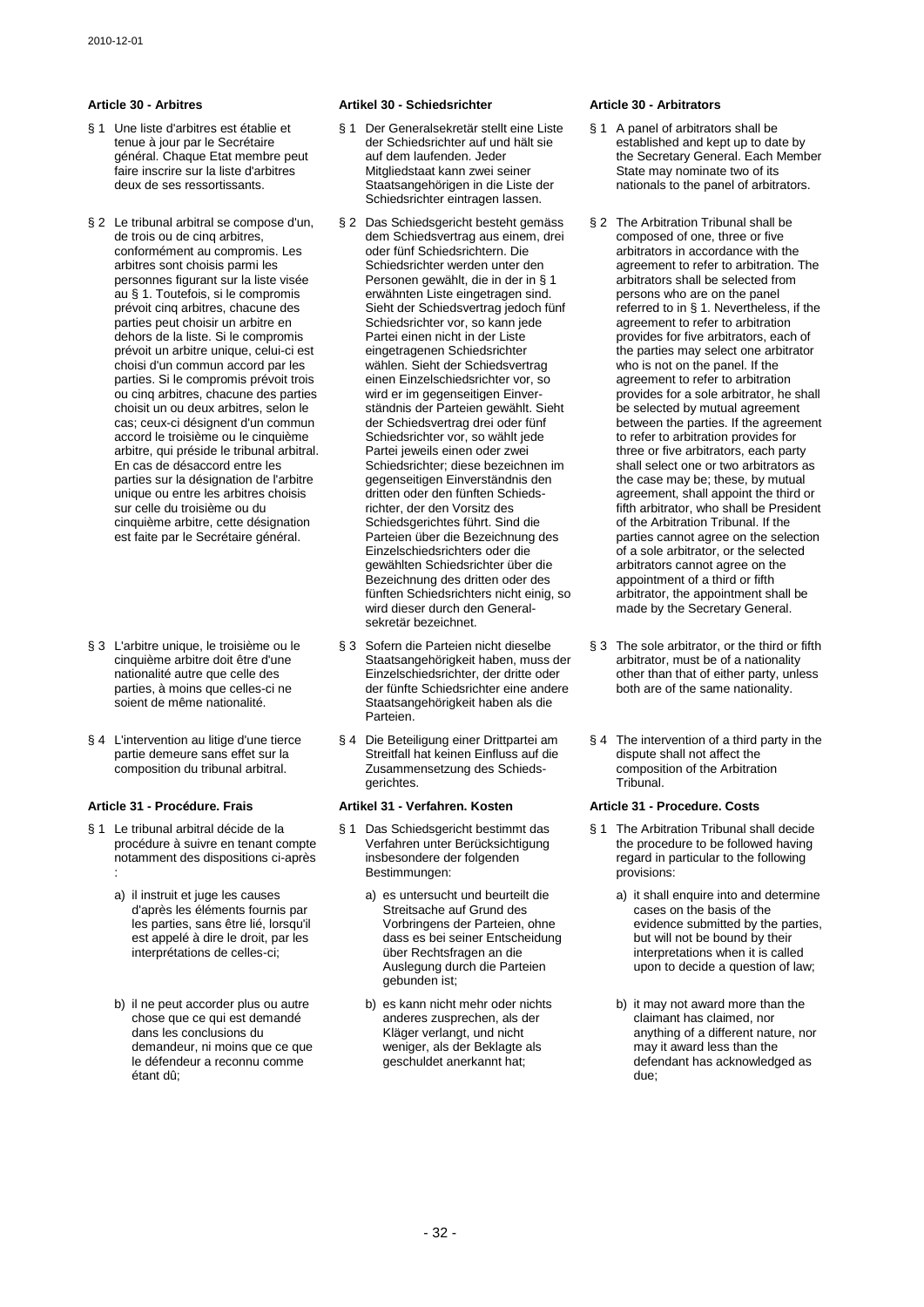- § 1 Une liste d'arbitres est établie et tenue à jour par le Secrétaire général. Chaque Etat membre peut faire inscrire sur la liste d'arbitres deux de ses ressortissants.
- § 2 Le tribunal arbitral se compose d'un, de trois ou de cinq arbitres. conformément au compromis. Les arbitres sont choisis parmi les personnes figurant sur la liste visée au § 1. Toutefois, si le compromis prévoit cinq arbitres, chacune des parties peut choisir un arbitre en dehors de la liste. Si le compromis prévoit un arbitre unique, celui-ci est choisi d'un commun accord par les parties. Si le compromis prévoit trois ou cinq arbitres, chacune des parties choisit un ou deux arbitres, selon le cas; ceux-ci désignent d'un commun accord le troisième ou le cinquième arbitre, qui préside le tribunal arbitral. En cas de désaccord entre les parties sur la désignation de l'arbitre unique ou entre les arbitres choisis sur celle du troisième ou du cinquième arbitre, cette désignation est faite par le Secrétaire général.
- § 3 L'arbitre unique, le troisième ou le cinquième arbitre doit être d'une nationalité autre que celle des parties, à moins que celles-ci ne soient de même nationalité.
- § 4 L'intervention au litige d'une tierce partie demeure sans effet sur la composition du tribunal arbitral.

- § 1 Le tribunal arbitral décide de la procédure à suivre en tenant compte notamment des dispositions ci-après :
	- a) il instruit et juge les causes d'après les éléments fournis par les parties, sans être lié, lorsqu'il est appelé à dire le droit, par les interprétations de celles-ci;
	- b) il ne peut accorder plus ou autre chose que ce qui est demandé dans les conclusions du demandeur, ni moins que ce que le défendeur a reconnu comme étant dû;

# **Article 30 - Arbitres Artikel 30 - Schiedsrichter Article 30 - Arbitrators**

- § 1 Der Generalsekretär stellt eine Liste der Schiedsrichter auf und hält sie auf dem laufenden. Jeder Mitgliedstaat kann zwei seiner Staatsangehörigen in die Liste der Schiedsrichter eintragen lassen.
- § 2 Das Schiedsgericht besteht gemäss dem Schiedsvertrag aus einem, drei oder fünf Schiedsrichtern. Die Schiedsrichter werden unter den Personen gewählt, die in der in § 1 erwähnten Liste eingetragen sind. Sieht der Schiedsvertrag jedoch fünf Schiedsrichter vor, so kann jede Partei einen nicht in der Liste eingetragenen Schiedsrichter wählen. Sieht der Schiedsvertrag einen Einzelschiedsrichter vor, so wird er im gegenseitigen Einverständnis der Parteien gewählt. Sieht der Schiedsvertrag drei oder fünf Schiedsrichter vor, so wählt jede Partei jeweils einen oder zwei Schiedsrichter; diese bezeichnen im gegenseitigen Einverständnis den dritten oder den fünften Schiedsrichter, der den Vorsitz des Schiedsgerichtes führt. Sind die Parteien über die Bezeichnung des Einzelschiedsrichters oder die gewählten Schiedsrichter über die Bezeichnung des dritten oder des fünften Schiedsrichters nicht einig, so wird dieser durch den Generalsekretär bezeichnet.
- § 3 Sofern die Parteien nicht dieselbe Staatsangehörigkeit haben, muss der Einzelschiedsrichter, der dritte oder der fünfte Schiedsrichter eine andere Staatsangehörigkeit haben als die Parteien.
- § 4 Die Beteiligung einer Drittpartei am Streitfall hat keinen Einfluss auf die Zusammensetzung des Schiedsgerichtes.

# **Article 31 - Procédure. Frais Artikel 31 - Verfahren. Kosten Article 31 - Procedure. Costs**

- § 1 Das Schiedsgericht bestimmt das Verfahren unter Berücksichtigung insbesondere der folgenden Bestimmungen:
	- a) es untersucht und beurteilt die Streitsache auf Grund des Vorbringens der Parteien, ohne dass es bei seiner Entscheidung über Rechtsfragen an die Auslegung durch die Parteien gebunden ist;
	- b) es kann nicht mehr oder nichts anderes zusprechen, als der Kläger verlangt, und nicht weniger, als der Beklagte als geschuldet anerkannt hat;

- § 1 A panel of arbitrators shall be established and kept up to date by the Secretary General. Each Member State may nominate two of its nationals to the panel of arbitrators.
- § 2 The Arbitration Tribunal shall be composed of one, three or five arbitrators in accordance with the agreement to refer to arbitration. The arbitrators shall be selected from persons who are on the panel referred to in § 1. Nevertheless, if the agreement to refer to arbitration provides for five arbitrators, each of the parties may select one arbitrator who is not on the panel. If the agreement to refer to arbitration provides for a sole arbitrator, he shall be selected by mutual agreement between the parties. If the agreement to refer to arbitration provides for three or five arbitrators, each party shall select one or two arbitrators as the case may be; these, by mutual agreement, shall appoint the third or fifth arbitrator, who shall be President of the Arbitration Tribunal. If the parties cannot agree on the selection of a sole arbitrator, or the selected arbitrators cannot agree on the appointment of a third or fifth arbitrator, the appointment shall be made by the Secretary General.
- § 3 The sole arbitrator, or the third or fifth arbitrator, must be of a nationality other than that of either party, unless both are of the same nationality.
- § 4 The intervention of a third party in the dispute shall not affect the composition of the Arbitration Tribunal.

- § 1 The Arbitration Tribunal shall decide the procedure to be followed having regard in particular to the following provisions:
	- a) it shall enquire into and determine cases on the basis of the evidence submitted by the parties, but will not be bound by their interpretations when it is called upon to decide a question of law;
	- b) it may not award more than the claimant has claimed, nor anything of a different nature, nor may it award less than the defendant has acknowledged as due;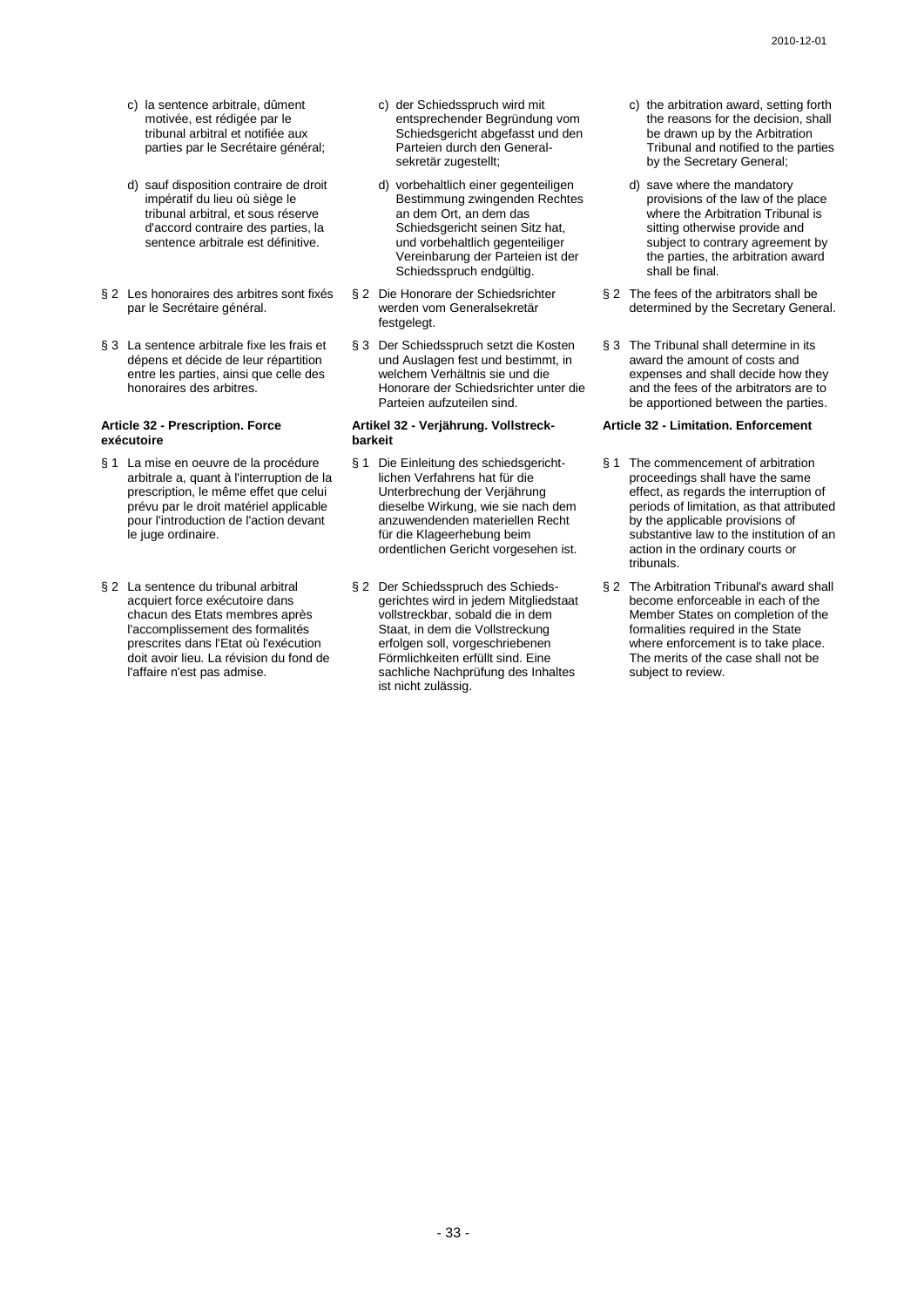- c) la sentence arbitrale, dûment motivée, est rédigée par le tribunal arbitral et notifiée aux parties par le Secrétaire général;
- d) sauf disposition contraire de droit impératif du lieu où siège le tribunal arbitral, et sous réserve d'accord contraire des parties, la sentence arbitrale est définitive.
- § 2 Les honoraires des arbitres sont fixés par le Secrétaire général.
- § 3 La sentence arbitrale fixe les frais et dépens et décide de leur répartition entre les parties, ainsi que celle des honoraires des arbitres.

### **Article 32 - Prescription. Force exécutoire**

- § 1 La mise en oeuvre de la procédure arbitrale a, quant à l'interruption de la prescription, le même effet que celui prévu par le droit matériel applicable pour l'introduction de l'action devant le juge ordinaire.
- § 2 La sentence du tribunal arbitral acquiert force exécutoire dans chacun des Etats membres après l'accomplissement des formalités prescrites dans l'Etat où l'exécution doit avoir lieu. La révision du fond de l'affaire n'est pas admise.
- c) der Schiedsspruch wird mit entsprechender Begründung vom Schiedsgericht abgefasst und den Parteien durch den Generalsekretär zugestellt;
- d) vorbehaltlich einer gegenteiligen Bestimmung zwingenden Rechtes an dem Ort, an dem das Schiedsgericht seinen Sitz hat, und vorbehaltlich gegenteiliger Vereinbarung der Parteien ist der Schiedsspruch endgültig.
- § 2 Die Honorare der Schiedsrichter werden vom Generalsekretär festgelegt.
- § 3 Der Schiedsspruch setzt die Kosten und Auslagen fest und bestimmt, in welchem Verhältnis sie und die Honorare der Schiedsrichter unter die Parteien aufzuteilen sind.

# **Artikel 32 - Verjährung. Vollstreckbarkeit**

- § 1 Die Einleitung des schiedsgerichtlichen Verfahrens hat für die Unterbrechung der Verjährung dieselbe Wirkung, wie sie nach dem anzuwendenden materiellen Recht für die Klageerhebung beim ordentlichen Gericht vorgesehen ist.
- § 2 Der Schiedsspruch des Schiedsgerichtes wird in jedem Mitgliedstaat vollstreckbar, sobald die in dem Staat, in dem die Vollstreckung erfolgen soll, vorgeschriebenen Förmlichkeiten erfüllt sind. Eine sachliche Nachprüfung des Inhaltes ist nicht zulässig.
- c) the arbitration award, setting forth the reasons for the decision, shall be drawn up by the Arbitration Tribunal and notified to the parties by the Secretary General;
- d) save where the mandatory provisions of the law of the place where the Arbitration Tribunal is sitting otherwise provide and subject to contrary agreement by the parties, the arbitration award shall be final.
- § 2 The fees of the arbitrators shall be determined by the Secretary General.
- § 3 The Tribunal shall determine in its award the amount of costs and expenses and shall decide how they and the fees of the arbitrators are to be apportioned between the parties.

# **Article 32 - Limitation. Enforcement**

- § 1 The commencement of arbitration proceedings shall have the same effect, as regards the interruption of periods of limitation, as that attributed by the applicable provisions of substantive law to the institution of an action in the ordinary courts or tribunals.
- § 2 The Arbitration Tribunal's award shall become enforceable in each of the Member States on completion of the formalities required in the State where enforcement is to take place. The merits of the case shall not be subject to review.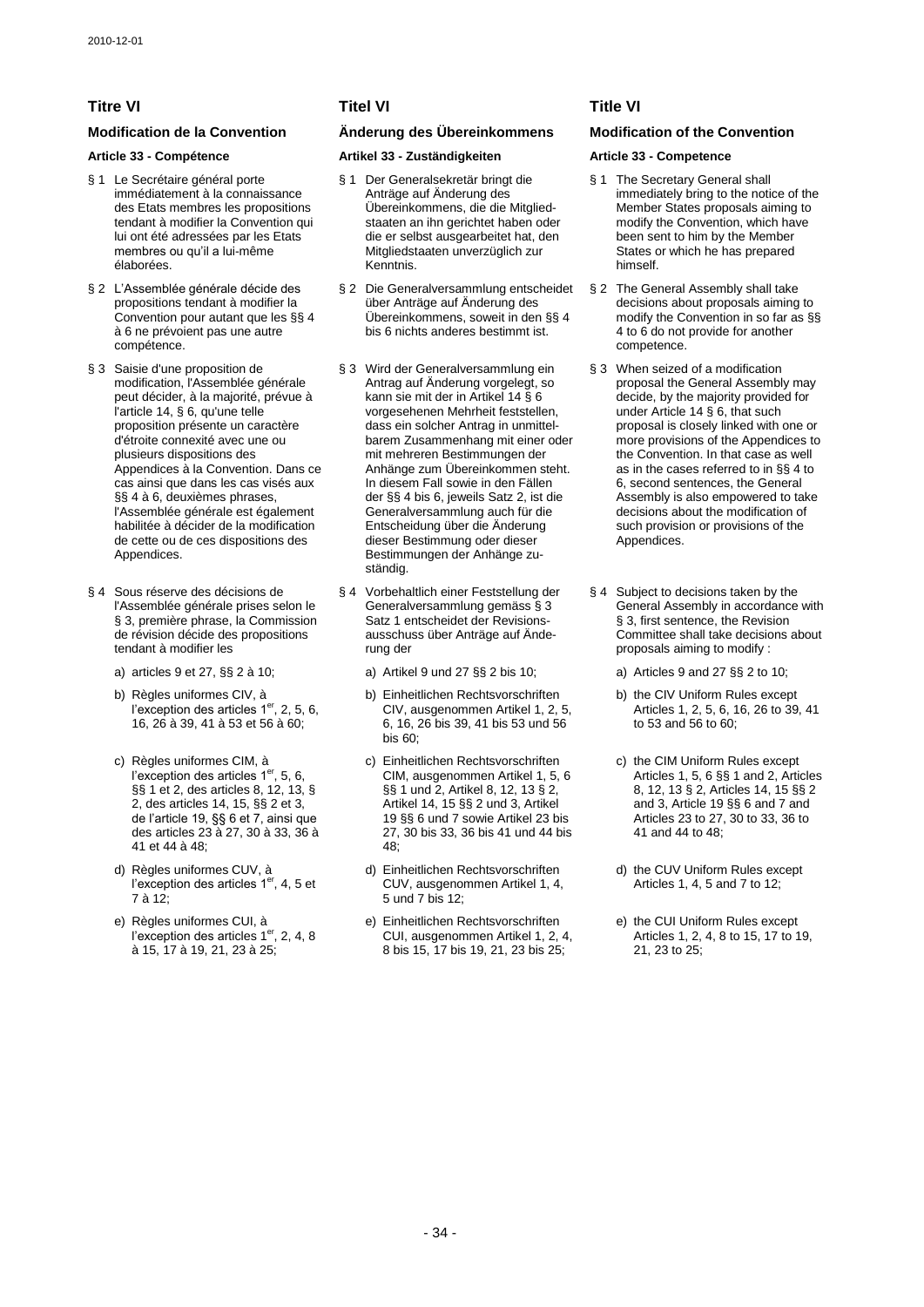# **Titre VI Titel VI Title VI**

- § 1 Le Secrétaire général porte immédiatement à la connaissance des Etats membres les propositions tendant à modifier la Convention qui lui ont été adressées par les Etats membres ou qu"il a lui-même élaborées.
- § 2 L'Assemblée générale décide des propositions tendant à modifier la Convention pour autant que les §§ 4 à 6 ne prévoient pas une autre compétence.
- § 3 Saisie d'une proposition de modification, l'Assemblée générale peut décider, à la majorité, prévue à l'article 14, § 6, qu'une telle proposition présente un caractère d'étroite connexité avec une ou plusieurs dispositions des Appendices à la Convention. Dans ce cas ainsi que dans les cas visés aux §§ 4 à 6, deuxièmes phrases, l'Assemblée générale est également habilitée à décider de la modification de cette ou de ces dispositions des Appendices.
- § 4 Sous réserve des décisions de l'Assemblée générale prises selon le § 3, première phrase, la Commission de révision décide des propositions tendant à modifier les
	-
	- b) Règles uniformes CIV, à l'exception des articles  $1<sup>er</sup>$ , 2, 5, 6. 16, 26 à 39, 41 à 53 et 56 à 60;
	- c) Règles uniformes CIM, à l'exception des articles 1<sup>er</sup>, 5, 6, §§ 1 et 2, des articles 8, 12, 13, § 2, des articles 14, 15, §§ 2 et 3, de l"article 19, §§ 6 et 7, ainsi que des articles 23 à 27, 30 à 33, 36 à 41 et 44 à 48;
	- d) Règles uniformes CUV, à l'exception des articles 1<sup>er</sup>, 4, 5 et 7 à 12;
	- e) Règles uniformes CUI, à l'exception des articles  $1<sup>er</sup>$ , 2, 4, 8 à 15, 17 à 19, 21, 23 à 25;

# **Modification de la Convention Änderung des Übereinkommens Modification of the Convention**

# **Article 33 - Compétence Artikel 33 - Zuständigkeiten Article 33 - Competence**

- § 1 Der Generalsekretär bringt die Anträge auf Änderung des Übereinkommens, die die Mitgliedstaaten an ihn gerichtet haben oder die er selbst ausgearbeitet hat, den Mitgliedstaaten unverzüglich zur Kenntnis.
- § 2 Die Generalversammlung entscheidet über Anträge auf Änderung des Übereinkommens, soweit in den §§ 4 bis 6 nichts anderes bestimmt ist.
- § 3 Wird der Generalversammlung ein Antrag auf Änderung vorgelegt, so kann sie mit der in Artikel 14 § 6 vorgesehenen Mehrheit feststellen, dass ein solcher Antrag in unmittelbarem Zusammenhang mit einer oder mit mehreren Bestimmungen der Anhänge zum Übereinkommen steht. In diesem Fall sowie in den Fällen der §§ 4 bis 6, jeweils Satz 2, ist die Generalversammlung auch für die Entscheidung über die Änderung dieser Bestimmung oder dieser Bestimmungen der Anhänge zuständig.
- § 4 Vorbehaltlich einer Feststellung der Generalversammlung gemäss § 3 Satz 1 entscheidet der Revisionsausschuss über Anträge auf Änderung der
- a) articles 9 et 27,  $\S$ § 2 à 10; a) Artikel 9 und 27  $\S$ § 2 bis 10; a) Articles 9 and 27  $\S$ § 2 to 10;
	- b) Einheitlichen Rechtsvorschriften CIV, ausgenommen Artikel 1, 2, 5, 6, 16, 26 bis 39, 41 bis 53 und 56 bis 60;
	- c) Einheitlichen Rechtsvorschriften CIM, ausgenommen Artikel 1, 5, 6 §§ 1 und 2, Artikel 8, 12, 13 § 2, Artikel 14, 15 §§ 2 und 3, Artikel 19 §§ 6 und 7 sowie Artikel 23 bis 27, 30 bis 33, 36 bis 41 und 44 bis  $48<sup>1</sup>$
	- d) Einheitlichen Rechtsvorschriften CUV, ausgenommen Artikel 1, 4, 5 und 7 bis 12;
	- e) Einheitlichen Rechtsvorschriften CUI, ausgenommen Artikel 1, 2, 4, 8 bis 15, 17 bis 19, 21, 23 bis 25;

- § 1 The Secretary General shall immediately bring to the notice of the Member States proposals aiming to modify the Convention, which have been sent to him by the Member States or which he has prepared himself.
- § 2 The General Assembly shall take decisions about proposals aiming to modify the Convention in so far as §§ 4 to 6 do not provide for another competence.
- § 3 When seized of a modification proposal the General Assembly may decide, by the majority provided for under Article 14 § 6, that such proposal is closely linked with one or more provisions of the Appendices to the Convention. In that case as well as in the cases referred to in §§ 4 to 6, second sentences, the General Assembly is also empowered to take decisions about the modification of such provision or provisions of the **A**ppendices
- § 4 Subject to decisions taken by the General Assembly in accordance with § 3, first sentence, the Revision Committee shall take decisions about proposals aiming to modify :

- b) the CIV Uniform Rules except Articles 1, 2, 5, 6, 16, 26 to 39, 41 to 53 and 56 to 60;
- c) the CIM Uniform Rules except Articles 1, 5, 6 §§ 1 and 2, Articles 8, 12, 13 § 2, Articles 14, 15 §§ 2 and 3, Article 19 §§ 6 and 7 and Articles 23 to 27, 30 to 33, 36 to 41 and 44 to 48;
- d) the CUV Uniform Rules except Articles 1, 4, 5 and 7 to 12;
- e) the CUI Uniform Rules except Articles 1, 2, 4, 8 to 15, 17 to 19, 21, 23 to 25;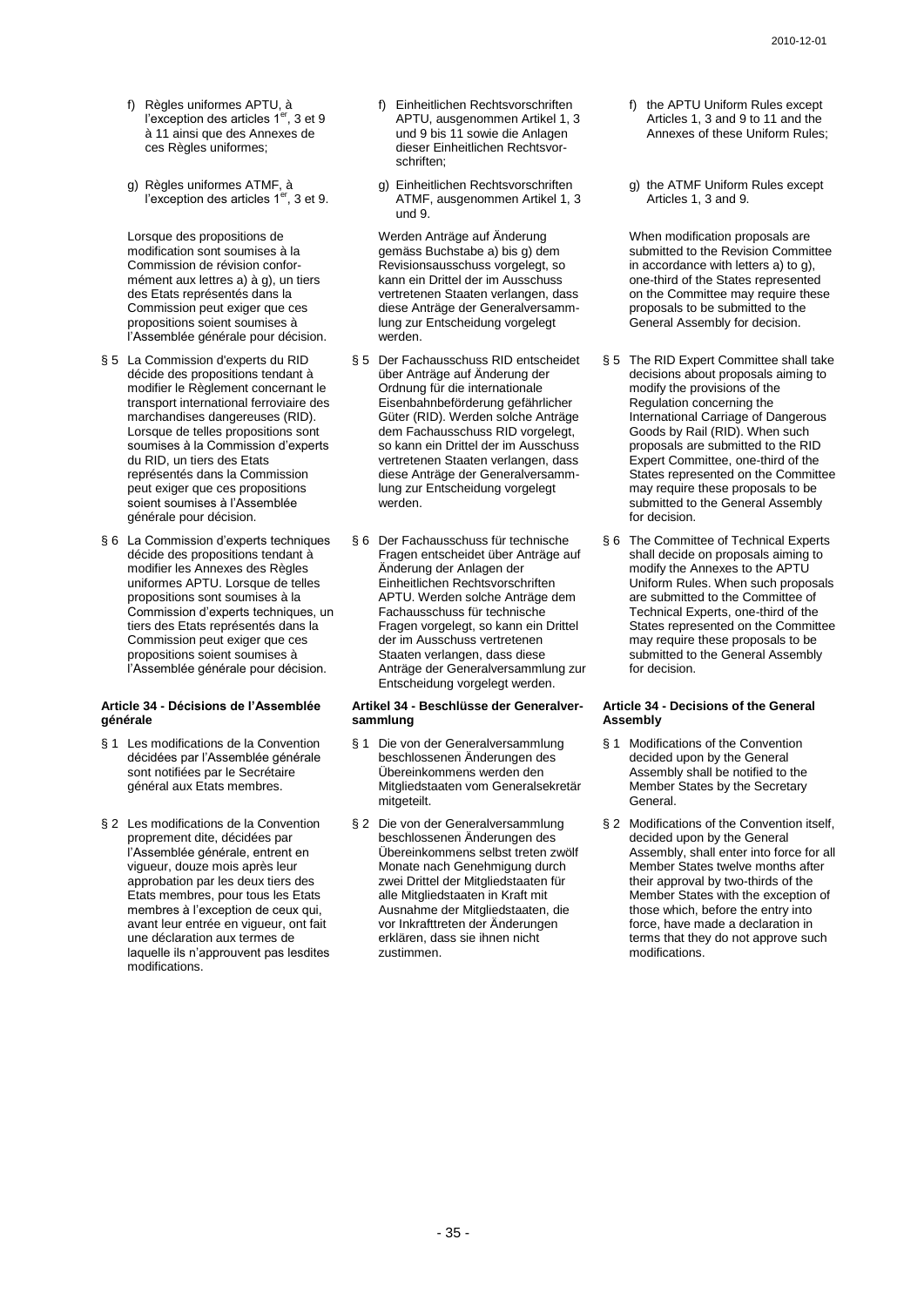- f) Règles uniformes APTU, à l'exception des articles  $1<sup>er</sup>$ , 3 et 9 à 11 ainsi que des Annexes de ces Règles uniformes:
- g) Règles uniformes ATMF, à<br>l'exception des articles 1<sup>er</sup>, 3 et 9.

Lorsque des propositions de modification sont soumises à la Commission de révision conformément aux lettres a) à g), un tiers des Etats représentés dans la Commission peut exiger que ces propositions soient soumises à l"Assemblée générale pour décision.

- § 5 La Commission d'experts du RID décide des propositions tendant à modifier le Règlement concernant le transport international ferroviaire des marchandises dangereuses (RID). Lorsque de telles propositions sont soumises à la Commission d"experts du RID, un tiers des Etats représentés dans la Commission peut exiger que ces propositions soient soumises à l"Assemblée générale pour décision.
- § 6 La Commission d"experts techniques décide des propositions tendant à modifier les Annexes des Règles uniformes APTU. Lorsque de telles propositions sont soumises à la Commission d"experts techniques, un tiers des Etats représentés dans la Commission peut exiger que ces propositions soient soumises à l"Assemblée générale pour décision.

# **Article 34 - Décisions de l'Assemblée générale**

- § 1 Les modifications de la Convention décidées par l"Assemblée générale sont notifiées par le Secrétaire général aux Etats membres.
- § 2 Les modifications de la Convention proprement dite, décidées par l"Assemblée générale, entrent en vigueur, douze mois après leur approbation par les deux tiers des Etats membres, pour tous les Etats membres à l"exception de ceux qui, avant leur entrée en vigueur, ont fait une déclaration aux termes de laquelle ils n"approuvent pas lesdites modifications.
- f) Einheitlichen Rechtsvorschriften APTU, ausgenommen Artikel 1, 3 und 9 bis 11 sowie die Anlagen dieser Einheitlichen Rechtsvorschriften;
- g) Einheitlichen Rechtsvorschriften ATMF, ausgenommen Artikel 1, 3 und 9.

Werden Anträge auf Änderung gemäss Buchstabe a) bis g) dem Revisionsausschuss vorgelegt, so kann ein Drittel der im Ausschuss vertretenen Staaten verlangen, dass diese Anträge der Generalversammlung zur Entscheidung vorgelegt werden.

- § 5 Der Fachausschuss RID entscheidet über Anträge auf Änderung der Ordnung für die internationale Eisenbahnbeförderung gefährlicher Güter (RID). Werden solche Anträge dem Fachausschuss RID vorgelegt, so kann ein Drittel der im Ausschuss vertretenen Staaten verlangen, dass diese Anträge der Generalversammlung zur Entscheidung vorgelegt werden.
- § 6 Der Fachausschuss für technische Fragen entscheidet über Anträge auf Änderung der Anlagen der Einheitlichen Rechtsvorschriften APTU. Werden solche Anträge dem Fachausschuss für technische Fragen vorgelegt, so kann ein Drittel der im Ausschuss vertretenen Staaten verlangen, dass diese Anträge der Generalversammlung zur Entscheidung vorgelegt werden.

# **Artikel 34 - Beschlüsse der Generalversammlung**

- § 1 Die von der Generalversammlung beschlossenen Änderungen des Übereinkommens werden den Mitgliedstaaten vom Generalsekretär mitgeteilt.
- § 2 Die von der Generalversammlung beschlossenen Änderungen des Übereinkommens selbst treten zwölf Monate nach Genehmigung durch zwei Drittel der Mitgliedstaaten für alle Mitgliedstaaten in Kraft mit Ausnahme der Mitgliedstaaten, die vor Inkrafttreten der Änderungen erklären, dass sie ihnen nicht zustimmen.
- f) the APTU Uniform Rules except Articles 1, 3 and 9 to 11 and the Annexes of these Uniform Rules;
- g) the ATMF Uniform Rules except Articles 1, 3 and 9.

When modification proposals are submitted to the Revision Committee in accordance with letters a) to g), one-third of the States represented on the Committee may require these proposals to be submitted to the General Assembly for decision.

- § 5 The RID Expert Committee shall take decisions about proposals aiming to modify the provisions of the Regulation concerning the International Carriage of Dangerous Goods by Rail (RID). When such proposals are submitted to the RID Expert Committee, one-third of the States represented on the Committee may require these proposals to be submitted to the General Assembly for decision.
- § 6 The Committee of Technical Experts shall decide on proposals aiming to modify the Annexes to the APTU Uniform Rules. When such proposals are submitted to the Committee of Technical Experts, one-third of the States represented on the Committee may require these proposals to be submitted to the General Assembly for decision.

# **Article 34 - Decisions of the General Assembly**

- § 1 Modifications of the Convention decided upon by the General Assembly shall be notified to the Member States by the Secretary General.
- § 2 Modifications of the Convention itself, decided upon by the General Assembly, shall enter into force for all Member States twelve months after their approval by two-thirds of the Member States with the exception of those which, before the entry into force, have made a declaration in terms that they do not approve such modifications.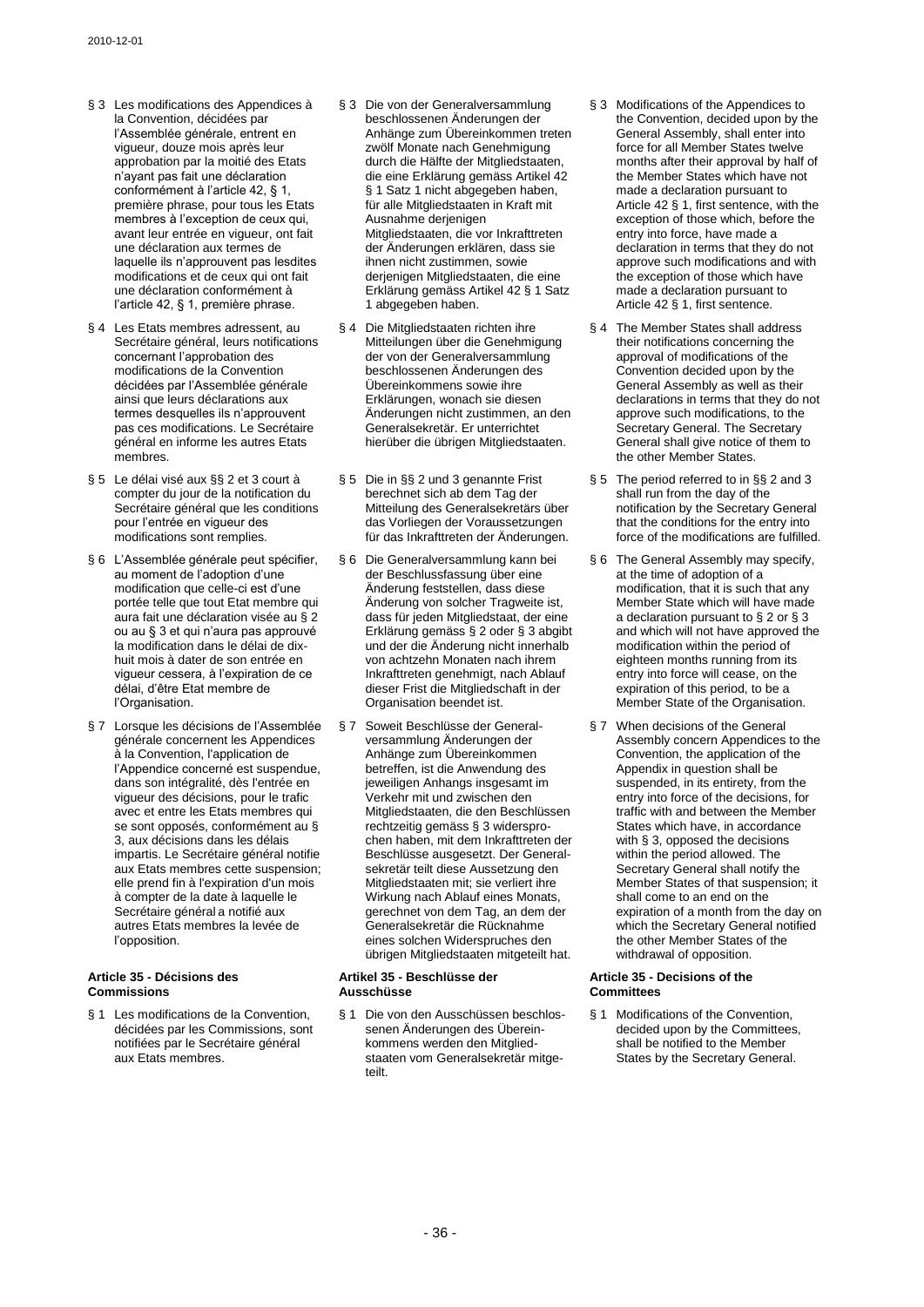- § 3 Les modifications des Appendices à la Convention, décidées par l"Assemblée générale, entrent en vigueur, douze mois après leur approbation par la moitié des Etats n"ayant pas fait une déclaration conformément à l"article 42, § 1, première phrase, pour tous les Etats membres à l"exception de ceux qui, avant leur entrée en vigueur, ont fait une déclaration aux termes de laquelle ils n"approuvent pas lesdites modifications et de ceux qui ont fait une déclaration conformément à l'article 42, § 1, première phrase.
- § 4 Les Etats membres adressent, au Secrétaire général, leurs notifications concernant l"approbation des modifications de la Convention décidées par l"Assemblée générale ainsi que leurs déclarations aux termes desquelles ils n"approuvent pas ces modifications. Le Secrétaire général en informe les autres Etats membres.
- § 5 Le délai visé aux §§ 2 et 3 court à compter du jour de la notification du Secrétaire général que les conditions pour l"entrée en vigueur des modifications sont remplies.
- § 6 L'Assemblée générale peut spécifier, au moment de l"adoption d"une modification que celle-ci est d"une portée telle que tout Etat membre qui aura fait une déclaration visée au § 2 ou au § 3 et qui n"aura pas approuvé la modification dans le délai de dixhuit mois à dater de son entrée en vigueur cessera, à l"expiration de ce délai, d"être Etat membre de l"Organisation.
- § 7 Lorsque les décisions de l'Assemblée générale concernent les Appendices à la Convention, l'application de l"Appendice concerné est suspendue, dans son intégralité, dès l'entrée en vigueur des décisions, pour le trafic avec et entre les Etats membres qui se sont opposés, conformément au § 3, aux décisions dans les délais impartis. Le Secrétaire général notifie aux Etats membres cette suspension; elle prend fin à l'expiration d'un mois à compter de la date à laquelle le Secrétaire général a notifié aux autres Etats membres la levée de l"opposition.

# **Article 35 - Décisions des Commissions**

§ 1 Les modifications de la Convention, décidées par les Commissions, sont notifiées par le Secrétaire général aux Etats membres.

- § 3 Die von der Generalversammlung beschlossenen Änderungen der Anhänge zum Übereinkommen treten zwölf Monate nach Genehmigung durch die Hälfte der Mitgliedstaaten, die eine Erklärung gemäss Artikel 42 § 1 Satz 1 nicht abgegeben haben, für alle Mitgliedstaaten in Kraft mit Ausnahme derjenigen Mitgliedstaaten, die vor Inkrafttreten der Änderungen erklären, dass sie ihnen nicht zustimmen, sowie derjenigen Mitgliedstaaten, die eine Erklärung gemäss Artikel 42 § 1 Satz 1 abgegeben haben.
- § 4 Die Mitgliedstaaten richten ihre Mitteilungen über die Genehmigung der von der Generalversammlung beschlossenen Änderungen des Übereinkommens sowie ihre Erklärungen, wonach sie diesen Änderungen nicht zustimmen, an den Generalsekretär. Er unterrichtet hierüber die übrigen Mitgliedstaaten.
- § 5 Die in §§ 2 und 3 genannte Frist berechnet sich ab dem Tag der Mitteilung des Generalsekretärs über das Vorliegen der Voraussetzungen für das Inkrafttreten der Änderungen.
- § 6 Die Generalversammlung kann bei der Beschlussfassung über eine Änderung feststellen, dass diese Änderung von solcher Tragweite ist, dass für jeden Mitgliedstaat, der eine Erklärung gemäss § 2 oder § 3 abgibt und der die Änderung nicht innerhalb von achtzehn Monaten nach ihrem Inkrafttreten genehmigt, nach Ablauf dieser Frist die Mitgliedschaft in der Organisation beendet ist.
- § 7 Soweit Beschlüsse der Generalversammlung Änderungen der Anhänge zum Übereinkommen betreffen, ist die Anwendung des jeweiligen Anhangs insgesamt im Verkehr mit und zwischen den Mitgliedstaaten, die den Beschlüssen rechtzeitig gemäss § 3 widersprochen haben, mit dem Inkrafttreten der Beschlüsse ausgesetzt. Der Generalsekretär teilt diese Aussetzung den Mitgliedstaaten mit; sie verliert ihre Wirkung nach Ablauf eines Monats, gerechnet von dem Tag, an dem der Generalsekretär die Rücknahme eines solchen Widerspruches den übrigen Mitgliedstaaten mitgeteilt hat.

# **Artikel 35 - Beschlüsse der Ausschüsse**

§ 1 Die von den Ausschüssen beschlossenen Änderungen des Übereinkommens werden den Mitgliedstaaten vom Generalsekretär mitgeteilt.

- § 3 Modifications of the Appendices to the Convention, decided upon by the General Assembly, shall enter into force for all Member States twelve months after their approval by half of the Member States which have not made a declaration pursuant to Article 42 § 1, first sentence, with the exception of those which, before the entry into force, have made a declaration in terms that they do not approve such modifications and with the exception of those which have made a declaration pursuant to Article 42 § 1, first sentence.
- § 4 The Member States shall address their notifications concerning the approval of modifications of the Convention decided upon by the General Assembly as well as their declarations in terms that they do not approve such modifications, to the Secretary General. The Secretary General shall give notice of them to the other Member States.
- § 5 The period referred to in §§ 2 and 3 shall run from the day of the notification by the Secretary General that the conditions for the entry into force of the modifications are fulfilled.
- § 6 The General Assembly may specify, at the time of adoption of a modification, that it is such that any Member State which will have made a declaration pursuant to § 2 or § 3 and which will not have approved the modification within the period of eighteen months running from its entry into force will cease, on the expiration of this period, to be a Member State of the Organisation.
- § 7 When decisions of the General Assembly concern Appendices to the Convention, the application of the Appendix in question shall be suspended, in its entirety, from the entry into force of the decisions, for traffic with and between the Member States which have, in accordance with § 3, opposed the decisions within the period allowed. The Secretary General shall notify the Member States of that suspension; it shall come to an end on the expiration of a month from the day on which the Secretary General notified the other Member States of the withdrawal of opposition.

# **Article 35 - Decisions of the Committees**

§ 1 Modifications of the Convention, decided upon by the Committees, shall be notified to the Member States by the Secretary General.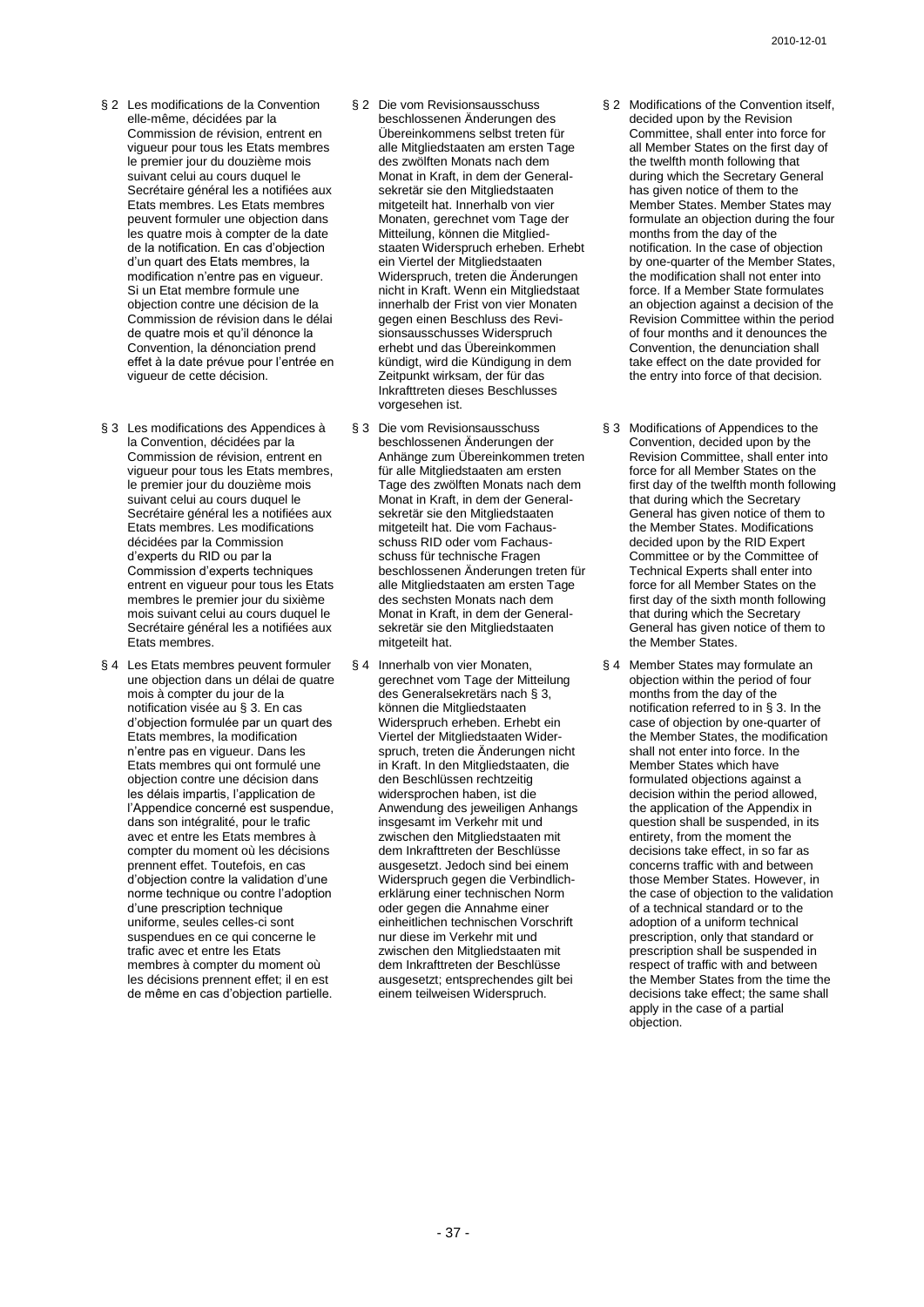- § 2 Les modifications de la Convention elle-même, décidées par la Commission de révision, entrent en vigueur pour tous les Etats membres le premier jour du douzième mois suivant celui au cours duquel le Secrétaire général les a notifiées aux Etats membres. Les Etats membres peuvent formuler une objection dans les quatre mois à compter de la date de la notification. En cas d"objection d"un quart des Etats membres, la modification n"entre pas en vigueur. Si un Etat membre formule une objection contre une décision de la Commission de révision dans le délai de quatre mois et qu"il dénonce la Convention, la dénonciation prend effet à la date prévue pour l"entrée en vigueur de cette décision.
- § 3 Les modifications des Appendices à la Convention, décidées par la Commission de révision, entrent en vigueur pour tous les Etats membres, le premier jour du douzième mois suivant celui au cours duquel le Secrétaire général les a notifiées aux Etats membres. Les modifications décidées par la Commission d"experts du RID ou par la Commission d"experts techniques entrent en vigueur pour tous les Etats membres le premier jour du sixième mois suivant celui au cours duquel le Secrétaire général les a notifiées aux Etats membres.
- § 4 Les Etats membres peuvent formuler une objection dans un délai de quatre mois à compter du jour de la notification visée au § 3. En cas d"objection formulée par un quart des Etats membres, la modification n"entre pas en vigueur. Dans les Etats membres qui ont formulé une objection contre une décision dans les délais impartis, l"application de l"Appendice concerné est suspendue, dans son intégralité, pour le trafic avec et entre les Etats membres à compter du moment où les décisions prennent effet. Toutefois, en cas d"objection contre la validation d"une norme technique ou contre l"adoption d"une prescription technique uniforme, seules celles-ci sont suspendues en ce qui concerne le trafic avec et entre les Etats membres à compter du moment où les décisions prennent effet; il en est de même en cas d"objection partielle.
- § 2 Die vom Revisionsausschuss beschlossenen Änderungen des Übereinkommens selbst treten für alle Mitgliedstaaten am ersten Tage des zwölften Monats nach dem Monat in Kraft, in dem der Generalsekretär sie den Mitgliedstaaten mitgeteilt hat. Innerhalb von vier Monaten, gerechnet vom Tage der Mitteilung, können die Mitgliedstaaten Widerspruch erheben. Erhebt ein Viertel der Mitgliedstaaten Widerspruch, treten die Änderungen nicht in Kraft. Wenn ein Mitgliedstaat innerhalb der Frist von vier Monaten gegen einen Beschluss des Revisionsausschusses Widerspruch erhebt und das Übereinkommen kündigt, wird die Kündigung in dem Zeitpunkt wirksam, der für das Inkrafttreten dieses Beschlusses vorgesehen ist.
- § 3 Die vom Revisionsausschuss beschlossenen Änderungen der Anhänge zum Übereinkommen treten für alle Mitgliedstaaten am ersten Tage des zwölften Monats nach dem Monat in Kraft, in dem der Generalsekretär sie den Mitgliedstaaten mitgeteilt hat. Die vom Fachausschuss RID oder vom Fachausschuss für technische Fragen beschlossenen Änderungen treten für alle Mitgliedstaaten am ersten Tage des sechsten Monats nach dem Monat in Kraft, in dem der Generalsekretär sie den Mitgliedstaaten mitgeteilt hat.
- § 4 Innerhalb von vier Monaten, gerechnet vom Tage der Mitteilung des Generalsekretärs nach § 3, können die Mitgliedstaaten Widerspruch erheben. Erhebt ein Viertel der Mitgliedstaaten Widerspruch, treten die Änderungen nicht in Kraft. In den Mitgliedstaaten, die den Beschlüssen rechtzeitig widersprochen haben, ist die Anwendung des jeweiligen Anhangs insgesamt im Verkehr mit und zwischen den Mitgliedstaaten mit dem Inkrafttreten der Beschlüsse ausgesetzt. Jedoch sind bei einem Widerspruch gegen die Verbindlicherklärung einer technischen Norm oder gegen die Annahme einer einheitlichen technischen Vorschrift nur diese im Verkehr mit und zwischen den Mitgliedstaaten mit dem Inkrafttreten der Beschlüsse ausgesetzt; entsprechendes gilt bei einem teilweisen Widerspruch.
- § 2 Modifications of the Convention itself, decided upon by the Revision Committee, shall enter into force for all Member States on the first day of the twelfth month following that during which the Secretary General has given notice of them to the Member States. Member States may formulate an objection during the four months from the day of the notification. In the case of objection by one-quarter of the Member States, the modification shall not enter into force. If a Member State formulates an objection against a decision of the Revision Committee within the period of four months and it denounces the Convention, the denunciation shall take effect on the date provided for the entry into force of that decision.
- § 3 Modifications of Appendices to the Convention, decided upon by the Revision Committee, shall enter into force for all Member States on the first day of the twelfth month following that during which the Secretary General has given notice of them to the Member States. Modifications decided upon by the RID Expert Committee or by the Committee of Technical Experts shall enter into force for all Member States on the first day of the sixth month following that during which the Secretary General has given notice of them to the Member States.
- § 4 Member States may formulate an objection within the period of four months from the day of the notification referred to in § 3. In the case of objection by one-quarter of the Member States, the modification shall not enter into force. In the Member States which have formulated objections against a decision within the period allowed, the application of the Appendix in question shall be suspended, in its entirety, from the moment the decisions take effect, in so far as concerns traffic with and between those Member States. However, in the case of objection to the validation of a technical standard or to the adoption of a uniform technical prescription, only that standard or prescription shall be suspended in respect of traffic with and between the Member States from the time the decisions take effect; the same shall apply in the case of a partial objection.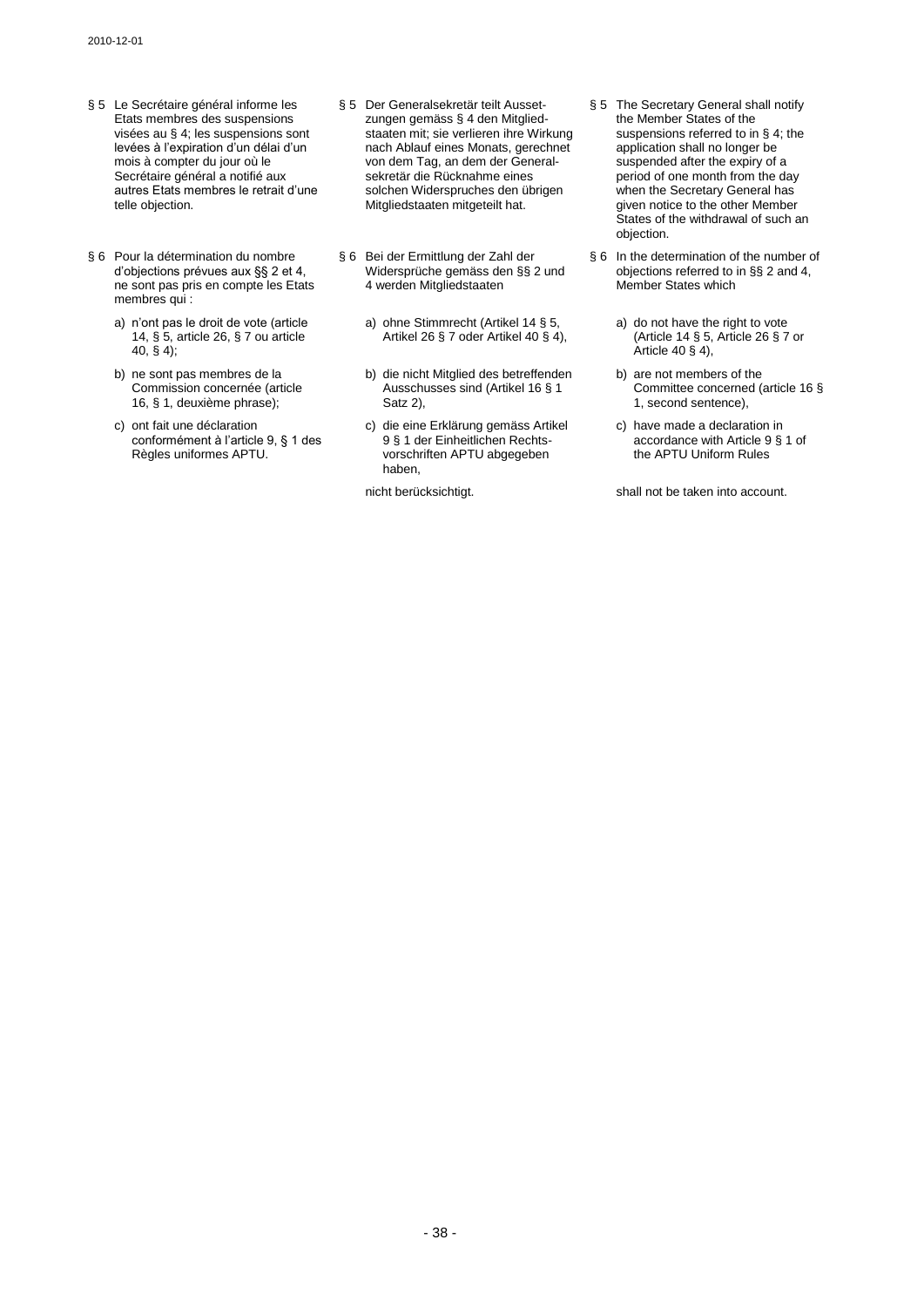- § 5 Le Secrétaire général informe les Etats membres des suspensions visées au § 4; les suspensions sont levées à l'expiration d'un délai d'un mois à compter du jour où le Secrétaire général a notifié aux autres Etats membres le retrait d'une telle objection.
- § 6 Pour la détermination du nombre d"objections prévues aux §§ 2 et 4, ne sont pas pris en compte les Etats membres qui :
	- a) n"ont pas le droit de vote (article 14, § 5, article 26, § 7 ou article  $40, \, \xi$  4);
	- b) ne sont pas membres de la Commission concernée (article 16, § 1, deuxième phrase);
	- c) ont fait une déclaration conformément à l"article 9, § 1 des Règles uniformes APTU.
- § 5 Der Generalsekretär teilt Aussetzungen gemäss § 4 den Mitgliedstaaten mit; sie verlieren ihre Wirkung nach Ablauf eines Monats, gerechnet von dem Tag, an dem der Generalsekretär die Rücknahme eines solchen Widerspruches den übrigen Mitgliedstaaten mitgeteilt hat.
- § 6 Bei der Ermittlung der Zahl der Widersprüche gemäss den §§ 2 und 4 werden Mitgliedstaaten
	- a) ohne Stimmrecht (Artikel 14 § 5, Artikel 26 § 7 oder Artikel 40 § 4),
	- b) die nicht Mitglied des betreffenden Ausschusses sind (Artikel 16 § 1 Satz 2),
	- c) die eine Erklärung gemäss Artikel 9 § 1 der Einheitlichen Rechtsvorschriften APTU abgegeben haben,

- § 5 The Secretary General shall notify the Member States of the suspensions referred to in § 4; the application shall no longer be suspended after the expiry of a period of one month from the day when the Secretary General has given notice to the other Member States of the withdrawal of such an objection.
- § 6 In the determination of the number of objections referred to in §§ 2 and 4, Member States which
	- a) do not have the right to vote (Article 14 § 5, Article 26 § 7 or Article  $40 \overset{\textstyle<}{} \underset{\textstyle<}{S} 4$ ),
	- b) are not members of the Committee concerned (article 16 § 1, second sentence),
	- c) have made a declaration in accordance with Article 9 § 1 of the APTU Uniform Rules

nicht berücksichtigt. shall not be taken into account.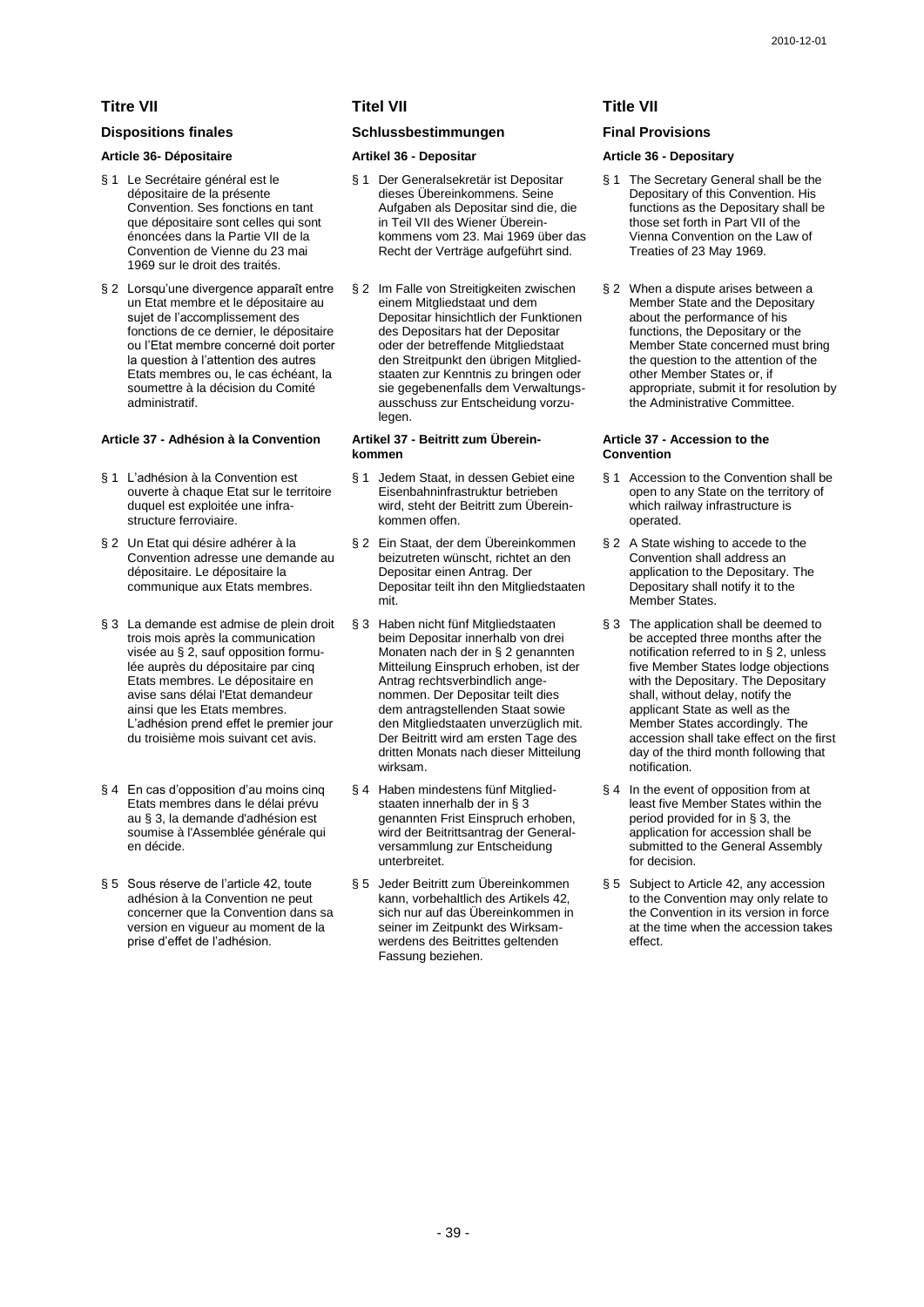- § 1 Le Secrétaire général est le dépositaire de la présente Convention. Ses fonctions en tant que dépositaire sont celles qui sont énoncées dans la Partie VII de la Convention de Vienne du 23 mai 1969 sur le droit des traités.
- § 2 Lorsqu'une divergence apparaît entre un Etat membre et le dépositaire au sujet de l"accomplissement des fonctions de ce dernier, le dépositaire ou l"Etat membre concerné doit porter la question à l"attention des autres Etats membres ou, le cas échéant, la soumettre à la décision du Comité administratif.

# **Article 37 - Adhésion à la Convention Artikel 37 - Beitritt zum Überein-**

- § 1 L'adhésion à la Convention est ouverte à chaque Etat sur le territoire duquel est exploitée une infrastructure ferroviaire.
- § 2 Un Etat qui désire adhérer à la Convention adresse une demande au dépositaire. Le dépositaire la communique aux Etats membres.
- § 3 La demande est admise de plein droit trois mois après la communication visée au § 2, sauf opposition formulée auprès du dépositaire par cinq Etats membres. Le dépositaire en avise sans délai l'Etat demandeur ainsi que les Etats membres. L"adhésion prend effet le premier jour du troisième mois suivant cet avis.
- § 4 En cas d"opposition d"au moins cinq Etats membres dans le délai prévu au § 3, la demande d'adhésion est soumise à l'Assemblée générale qui en décide.
- § 5 Sous réserve de l'article 42, toute adhésion à la Convention ne peut concerner que la Convention dans sa version en vigueur au moment de la prise d"effet de l"adhésion.

# **Titre VII Titel VII Title VII**

# **Dispositions finales Schlussbestimmungen Final Provisions**

- § 1 Der Generalsekretär ist Depositar dieses Übereinkommens. Seine Aufgaben als Depositar sind die, die in Teil VII des Wiener Übereinkommens vom 23. Mai 1969 über das Recht der Verträge aufgeführt sind.
- § 2 Im Falle von Streitigkeiten zwischen einem Mitgliedstaat und dem Depositar hinsichtlich der Funktionen des Depositars hat der Depositar oder der betreffende Mitgliedstaat den Streitpunkt den übrigen Mitgliedstaaten zur Kenntnis zu bringen oder sie gegebenenfalls dem Verwaltungsausschuss zur Entscheidung vorzulegen.

# **kommen**

- § 1 Jedem Staat, in dessen Gebiet eine Eisenbahninfrastruktur betrieben wird, steht der Beitritt zum Übereinkommen offen.
- § 2 Ein Staat, der dem Übereinkommen beizutreten wünscht, richtet an den Depositar einen Antrag. Der Depositar teilt ihn den Mitgliedstaaten mit.
- § 3 Haben nicht fünf Mitgliedstaaten beim Depositar innerhalb von drei Monaten nach der in § 2 genannten Mitteilung Einspruch erhoben, ist der Antrag rechtsverbindlich angenommen. Der Depositar teilt dies dem antragstellenden Staat sowie den Mitgliedstaaten unverzüglich mit. Der Beitritt wird am ersten Tage des dritten Monats nach dieser Mitteilung wirksam.
- § 4 Haben mindestens fünf Mitgliedstaaten innerhalb der in § 3 genannten Frist Einspruch erhoben, wird der Beitrittsantrag der Generalversammlung zur Entscheidung unterbreitet.
- § 5 Jeder Beitritt zum Übereinkommen kann, vorbehaltlich des Artikels 42, sich nur auf das Übereinkommen in seiner im Zeitpunkt des Wirksamwerdens des Beitrittes geltenden Fassung beziehen.

# **Article 36- Dépositaire Artikel 36 - Depositar Article 36 - Depositary**

- § 1 The Secretary General shall be the Depositary of this Convention. His functions as the Depositary shall be those set forth in Part VII of the Vienna Convention on the Law of Treaties of 23 May 1969.
- § 2 When a dispute arises between a Member State and the Depositary about the performance of his functions, the Depositary or the Member State concerned must bring the question to the attention of the other Member States or, if appropriate, submit it for resolution by the Administrative Committee.

# **Article 37 - Accession to the Convention**

- § 1 Accession to the Convention shall be open to any State on the territory of which railway infrastructure is operated.
- § 2 A State wishing to accede to the Convention shall address an application to the Depositary. The Depositary shall notify it to the Member States.
- § 3 The application shall be deemed to be accepted three months after the notification referred to in § 2, unless five Member States lodge objections with the Depositary. The Depositary shall, without delay, notify the applicant State as well as the Member States accordingly. The accession shall take effect on the first day of the third month following that notification.
- § 4 In the event of opposition from at least five Member States within the period provided for in § 3, the application for accession shall be submitted to the General Assembly for decision.
- § 5 Subject to Article 42, any accession to the Convention may only relate to the Convention in its version in force at the time when the accession takes effect.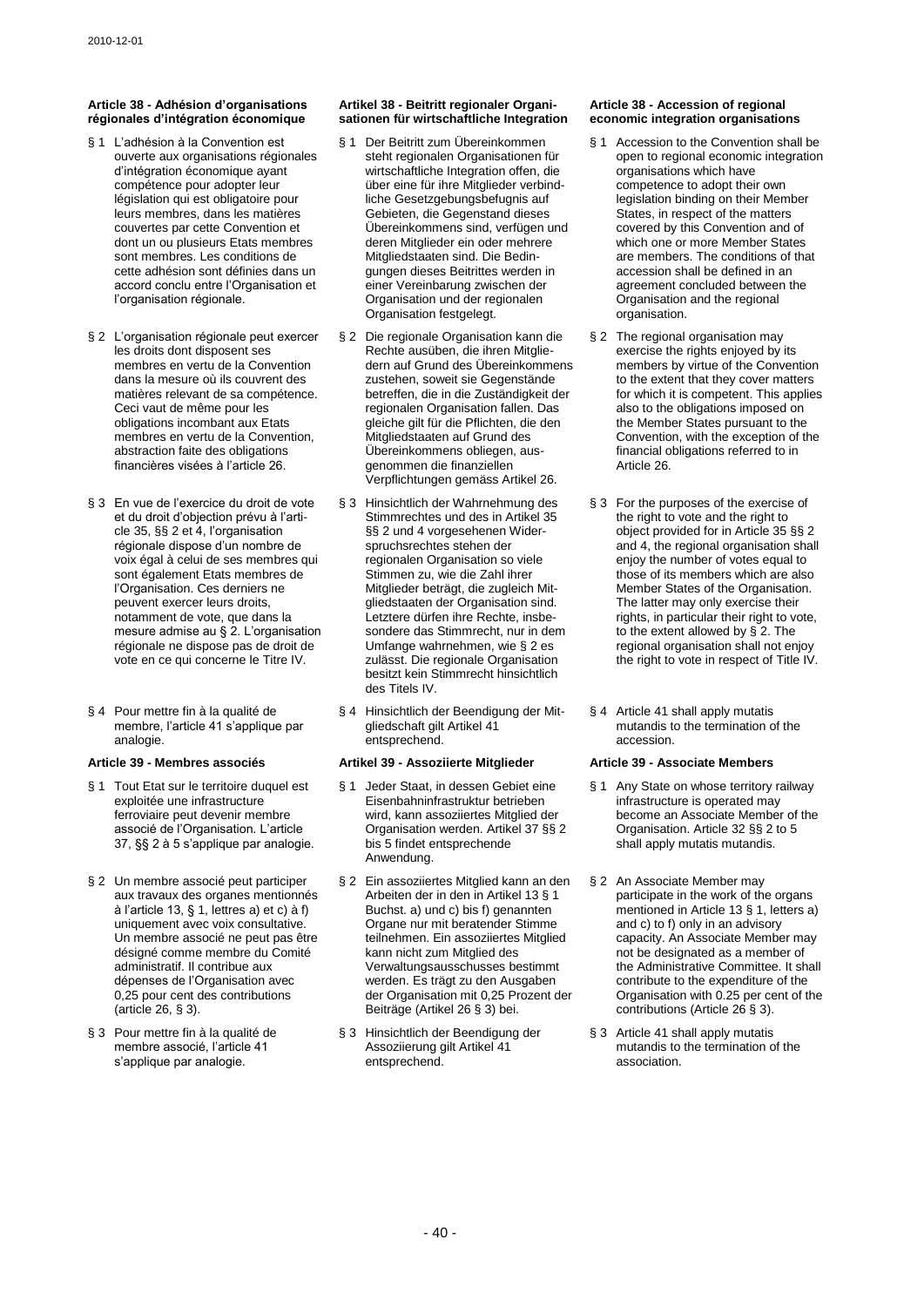# **Article 38 - Adhésion d'organisations régionales d'intégration économique**

- § 1 L'adhésion à la Convention est ouverte aux organisations régionales d"intégration économique ayant compétence pour adopter leur législation qui est obligatoire pour leurs membres, dans les matières couvertes par cette Convention et dont un ou plusieurs Etats membres sont membres. Les conditions de cette adhésion sont définies dans un accord conclu entre l"Organisation et l"organisation régionale.
- § 2 L"organisation régionale peut exercer les droits dont disposent ses membres en vertu de la Convention dans la mesure où ils couvrent des matières relevant de sa compétence. Ceci vaut de même pour les obligations incombant aux Etats membres en vertu de la Convention, abstraction faite des obligations financières visées à l"article 26.
- § 3 En vue de l"exercice du droit de vote et du droit d"objection prévu à l"article 35, §§ 2 et 4, l"organisation régionale dispose d"un nombre de voix égal à celui de ses membres qui sont également Etats membres de l"Organisation. Ces derniers ne peuvent exercer leurs droits, notamment de vote, que dans la mesure admise au § 2. L"organisation régionale ne dispose pas de droit de vote en ce qui concerne le Titre IV.
- § 4 Pour mettre fin à la qualité de membre, l"article 41 s"applique par analogie.

- § 1 Tout Etat sur le territoire duquel est exploitée une infrastructure ferroviaire peut devenir membre associé de l"Organisation. L"article 37, §§ 2 à 5 s"applique par analogie.
- § 2 Un membre associé peut participer aux travaux des organes mentionnés à l"article 13, § 1, lettres a) et c) à f) uniquement avec voix consultative. Un membre associé ne peut pas être désigné comme membre du Comité administratif. Il contribue aux dépenses de l"Organisation avec 0,25 pour cent des contributions (article 26, § 3).
- § 3 Pour mettre fin à la qualité de membre associé, l"article 41 s"applique par analogie.

# **Artikel 38 - Beitritt regionaler Organisationen für wirtschaftliche Integration**

- § 1 Der Beitritt zum Übereinkommen steht regionalen Organisationen für wirtschaftliche Integration offen, die über eine für ihre Mitglieder verbindliche Gesetzgebungsbefugnis auf Gebieten, die Gegenstand dieses Übereinkommens sind, verfügen und deren Mitglieder ein oder mehrere Mitgliedstaaten sind. Die Bedingungen dieses Beitrittes werden in einer Vereinbarung zwischen der Organisation und der regionalen Organisation festgelegt.
- § 2 Die regionale Organisation kann die Rechte ausüben, die ihren Mitgliedern auf Grund des Übereinkommens zustehen, soweit sie Gegenstände betreffen, die in die Zuständigkeit der regionalen Organisation fallen. Das gleiche gilt für die Pflichten, die den Mitgliedstaaten auf Grund des Übereinkommens obliegen, ausgenommen die finanziellen Verpflichtungen gemäss Artikel 26.
- § 3 Hinsichtlich der Wahrnehmung des Stimmrechtes und des in Artikel 35 §§ 2 und 4 vorgesehenen Widerspruchsrechtes stehen der regionalen Organisation so viele Stimmen zu, wie die Zahl ihrer Mitglieder beträgt, die zugleich Mitgliedstaaten der Organisation sind. Letztere dürfen ihre Rechte, insbesondere das Stimmrecht, nur in dem Umfange wahrnehmen, wie § 2 es zulässt. Die regionale Organisation besitzt kein Stimmrecht hinsichtlich des Titels IV.
- § 4 Hinsichtlich der Beendigung der Mitgliedschaft gilt Artikel 41 entsprechend.

# **Article 39 - Membres associés Artikel 39 - Assoziierte Mitglieder Article 39 - Associate Members**

- § 1 Jeder Staat, in dessen Gebiet eine Eisenbahninfrastruktur betrieben wird, kann assoziiertes Mitglied der Organisation werden. Artikel 37 §§ 2 bis 5 findet entsprechende Anwendung.
- § 2 Ein assoziiertes Mitglied kann an den Arbeiten der in den in Artikel 13 § 1 Buchst. a) und c) bis f) genannten Organe nur mit beratender Stimme teilnehmen. Ein assoziiertes Mitglied kann nicht zum Mitglied des Verwaltungsausschusses bestimmt werden. Es trägt zu den Ausgaben der Organisation mit 0,25 Prozent der Beiträge (Artikel 26 § 3) bei.
- § 3 Hinsichtlich der Beendigung der Assoziierung gilt Artikel 41 entsprechend.

# **Article 38 - Accession of regional economic integration organisations**

- § 1 Accession to the Convention shall be open to regional economic integration organisations which have competence to adopt their own legislation binding on their Member States, in respect of the matters covered by this Convention and of which one or more Member States are members. The conditions of that accession shall be defined in an agreement concluded between the Organisation and the regional organisation.
- § 2 The regional organisation may exercise the rights enjoyed by its members by virtue of the Convention to the extent that they cover matters for which it is competent. This applies also to the obligations imposed on the Member States pursuant to the Convention, with the exception of the financial obligations referred to in Article 26.
- § 3 For the purposes of the exercise of the right to vote and the right to object provided for in Article 35 §§ 2 and 4, the regional organisation shall enjoy the number of votes equal to those of its members which are also Member States of the Organisation. The latter may only exercise their rights, in particular their right to vote, to the extent allowed by § 2. The regional organisation shall not enjoy the right to vote in respect of Title IV.
- § 4 Article 41 shall apply mutatis mutandis to the termination of the accession.

- § 1 Any State on whose territory railway infrastructure is operated may become an Associate Member of the Organisation. Article 32 §§ 2 to 5 shall apply mutatis mutandis.
- § 2 An Associate Member may participate in the work of the organs mentioned in Article 13 § 1, letters a) and c) to f) only in an advisory capacity. An Associate Member may not be designated as a member of the Administrative Committee. It shall contribute to the expenditure of the Organisation with 0.25 per cent of the contributions (Article 26 § 3).
- § 3 Article 41 shall apply mutatis mutandis to the termination of the association.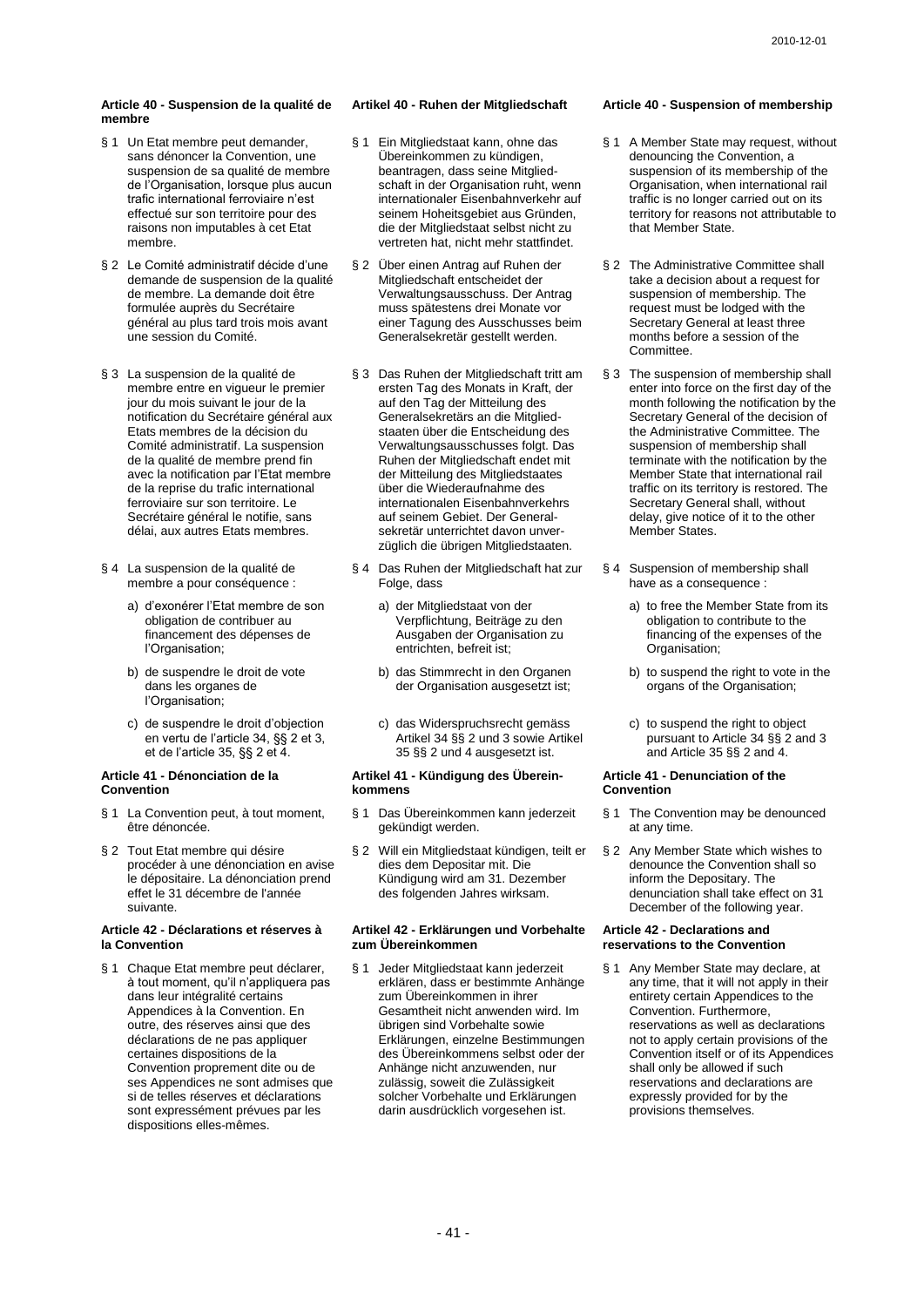# **Article 40 - Suspension de la qualité de membre**

- § 1 Un Etat membre peut demander, sans dénoncer la Convention, une suspension de sa qualité de membre de l'Organisation, lorsque plus aucun trafic international ferroviaire n"est effectué sur son territoire pour des raisons non imputables à cet Etat membre.
- § 2 Le Comité administratif décide d'une demande de suspension de la qualité de membre. La demande doit être formulée auprès du Secrétaire général au plus tard trois mois avant une session du Comité.
- § 3 La suspension de la qualité de membre entre en vigueur le premier jour du mois suivant le jour de la notification du Secrétaire général aux Etats membres de la décision du Comité administratif. La suspension de la qualité de membre prend fin avec la notification par l"Etat membre de la reprise du trafic international ferroviaire sur son territoire. Le Secrétaire général le notifie, sans délai, aux autres Etats membres.
- § 4 La suspension de la qualité de membre a pour conséquence :
	- a) d"exonérer l"Etat membre de son obligation de contribuer au financement des dépenses de l'Organisation:
	- b) de suspendre le droit de vote dans les organes de l"Organisation;
	- c) de suspendre le droit d"objection en vertu de l"article 34, §§ 2 et 3, et de l"article 35, §§ 2 et 4.

# **Article 41 - Dénonciation de la Convention**

- § 1 La Convention peut, à tout moment, être dénoncée.
- § 2 Tout Etat membre qui désire procéder à une dénonciation en avise le dépositaire. La dénonciation prend effet le 31 décembre de l'année suivante.

# **Article 42 - Déclarations et réserves à la Convention**

§ 1 Chaque Etat membre peut déclarer, à tout moment, qu"il n"appliquera pas dans leur intégralité certains Appendices à la Convention. En outre, des réserves ainsi que des déclarations de ne pas appliquer certaines dispositions de la Convention proprement dite ou de ses Appendices ne sont admises que si de telles réserves et déclarations sont expressément prévues par les dispositions elles-mêmes.

- § 1 Ein Mitgliedstaat kann, ohne das Übereinkommen zu kündigen, beantragen, dass seine Mitgliedschaft in der Organisation ruht, wenn internationaler Eisenbahnverkehr auf seinem Hoheitsgebiet aus Gründen, die der Mitgliedstaat selbst nicht zu vertreten hat, nicht mehr stattfindet.
- § 2 Über einen Antrag auf Ruhen der Mitgliedschaft entscheidet der Verwaltungsausschuss. Der Antrag muss spätestens drei Monate vor einer Tagung des Ausschusses beim Generalsekretär gestellt werden.
- § 3 Das Ruhen der Mitgliedschaft tritt am ersten Tag des Monats in Kraft, der auf den Tag der Mitteilung des Generalsekretärs an die Mitgliedstaaten über die Entscheidung des Verwaltungsausschusses folgt. Das Ruhen der Mitgliedschaft endet mit der Mitteilung des Mitgliedstaates über die Wiederaufnahme des internationalen Eisenbahnverkehrs auf seinem Gebiet. Der Generalsekretär unterrichtet davon unverzüglich die übrigen Mitgliedstaaten.
- § 4 Das Ruhen der Mitgliedschaft hat zur Folge, dass
	- a) der Mitgliedstaat von der Verpflichtung, Beiträge zu den Ausgaben der Organisation zu entrichten, befreit ist;
	- b) das Stimmrecht in den Organen der Organisation ausgesetzt ist;
	- c) das Widerspruchsrecht gemäss Artikel 34 §§ 2 und 3 sowie Artikel 35 §§ 2 und 4 ausgesetzt ist.

# **Artikel 41 - Kündigung des Übereinkommens**

- § 1 Das Übereinkommen kann jederzeit gekündigt werden.
- § 2 Will ein Mitgliedstaat kündigen, teilt er dies dem Depositar mit. Die Kündigung wird am 31. Dezember des folgenden Jahres wirksam.

# **Artikel 42 - Erklärungen und Vorbehalte zum Übereinkommen**

§ 1 Jeder Mitgliedstaat kann jederzeit erklären, dass er bestimmte Anhänge zum Übereinkommen in ihrer Gesamtheit nicht anwenden wird. Im übrigen sind Vorbehalte sowie Erklärungen, einzelne Bestimmungen des Übereinkommens selbst oder der Anhänge nicht anzuwenden, nur zulässig, soweit die Zulässigkeit solcher Vorbehalte und Erklärungen darin ausdrücklich vorgesehen ist.

# **Artikel 40 - Ruhen der Mitgliedschaft Article 40 - Suspension of membership**

- § 1 A Member State may request, without denouncing the Convention, a suspension of its membership of the Organisation, when international rail traffic is no longer carried out on its territory for reasons not attributable to that Member State.
- § 2 The Administrative Committee shall take a decision about a request for suspension of membership. The request must be lodged with the Secretary General at least three months before a session of the Committee.
- § 3 The suspension of membership shall enter into force on the first day of the month following the notification by the Secretary General of the decision of the Administrative Committee. The suspension of membership shall terminate with the notification by the Member State that international rail traffic on its territory is restored. The Secretary General shall, without delay, give notice of it to the other Member States.
- § 4 Suspension of membership shall have as a consequence :
	- a) to free the Member State from its obligation to contribute to the financing of the expenses of the Organisation:
	- b) to suspend the right to vote in the organs of the Organisation;
	- c) to suspend the right to object pursuant to Article 34 §§ 2 and 3 and Article 35 §§ 2 and 4.

# **Article 41 - Denunciation of the Convention**

- § 1 The Convention may be denounced at any time.
- § 2 Any Member State which wishes to denounce the Convention shall so inform the Depositary. The denunciation shall take effect on 31 December of the following year.

# **Article 42 - Declarations and reservations to the Convention**

§ 1 Any Member State may declare, at any time, that it will not apply in their entirety certain Appendices to the Convention. Furthermore, reservations as well as declarations not to apply certain provisions of the Convention itself or of its Appendices shall only be allowed if such reservations and declarations are expressly provided for by the provisions themselves.